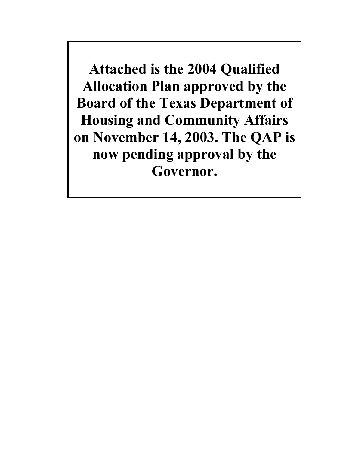**Attached is the 2004 Qualified Allocation Plan approved by the Board of the Texas Department of Housing and Community Affairs on November 14, 2003. The QAP is now pending approval by the Governor.**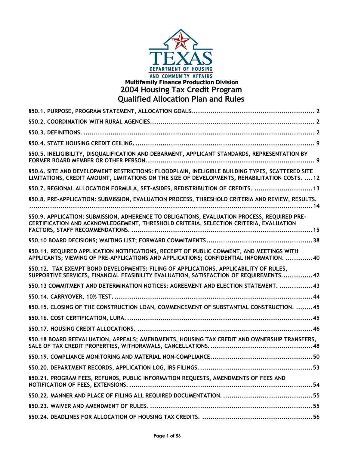

# **Multifamily Finance Production Division 2004 Housing Tax Credit Program Qualified Allocation Plan and Rules**

| \$50.5. INELIGIBILITY, DISQUALIFICATION AND DEBARMENT, APPLICANT STANDARDS, REPRESENTATION BY                                                                                                     |
|---------------------------------------------------------------------------------------------------------------------------------------------------------------------------------------------------|
| §50.6. SITE AND DEVELOPMENT RESTRICTIONS: FLOODPLAIN, INELIGIBLE BUILDING TYPES, SCATTERED SITE<br>LIMITATIONS, CREDIT AMOUNT, LIMITATIONS ON THE SIZE OF DEVELOPMENTS, REHABILITATION COSTS.  12 |
| \$50.7. REGIONAL ALLOCATION FORMULA, SET-ASIDES, REDISTRIBUTION OF CREDITS.  13                                                                                                                   |
| \$50.8. PRE-APPLICATION: SUBMISSION, EVALUATION PROCESS, THRESHOLD CRITERIA AND REVIEW, RESULTS.                                                                                                  |
| \$50.9. APPLICATION: SUBMISSION, ADHERENCE TO OBLIGATIONS, EVALUATION PROCESS, REQUIRED PRE-<br>CERTIFICATION AND ACKNOWLEDGEMENT, THRESHOLD CRITERIA, SELECTION CRITERIA, EVALUATION             |
|                                                                                                                                                                                                   |
| \$50.11. REQUIRED APPLICATION NOTIFICATIONS, RECEIPT OF PUBLIC COMMENT, AND MEETINGS WITH<br>APPLICANTS; VIEWING OF PRE-APPLICATIONS AND APPLICATIONS; CONFIDENTIAL INFORMATION. 40               |
| \$50.12. TAX EXEMPT BOND DEVELOPMENTS: FILING OF APPLICATIONS, APPLICABILITY OF RULES,<br>SUPPORTIVE SERVICES, FINANCIAL FEASIBILITY EVALUATION, SATISFACTION OF REQUIREMENTS42                   |
| \$50.13 COMMITMENT AND DETERMINATION NOTICES; AGREEMENT AND ELECTION STATEMENT. 43                                                                                                                |
|                                                                                                                                                                                                   |
| \$50.15. CLOSING OF THE CONSTRUCTION LOAN, COMMENCEMENT OF SUBSTANTIAL CONSTRUCTION. 45                                                                                                           |
|                                                                                                                                                                                                   |
|                                                                                                                                                                                                   |
| \$50.18 BOARD REEVALUATION, APPEALS; AMENDMENTS, HOUSING TAX CREDIT AND OWNERSHIP TRANSFERS,                                                                                                      |
|                                                                                                                                                                                                   |
|                                                                                                                                                                                                   |
| \$50.21. PROGRAM FEES, REFUNDS, PUBLIC INFORMATION REQUESTS, AMENDMENTS OF FEES AND<br>NOTIFICATION OF FEES, EXTENSIONS.                                                                          |
|                                                                                                                                                                                                   |
|                                                                                                                                                                                                   |
|                                                                                                                                                                                                   |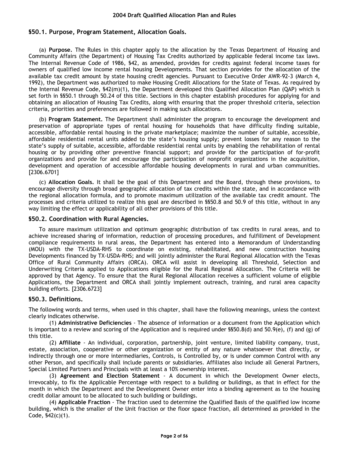# **§50.1. Purpose, Program Statement, Allocation Goals.**

(a) **Purpose.** The Rules in this chapter apply to the allocation by the Texas Department of Housing and Community Affairs (the Department) of Housing Tax Credits authorized by applicable federal income tax laws. The Internal Revenue Code of 1986, §42, as amended, provides for credits against federal income taxes for owners of qualified low income rental housing Developments. That section provides for the allocation of the available tax credit amount by state housing credit agencies. Pursuant to Executive Order AWR-92-3 (March 4, 1992), the Department was authorized to make Housing Credit Allocations for the State of Texas. As required by the Internal Revenue Code, §42(m)(1), the Department developed this Qualified Allocation Plan (QAP) which is set forth in §§50.1 through 50.24 of this title. Sections in this chapter establish procedures for applying for and obtaining an allocation of Housing Tax Credits, along with ensuring that the proper threshold criteria, selection criteria, priorities and preferences are followed in making such allocations.

(b) **Program Statement.** The Department shall administer the program to encourage the development and preservation of appropriate types of rental housing for households that have difficulty finding suitable, accessible, affordable rental housing in the private marketplace; maximize the number of suitable, accessible, affordable residential rental units added to the state's housing supply; prevent losses for any reason to the state's supply of suitable, accessible, affordable residential rental units by enabling the rehabilitation of rental housing or by providing other preventive financial support; and provide for the participation of for-profit organizations and provide for and encourage the participation of nonprofit organizations in the acquisition, development and operation of accessible affordable housing developments in rural and urban communities. [2306.6701]

(c) **Allocation Goals.** It shall be the goal of this Department and the Board, through these provisions, to encourage diversity through broad geographic allocation of tax credits within the state, and in accordance with the regional allocation formula, and to promote maximum utilization of the available tax credit amount. The processes and criteria utilized to realize this goal are described in §§50.8 and 50.9 of this title, without in any way limiting the effect or applicability of all other provisions of this title.

## **§50.2. Coordination with Rural Agencies.**

To assure maximum utilization and optimum geographic distribution of tax credits in rural areas, and to achieve increased sharing of information, reduction of processing procedures, and fulfillment of Development compliance requirements in rural areas, the Department has entered into a Memorandum of Understanding (MOU) with the TX-USDA-RHS to coordinate on existing, rehabilitated, and new construction housing Developments financed by TX-USDA-RHS; and will jointly administer the Rural Regional Allocation with the Texas Office of Rural Community Affairs (ORCA). ORCA will assist in developing all Threshold, Selection and Underwriting Criteria applied to Applications eligible for the Rural Regional Allocation. The Criteria will be approved by that Agency. To ensure that the Rural Regional Allocation receives a sufficient volume of eligible Applications, the Department and ORCA shall jointly implement outreach, training, and rural area capacity building efforts. [2306.6723]

# **§50.3. Definitions.**

The following words and terms, when used in this chapter, shall have the following meanings, unless the context clearly indicates otherwise.

(1) **Administrative Deficiencies** - The absence of information or a document from the Application which is important to a review and scoring of the Application and is required under  $$550.8(d)$  and  $50.9(e)$ , (f) and (g) of this title.

(2) **Affiliate** - An individual, corporation, partnership, joint venture, limited liability company, trust, estate, association, cooperative or other organization or entity of any nature whatsoever that directly, or indirectly through one or more intermediaries, Controls, is Controlled by, or is under common Control with any other Person, and specifically shall include parents or subsidiaries. Affiliates also include all General Partners, Special Limited Partners and Principals with at least a 10% ownership interest.

(3) **Agreement and Election Statement** - A document in which the Development Owner elects, irrevocably, to fix the Applicable Percentage with respect to a building or buildings, as that in effect for the month in which the Department and the Development Owner enter into a binding agreement as to the housing credit dollar amount to be allocated to such building or buildings.

(4) **Applicable Fraction** - The fraction used to determine the Qualified Basis of the qualified low income building, which is the smaller of the Unit fraction or the floor space fraction, all determined as provided in the Code,  $$42(c)(1)$ .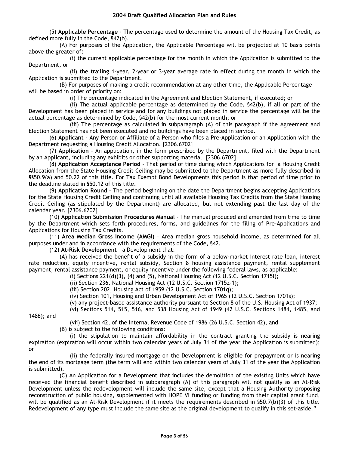(5) **Applicable Percentage** - The percentage used to determine the amount of the Housing Tax Credit, as defined more fully in the Code, §42(b).

(A) For purposes of the Application, the Applicable Percentage will be projected at 10 basis points above the greater of:

(i) the current applicable percentage for the month in which the Application is submitted to the Department, or

(ii) the trailing 1-year, 2-year or 3-year average rate in effect during the month in which the Application is submitted to the Department.

(B) For purposes of making a credit recommendation at any other time, the Applicable Percentage will be based in order of priority on:

(i) The percentage indicated in the Agreement and Election Statement, if executed; or

(ii) The actual applicable percentage as determined by the Code, §42(b), if all or part of the Development has been placed in service and for any buildings not placed in service the percentage will be the actual percentage as determined by Code, §42(b) for the most current month; or

(iii) The percentage as calculated in subparagraph (A) of this paragraph if the Agreement and Election Statement has not been executed and no buildings have been placed in service.

(6) **Applicant** - Any Person or Affiliate of a Person who files a Pre-Application or an Application with the Department requesting a Housing Credit Allocation. [2306.6702]

(7) **Application** - An application, in the form prescribed by the Department, filed with the Department by an Applicant, including any exhibits or other supporting material. [2306.6702]

(8) **Application Acceptance Period** - That period of time during which Applications for a Housing Credit Allocation from the State Housing Credit Ceiling may be submitted to the Department as more fully described in §§50.9(a) and 50.22 of this title. For Tax Exempt Bond Developments this period is that period of time prior to the deadline stated in §50.12 of this title.

(9) **Application Round** - The period beginning on the date the Department begins accepting Applications for the State Housing Credit Ceiling and continuing until all available Housing Tax Credits from the State Housing Credit Ceiling (as stipulated by the Department) are allocated, but not extending past the last day of the calendar year. [2306.6702]

(10) **Application Submission Procedures Manual** - The manual produced and amended from time to time by the Department which sets forth procedures, forms, and guidelines for the filing of Pre-Applications and Applications for Housing Tax Credits.

(11) **Area Median Gross Income (AMGI)** – Area median gross household income, as determined for all purposes under and in accordance with the requirements of the Code, §42.

(12) **At-Risk Development** – a Development that:

(A) has received the benefit of a subsidy in the form of a below-market interest rate loan, interest rate reduction, equity incentive, rental subsidy, Section 8 housing assistance payment, rental supplement payment, rental assistance payment, or equity incentive under the following federal laws, as applicable:

(i) Sections  $221(d)(3)$ , (4) and (5), National Housing Act (12 U.S.C. Section 1715l);

(ii) Section 236, National Housing Act (12 U.S.C. Section 1715z-1);

(iii) Section 202, Housing Act of 1959 (12 U.S.C. Section 1701q);

(iv) Section 101, Housing and Urban Development Act of 1965 (12 U.S.C. Section 1701s);

(v) any project-based assistance authority pursuant to Section 8 of the U.S. Housing Act of 1937;

(vi) Sections 514, 515, 516, and 538 Housing Act of 1949 (42 U.S.C. Sections 1484, 1485, and

1486); and

(vii) Section 42, of the Internal Revenue Code of 1986 (26 U.S.C. Section 42), and

(B) is subject to the following conditions:

(i) the stipulation to maintain affordability in the contract granting the subsidy is nearing expiration (expiration will occur within two calendar years of July 31 of the year the Application is submitted); or

(ii) the federally insured mortgage on the Development is eligible for prepayment or is nearing the end of its mortgage term (the term will end within two calendar years of July 31 of the year the Application is submitted).

(C) An Application for a Development that includes the demolition of the existing Units which have received the financial benefit described in subparagraph (A) of this paragraph will not qualify as an At-Risk Development unless the redevelopment will include the same site, except that a Housing Authority proposing reconstruction of public housing, supplemented with HOPE VI funding or funding from their capital grant fund, will be qualified as an At-Risk Development if it meets the requirements described in §50.7(b)(3) of this title. Redevelopment of any type must include the same site as the original development to qualify in this set-aside."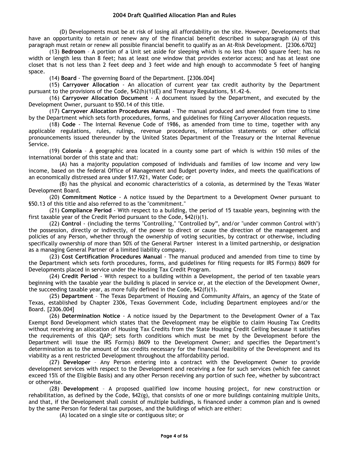(D) Developments must be at risk of losing all affordability on the site. However, Developments that have an opportunity to retain or renew any of the financial benefit described in subparagraph (A) of this paragraph must retain or renew all possible financial benefit to qualify as an At-Risk Development. [2306.6702]

(13) **Bedroom** – A portion of a Unit set aside for sleeping which is no less than 100 square feet; has no width or length less than 8 feet; has at least one window that provides exterior access; and has at least one closet that is not less than 2 feet deep and 3 feet wide and high enough to accommodate 5 feet of hanging space.

(14) **Board** - The governing Board of the Department. [2306.004]

(15) **Carryover Allocation** - An allocation of current year tax credit authority by the Department pursuant to the provisions of the Code, §42(h)(1)(E) and Treasury Regulations, §1.42-6.

(16) **Carryover Allocation Document** - A document issued by the Department, and executed by the Development Owner, pursuant to §50.14 of this title.

(17) **Carryover Allocation Procedures Manual** - The manual produced and amended from time to time by the Department which sets forth procedures, forms, and guidelines for filing Carryover Allocation requests.

(18) **Code** - The Internal Revenue Code of 1986, as amended from time to time, together with any applicable regulations, rules, rulings, revenue procedures, information statements or other official pronouncements issued thereunder by the United States Department of the Treasury or the Internal Revenue Service.

(19) **Colonia** – A geographic area located in a county some part of which is within 150 miles of the international border of this state and that:

(A) has a majority population composed of individuals and families of low income and very low income, based on the federal Office of Management and Budget poverty index, and meets the qualifications of an economically distressed area under §17.921, Water Code; or

(B) has the physical and economic characteristics of a colonia, as determined by the Texas Water Development Board.

(20) **Commitment Notice** - A notice issued by the Department to a Development Owner pursuant to §50.13 of this title and also referred to as the "commitment."

(21) **Compliance Period** - With respect to a building, the period of 15 taxable years, beginning with the first taxable year of the Credit Period pursuant to the Code, §42(i)(1).

(22) **Control** - (including the terms "Controlling," "Controlled by", and/or "under common Control with") the possession, directly or indirectly, of the power to direct or cause the direction of the management and policies of any Person, whether through the ownership of voting securities, by contract or otherwise, including specifically ownership of more than 50% of the General Partner interest in a limited partnership, or designation as a managing General Partner of a limited liability company.

(23) **Cost Certification Procedures Manual** - The manual produced and amended from time to time by the Department which sets forth procedures, forms, and guidelines for filing requests for IRS Form(s) 8609 for Developments placed in service under the Housing Tax Credit Program.

(24) **Credit Period** - With respect to a building within a Development, the period of ten taxable years beginning with the taxable year the building is placed in service or, at the election of the Development Owner, the succeeding taxable year, as more fully defined in the Code, §42(f)(1).

(25) **Department** – The Texas Department of Housing and Community Affairs, an agency of the State of Texas, established by Chapter 2306, Texas Government Code, including Department employees and/or the Board. [2306.004]

(26) **Determination Notice** - A notice issued by the Department to the Development Owner of a Tax Exempt Bond Development which states that the Development may be eligible to claim Housing Tax Credits without receiving an allocation of Housing Tax Credits from the State Housing Credit Ceiling because it satisfies the requirements of this QAP; sets forth conditions which must be met by the Development before the Department will issue the IRS Form(s) 8609 to the Development Owner; and specifies the Department's determination as to the amount of tax credits necessary for the financial feasibility of the Development and its viability as a rent restricted Development throughout the affordability period.

(27) **Developer** – Any Person entering into a contract with the Development Owner to provide development services with respect to the Development and receiving a fee for such services (which fee cannot exceed 15% of the Eligible Basis) and any other Person receiving any portion of such fee, whether by subcontract or otherwise.

(28) **Development** – A proposed qualified low income housing project, for new construction or rehabilitation, as defined by the Code, §42(g), that consists of one or more buildings containing multiple Units, and that, if the Development shall consist of multiple buildings, is financed under a common plan and is owned by the same Person for federal tax purposes, and the buildings of which are either:

(A) located on a single site or contiguous site; or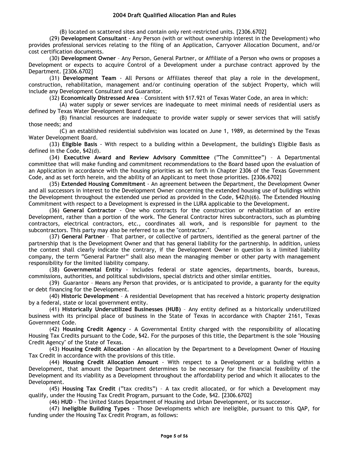(B) located on scattered sites and contain only rent-restricted units. [2306.6702]

(29) **Development Consultant** - Any Person (with or without ownership interest in the Development) who provides professional services relating to the filing of an Application, Carryover Allocation Document, and/or cost certification documents.

(30) **Development Owner** – Any Person, General Partner, or Affiliate of a Person who owns or proposes a Development or expects to acquire Control of a Development under a purchase contract approved by the Department. [2306.6702]

(31) **Development Team** - All Persons or Affiliates thereof that play a role in the development, construction, rehabilitation, management and/or continuing operation of the subject Property, which will include any Development Consultant and Guarantor.

(32) **Economically Distressed Area** – Consistent with §17.921 of Texas Water Code, an area in which:

(A) water supply or sewer services are inadequate to meet minimal needs of residential users as defined by Texas Water Development Board rules;

(B) financial resources are inadequate to provide water supply or sewer services that will satisfy those needs; and

(C) an established residential subdivision was located on June 1, 1989, as determined by the Texas Water Development Board.

(33) **Eligible Basis** - With respect to a building within a Development, the building's Eligible Basis as defined in the Code, §42(d).

(34) **Executive Award and Review Advisory Committee** ("The Committee") – A Departmental committee that will make funding and commitment recommendations to the Board based upon the evaluation of an Application in accordance with the housing priorities as set forth in Chapter 2306 of the Texas Government Code, and as set forth herein, and the ability of an Applicant to meet those priorities. [2306.6702]

(35) **Extended Housing Commitment** - An agreement between the Department, the Development Owner and all successors in interest to the Development Owner concerning the extended housing use of buildings within the Development throughout the extended use period as provided in the Code, §42(h)(6). The Extended Housing Commitment with respect to a Development is expressed in the LURA applicable to the Development.

(36) **General Contractor** - One who contracts for the construction or rehabilitation of an entire Development, rather than a portion of the work. The General Contractor hires subcontractors, such as plumbing contractors, electrical contractors, etc., coordinates all work, and is responsible for payment to the subcontractors. This party may also be referred to as the "contractor."

(37) **General Partner** – That partner, or collective of partners, identified as the general partner of the partnership that is the Development Owner and that has general liability for the partnership. In addition, unless the context shall clearly indicate the contrary, if the Development Owner in question is a limited liability company, the term "General Partner" shall also mean the managing member or other party with management responsibility for the limited liability company.

(38) **Governmental Entity** - Includes federal or state agencies, departments, boards, bureaus, commissions, authorities, and political subdivisions, special districts and other similar entities.

(39) Guarantor – Means any Person that provides, or is anticipated to provide, a guaranty for the equity or debt financing for the Development.

(40) **Historic Development** – A residential Development that has received a historic property designation by a federal, state or local government entity.

(41) **Historically Underutilized Businesses (HUB)** – Any entity defined as a historically underutilized business with its principal place of business in the State of Texas in accordance with Chapter 2161, Texas Government Code.

(42) **Housing Credit Agency** - A Governmental Entity charged with the responsibility of allocating Housing Tax Credits pursuant to the Code, §42. For the purposes of this title, the Department is the sole "Housing Credit Agency" of the State of Texas.

(43) **Housing Credit Allocation** - An allocation by the Department to a Development Owner of Housing Tax Credit in accordance with the provisions of this title.

(44) **Housing Credit Allocation Amount** - With respect to a Development or a building within a Development, that amount the Department determines to be necessary for the financial feasibility of the Development and its viability as a Development throughout the affordability period and which it allocates to the Development.

(45) **Housing Tax Credit** ("tax credits") – A tax credit allocated, or for which a Development may qualify, under the Housing Tax Credit Program, pursuant to the Code, §42. [2306.6702]

(46) **HUD** - The United States Department of Housing and Urban Development, or its successor.

(47) **Ineligible Building Types** - Those Developments which are ineligible, pursuant to this QAP, for funding under the Housing Tax Credit Program, as follows: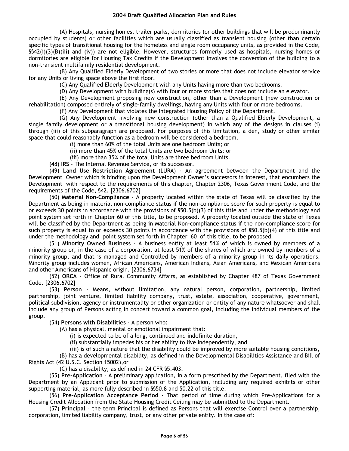(A) Hospitals, nursing homes, trailer parks, dormitories (or other buildings that will be predominantly occupied by students) or other facilities which are usually classified as transient housing (other than certain specific types of transitional housing for the homeless and single room occupancy units, as provided in the Code, §§42(i)(3)(B)(iii) and (iv)) are not eligible. However, structures formerly used as hospitals, nursing homes or dormitories are eligible for Housing Tax Credits if the Development involves the conversion of the building to a non-transient multifamily residential development.

(B) Any Qualified Elderly Development of two stories or more that does not include elevator service for any Units or living space above the first floor.

(C) Any Qualified Elderly Development with any Units having more than two bedrooms.

(D) Any Development with building(s) with four or more stories that does not include an elevator.

(E) Any Development proposing new construction, other than a Development (new construction or rehabilitation) composed entirely of single-family dwellings, having any Units with four or more bedrooms.

(F) Any Development that violates the Integrated Housing Policy of the Department.

(G) Any Development involving new construction (other than a Qualified Elderly Development, a single family development or a transitional housing development) in which any of the designs in clauses (i) through (iii) of this subparagraph are proposed. For purposes of this limitation, a den, study or other similar space that could reasonably function as a bedroom will be considered a bedroom.

(i) more than 60% of the total Units are one bedroom Units; or

(ii) more than 45% of the total Units are two bedroom Units; or

(iii) more than 35% of the total Units are three bedroom Units.

(48) **IRS** - The Internal Revenue Service, or its successor.

(49) **Land Use Restriction Agreement** (LURA) - An agreement between the Department and the Development Owner which is binding upon the Development Owner's successors in interest, that encumbers the Development with respect to the requirements of this chapter, Chapter 2306, Texas Government Code, and the requirements of the Code, §42. [2306.6702]

(50) **Material Non-Compliance** - A property located within the state of Texas will be classified by the Department as being in material non-compliance status if the non-compliance score for such property is equal to or exceeds 30 points in accordance with the provisions of §50.5(b)(3) of this title and under the methodology and point system set forth in Chapter 60 of this title, to be proposed. A property located outside the state of Texas will be classified by the Department as being in Material Non-compliance status if the non-compliance score for such property is equal to or exceeds 30 points in accordance with the provisions of \$50.5(b)(4) of this title and under the methodology and point system set forth in Chapter 60 of this title, to be proposed.

(51) **Minority Owned Business** - A business entity at least 51% of which is owned by members of a minority group or, in the case of a corporation, at least 51% of the shares of which are owned by members of a minority group, and that is managed and Controlled by members of a minority group in its daily operations. Minority group includes women, African Americans, American Indians, Asian Americans, and Mexican Americans and other Americans of Hispanic origin. [2306.6734]

(52) **ORCA** – Office of Rural Community Affairs, as established by Chapter 487 of Texas Government Code. [2306.6702]

(53) **Person** - Means, without limitation, any natural person, corporation, partnership, limited partnership, joint venture, limited liability company, trust, estate, association, cooperative, government, political subdivision, agency or instrumentality or other organization or entity of any nature whatsoever and shall include any group of Persons acting in concert toward a common goal, including the individual members of the group.

(54) **Persons with Disabilities** - A person who:

(A) has a physical, mental or emotional impairment that:

(i) is expected to be of a long, continued and indefinite duration,

(ii) substantially impedes his or her ability to live independently, and

(iii) is of such a nature that the disability could be improved by more suitable housing conditions,

(B) has a developmental disability, as defined in the Developmental Disabilities Assistance and Bill of Rights Act (42 U.S.C. Section 15002),or

(C) has a disability, as defined in 24 CFR §5.403.

(55) **Pre-Application** – A preliminary application, in a form prescribed by the Department, filed with the Department by an Applicant prior to submission of the Application, including any required exhibits or other supporting material, as more fully described in §§50.8 and 50.22 of this title.

(56) **Pre-Application Acceptance Period** - That period of time during which Pre-Applications for a Housing Credit Allocation from the State Housing Credit Ceiling may be submitted to the Department.

(57) **Principal** – the term Principal is defined as Persons that will exercise Control over a partnership, corporation, limited liability company, trust, or any other private entity. In the case of: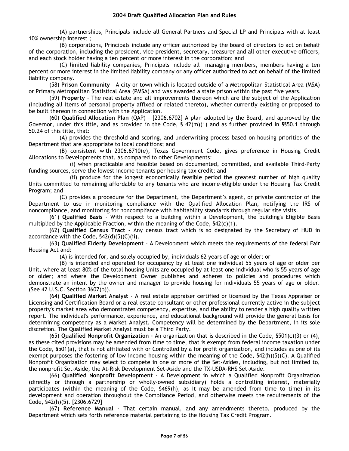(A) partnerships, Principals include all General Partners and Special LP and Principals with at least 10% ownership interest ;

(B) corporations, Principals include any officer authorized by the board of directors to act on behalf of the corporation, including the president, vice president, secretary, treasurer and all other executive officers, and each stock holder having a ten percent or more interest in the corporation; and

(C) limited liability companies, Principals include all managing members, members having a ten percent or more interest in the limited liability company or any officer authorized to act on behalf of the limited liability company.

(58) **Prison Community** – A city or town which is located outside of a Metropolitan Statistical Area (MSA) or Primary Metropolitan Statistical Area (PMSA) and was awarded a state prison within the past five years.

(59) **Property** - The real estate and all improvements thereon which are the subject of the Application (including all items of personal property affixed or related thereto), whether currently existing or proposed to be built thereon in connection with the Application.

(60) **Qualified Allocation Plan** (QAP) – [2306.6702] A plan adopted by the Board, and approved by the Governor, under this title, and as provided in the Code, § 42(m)(1) and as further provided in §§50.1 through 50.24 of this title, that:

(A) provides the threshold and scoring, and underwriting process based on housing priorities of the Department that are appropriate to local conditions; and

(B) consistent with 2306.6710(e), Texas Government Code, gives preference in Housing Credit Allocations to Developments that, as compared to other Developments:

(i) when practicable and feasible based on documented, committed, and available Third-Party funding sources, serve the lowest income tenants per housing tax credit; and

(ii) produce for the longest economically feasible period the greatest number of high quality Units committed to remaining affordable to any tenants who are income-eligible under the Housing Tax Credit Program; and

(C) provides a procedure for the Department, the Department's agent, or private contractor of the Department to use in monitoring compliance with the Qualified Allocation Plan, notifying the IRS of noncompliance, and monitoring for noncompliance with habitability standards through regular site visits.

(61) **Qualified Basis** - With respect to a building within a Development, the building's Eligible Basis multiplied by the Applicable Fraction, within the meaning of the Code,  $\frac{542(c)}{1}$ .

(62) **Qualified Census Tract** - Any census tract which is so designated by the Secretary of HUD in accordance with the Code, §42(d)(5)(C)(ii).

(63) **Qualified Elderly Development** – A Development which meets the requirements of the federal Fair Housing Act and:

(A) is intended for, and solely occupied by, individuals 62 years of age or older; or

(B) is intended and operated for occupancy by at least one individual 55 years of age or older per Unit, where at least 80% of the total housing Units are occupied by at least one individual who is 55 years of age or older; and where the Development Owner publishes and adheres to policies and procedures which demonstrate an intent by the owner and manager to provide housing for individuals 55 years of age or older. (See 42 U.S.C. Section 3607(b)).

(64) **Qualified Market Analyst** - A real estate appraiser certified or licensed by the Texas Appraiser or Licensing and Certification Board or a real estate consultant or other professional currently active in the subject property's market area who demonstrates competency, expertise, and the ability to render a high quality written report. The individual's performance, experience, and educational background will provide the general basis for determining competency as a Market Analyst. Competency will be determined by the Department, in its sole discretion. The Qualified Market Analyst must be a Third Party.

(65) **Qualified Nonprofit Organization** - An organization that is described in the Code, §501(c)(3) or (4), as these cited provisions may be amended from time to time, that is exempt from federal income taxation under the Code, §501(a), that is not affiliated with or Controlled by a for profit organization, and includes as one of its exempt purposes the fostering of low income housing within the meaning of the Code, §42(h)(5)(C). A Qualified Nonprofit Organization may select to compete in one or more of the Set-Asides, including, but not limited to, the nonprofit Set-Aside, the At-Risk Development Set-Aside and the TX-USDA-RHS Set-Aside.

(66) **Qualified Nonprofit Development** - A Development in which a Qualified Nonprofit Organization (directly or through a partnership or wholly-owned subsidiary) holds a controlling interest, materially participates (within the meaning of the Code, §469(h), as it may be amended from time to time) in its development and operation throughout the Compliance Period, and otherwise meets the requirements of the Code, §42(h)(5). [2306.6729]

(67) **Reference Manual** - That certain manual, and any amendments thereto, produced by the Department which sets forth reference material pertaining to the Housing Tax Credit Program.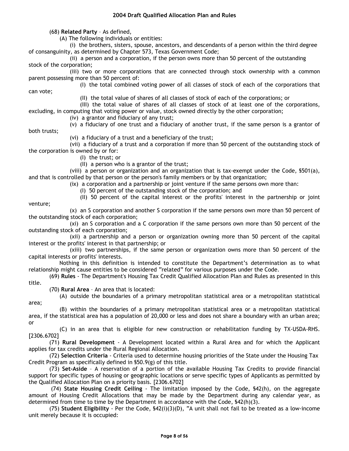(68) **Related Party** – As defined,

(A) The following individuals or entities:

(i) the brothers, sisters, spouse, ancestors, and descendants of a person within the third degree of consanguinity, as determined by Chapter 573, Texas Government Code;

(ii) a person and a corporation, if the person owns more than 50 percent of the outstanding stock of the corporation;

(iii) two or more corporations that are connected through stock ownership with a common parent possessing more than 50 percent of:

(I) the total combined voting power of all classes of stock of each of the corporations that

(II) the total value of shares of all classes of stock of each of the corporations; or

(III) the total value of shares of all classes of stock of at least one of the corporations,

excluding, in computing that voting power or value, stock owned directly by the other corporation;

(iv) a grantor and fiduciary of any trust;

(v) a fiduciary of one trust and a fiduciary of another trust, if the same person is a grantor of

both trusts;

can vote;

(vi) a fiduciary of a trust and a beneficiary of the trust;

(vii) a fiduciary of a trust and a corporation if more than 50 percent of the outstanding stock of the corporation is owned by or for:

(I) the trust; or

(II) a person who is a grantor of the trust;

(viii) a person or organization and an organization that is tax-exempt under the Code, §501(a), and that is controlled by that person or the person's family members or by that organization;

(ix) a corporation and a partnership or joint venture if the same persons own more than:

(I) 50 percent of the outstanding stock of the corporation; and

(II) 50 percent of the capital interest or the profits' interest in the partnership or joint venture;

(x) an S corporation and another S corporation if the same persons own more than 50 percent of the outstanding stock of each corporation;

(xi) an S corporation and a C corporation if the same persons own more than 50 percent of the outstanding stock of each corporation;

(xii) a partnership and a person or organization owning more than 50 percent of the capital interest or the profits' interest in that partnership; or

(xiii) two partnerships, if the same person or organization owns more than 50 percent of the capital interests or profits' interests.

Nothing in this definition is intended to constitute the Department's determination as to what relationship might cause entities to be considered "related" for various purposes under the Code.

(69) **Rules** - The Department's Housing Tax Credit Qualified Allocation Plan and Rules as presented in this title.

(70) **Rural Area** – An area that is located:

(A) outside the boundaries of a primary metropolitan statistical area or a metropolitan statistical area;

(B) within the boundaries of a primary metropolitan statistical area or a metropolitan statistical area, if the statistical area has a population of 20,000 or less and does not share a boundary with an urban area; or

(C) in an area that is eligible for new construction or rehabilitation funding by TX-USDA-RHS. [2306.6702]

(71) **Rural Development** - A Development located within a Rural Area and for which the Applicant applies for tax credits under the Rural Regional Allocation.

(72) **Selection Criteria** - Criteria used to determine housing priorities of the State under the Housing Tax Credit Program as specifically defined in §50.9(g) of this title.

(73) **Set-Aside** – A reservation of a portion of the available Housing Tax Credits to provide financial support for specific types of housing or geographic locations or serve specific types of Applicants as permitted by the Qualified Allocation Plan on a priority basis. [2306.6702]

(74) **State Housing Credit Ceiling** - The limitation imposed by the Code, §42(h), on the aggregate amount of Housing Credit Allocations that may be made by the Department during any calendar year, as determined from time to time by the Department in accordance with the Code, §42(h)(3).

(75) **Student Eligibility** - Per the Code, §42(i)(3)(D), "A unit shall not fail to be treated as a low-income unit merely because it is occupied: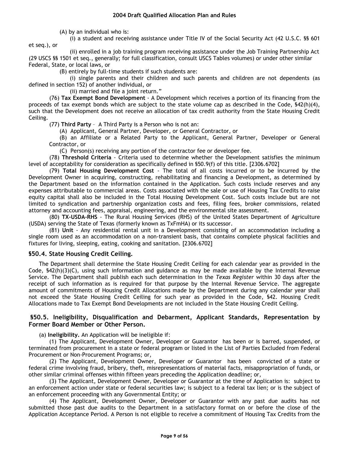(A) by an individual who is:

(i) a student and receiving assistance under Title IV of the Social Security Act (42 U.S.C. §§ 601 et seq.), or

(ii) enrolled in a job training program receiving assistance under the Job Training Partnership Act (29 USCS §§ 1501 et seq., generally; for full classification, consult USCS Tables volumes) or under other similar Federal, State, or local laws, or

(B) entirely by full-time students if such students are:

(i) single parents and their children and such parents and children are not dependents (as defined in section 152) of another individual, or

(ii) married and file a joint return."

(76) **Tax Exempt Bond Development** - A Development which receives a portion of its financing from the proceeds of tax exempt bonds which are subject to the state volume cap as described in the Code, §42(h)(4), such that the Development does not receive an allocation of tax credit authority from the State Housing Credit Ceiling.

(77) **Third Party** – A Third Party is a Person who is not an:

(A) Applicant, General Partner, Developer, or General Contractor, or

(B) an Affiliate or a Related Party to the Applicant, General Partner, Developer or General Contractor, or

(C) Person(s) receiving any portion of the contractor fee or developer fee.

(78) **Threshold Criteria** - Criteria used to determine whether the Development satisfies the minimum level of acceptability for consideration as specifically defined in §50.9(f) of this title. [2306.6702]

(79) **Total Housing Development Cost** - The total of all costs incurred or to be incurred by the Development Owner in acquiring, constructing, rehabilitating and financing a Development, as determined by the Department based on the information contained in the Application. Such costs include reserves and any expenses attributable to commercial areas. Costs associated with the sale or use of Housing Tax Credits to raise equity capital shall also be included in the Total Housing Development Cost. Such costs include but are not limited to syndication and partnership organization costs and fees, filing fees, broker commissions, related attorney and accounting fees, appraisal, engineering, and the environmental site assessment.

(80) **TX-USDA-RHS** - The Rural Housing Services (RHS) of the United States Department of Agriculture (USDA) serving the State of Texas (formerly known as TxFmHA) or its successor.

(81) **Unit** - Any residential rental unit in a Development consisting of an accommodation including a single room used as an accommodation on a non-transient basis, that contains complete physical facilities and fixtures for living, sleeping, eating, cooking and sanitation. [2306.6702]

# **§50.4. State Housing Credit Ceiling.**

The Department shall determine the State Housing Credit Ceiling for each calendar year as provided in the Code, §42(h)(3)(C), using such information and guidance as may be made available by the Internal Revenue Service. The Department shall publish each such determination in the *Texas Register* within 30 days after the receipt of such information as is required for that purpose by the Internal Revenue Service. The aggregate amount of commitments of Housing Credit Allocations made by the Department during any calendar year shall not exceed the State Housing Credit Ceiling for such year as provided in the Code, §42. Housing Credit Allocations made to Tax Exempt Bond Developments are not included in the State Housing Credit Ceiling.

## **§50.5. Ineligibility, Disqualification and Debarment, Applicant Standards, Representation by Former Board Member or Other Person.**

(a) **Ineligibility.** An Application will be ineligible if:

(1) The Applicant, Development Owner, Developer or Guarantor has been or is barred, suspended, or terminated from procurement in a state or federal program or listed in the List of Parties Excluded from Federal Procurement or Non-Procurement Programs; or,

(2) The Applicant, Development Owner, Developer or Guarantor has been convicted of a state or federal crime involving fraud, bribery, theft, misrepresentations of material facts, misappropriation of funds, or other similar criminal offenses within fifteen years preceding the Application deadline; or,

(3) The Applicant, Development Owner, Developer or Guarantor at the time of Application is: subject to an enforcement action under state or federal securities law; is subject to a federal tax lien; or is the subject of an enforcement proceeding with any Governmental Entity; or

(4) The Applicant, Development Owner, Developer or Guarantor with any past due audits has not submitted those past due audits to the Department in a satisfactory format on or before the close of the Application Acceptance Period. A Person is not eligible to receive a commitment of Housing Tax Credits from the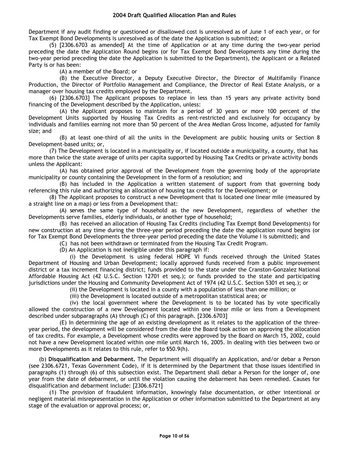Department if any audit finding or questioned or disallowed cost is unresolved as of June 1 of each year, or for Tax Exempt Bond Developments is unresolved as of the date the Application is submitted; or

(5) [2306.6703 as amended] At the time of Application or at any time during the two-year period preceding the date the Application Round begins (or for Tax Exempt Bond Developments any time during the two-year period preceding the date the Application is submitted to the Department), the Applicant or a Related Party is or has been:

(A) a member of the Board; or

(B) the Executive Director, a Deputy Executive Director, the Director of Multifamily Finance Production, the Director of Portfolio Management and Compliance, the Director of Real Estate Analysis, or a manager over housing tax credits employed by the Department.

(6) [2306.6703] The Applicant proposes to replace in less than 15 years any private activity bond financing of the Development described by the Application, unless:

(A) the Applicant proposes to maintain for a period of 30 years or more 100 percent of the Development Units supported by Housing Tax Credits as rent-restricted and exclusively for occupancy by individuals and families earning not more than 50 percent of the Area Median Gross Income, adjusted for family size; and

(B) at least one-third of all the units in the Development are public housing units or Section 8 Development-based units; or,

(7) The Development is located in a municipality or, if located outside a municipality, a county, that has more than twice the state average of units per capita supported by Housing Tax Credits or private activity bonds unless the Applicant:

(A) has obtained prior approval of the Development from the governing body of the appropriate municipality or county containing the Development in the form of a resolution; and

(B) has included in the Application a written statement of support from that governing body referencing this rule and authorizing an allocation of housing tax credits for the Development; or

(8) The Applicant proposes to construct a new Development that is located one linear mile (measured by a straight line on a map) or less from a Development that:

(A) serves the same type of household as the new Development, regardless of whether the Developments serve families, elderly individuals, or another type of household;

(B) has received an allocation of Housing Tax Credits (including Tax Exempt Bond Developments) for new construction at any time during the three-year period preceding the date the application round begins (or for Tax Exempt Bond Developments the three-year period preceding the date the Volume I is submitted); and

(C) has not been withdrawn or terminated from the Housing Tax Credit Program.

(D) An Application is not ineligible under this paragraph if:

(i) the Development is using federal HOPE VI funds received through the United States Department of Housing and Urban Development; locally approved funds received from a public improvement district or a tax increment financing district; funds provided to the state under the Cranston-Gonzalez National Affordable Housing Act (42 U.S.C. Section 12701 et seq.); or funds provided to the state and participating jurisdictions under the Housing and Community Development Act of 1974 (42 U.S.C. Section 5301 et seq.); or

(ii) the Development is located in a county with a population of less than one million; or

(iii) the Development is located outside of a metropolitan statistical area; or

(iv) the local government where the Development is to be located has by vote specifically allowed the construction of a new Development located within one linear mile or less from a Development described under subparagraphs (A) through (C) of this paragraph. [2306.6703]

(E) In determining the age of an existing development as it relates to the application of the threeyear period, the development will be considered from the date the Board took action on approving the allocation of tax credits. For example, a Development whose credits were approved by the Board on March 15, 2002, could not have a new Development located within one mile until March 16, 2005. In dealing with ties between two or more Developments as it relates to this rule, refer to §50.9(h).

(b) **Disqualification and Debarment.** The Department will disqualify an Application, and/or debar a Person (see 2306.6721, Texas Government Code), if it is determined by the Department that those issues identified in paragraphs (1) through (6) of this subsection exist. The Department shall debar a Person for the longer of, one year from the date of debarment, or until the violation causing the debarment has been remedied. Causes for disqualification and debarment include: [2306.6721]

(1) The provision of fraudulent information, knowingly false documentation, or other intentional or negligent material misrepresentation in the Application or other information submitted to the Department at any stage of the evaluation or approval process; or,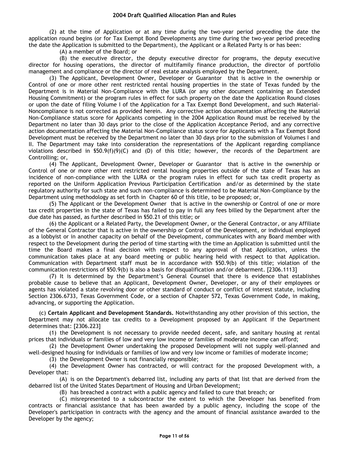(2) at the time of Application or at any time during the two-year period preceding the date the application round begins (or for Tax Exempt Bond Developments any time during the two-year period preceding the date the Application is submitted to the Department), the Applicant or a Related Party is or has been:

(A) a member of the Board; or

(B) the executive director, the deputy executive director for programs, the deputy executive director for housing operations, the director of multifamily finance production, the director of portfolio management and compliance or the director of real estate analysis employed by the Department.

(3) The Applicant, Development Owner, Developer or Guarantor that is active in the ownership or Control of one or more other rent restricted rental housing properties in the state of Texas funded by the Department is in Material Non-Compliance with the LURA (or any other document containing an Extended Housing Commitment) or the program rules in effect for such property on the date the Application Round closes or upon the date of filing Volume I of the Application for a Tax Exempt Bond Development, and such Material-Noncompliance is not corrected as provided herein. Any corrective action documentation affecting the Material Non-Compliance status score for Applicants competing in the 2004 Application Round must be received by the Department no later than 30 days prior to the close of the Application Acceptance Period, and any corrective action documentation affecting the Material Non-Compliance status score for Applicants with a Tax Exempt Bond Development must be received by the Department no later than 30 days prior to the submission of Volumes I and II. The Department may take into consideration the representations of the Applicant regarding compliance violations described in  $$50.9(f)(9)(C)$  and (D) of this title; however, the records of the Department are Controlling; or,

(4) The Applicant, Development Owner, Developer or Guarantor that is active in the ownership or Control of one or more other rent restricted rental housing properties outside of the state of Texas has an incidence of non-compliance with the LURA or the program rules in effect for such tax credit property as reported on the Uniform Application Previous Participation Certification and/or as determined by the state regulatory authority for such state and such non-compliance is determined to be Material Non-Compliance by the Department using methodology as set forth in Chapter 60 of this title, to be proposed; or,

(5) The Applicant or the Development Owner that is active in the ownership or Control of one or more tax credit properties in the state of Texas has failed to pay in full any fees billed by the Department after the due date has passed, as further described in §50.21 of this title; or

(6) the Applicant or a Related Party, the Development Owner, or the General Contractor, or any Affiliate of the General Contractor that is active in the ownership or Control of the Development, or individual employed as a lobbyist or in another capacity on behalf of the Development, communicates with any Board member with respect to the Development during the period of time starting with the time an Application is submitted until the time the Board makes a final decision with respect to any approval of that Application, unless the communication takes place at any board meeting or public hearing held with respect to that Application. Communication with Department staff must be in accordance with §50.9(b) of this title; violation of the communication restrictions of §50.9(b) is also a basis for disqualification and/or debarment. [2306.1113]

(7) It is determined by the Department's General Counsel that there is evidence that establishes probable cause to believe that an Applicant, Development Owner, Developer, or any of their employees or agents has violated a state revolving door or other standard of conduct or conflict of interest statute, including Section 2306.6733, Texas Government Code, or a section of Chapter 572, Texas Government Code, in making, advancing, or supporting the Application.

(c) **Certain Applicant and Development Standards.** Notwithstanding any other provision of this section, the Department may not allocate tax credits to a Development proposed by an Applicant if the Department determines that: [2306.223]

(1) the Development is not necessary to provide needed decent, safe, and sanitary housing at rental prices that individuals or families of low and very low income or families of moderate income can afford;

(2) the Development Owner undertaking the proposed Development will not supply well-planned and well-designed housing for individuals or families of low and very low income or families of moderate income;

(3) the Development Owner is not financially responsible;

(4) the Development Owner has contracted, or will contract for the proposed Development with, a Developer that:

(A) is on the Department's debarred list, including any parts of that list that are derived from the debarred list of the United States Department of Housing and Urban Development;

(B) has breached a contract with a public agency and failed to cure that breach; or

(C) misrepresented to a subcontractor the extent to which the Developer has benefited from contracts or financial assistance that has been awarded by a public agency, including the scope of the Developer's participation in contracts with the agency and the amount of financial assistance awarded to the Developer by the agency;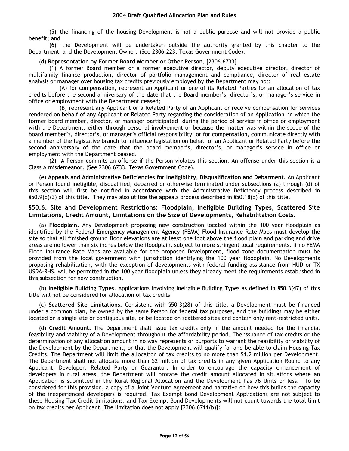(5) the financing of the housing Development is not a public purpose and will not provide a public benefit; and

(6) the Development will be undertaken outside the authority granted by this chapter to the Department and the Development Owner. (See 2306.223, Texas Government Code).

#### (d) **Representation by Former Board Member or Other Person.** [2306.6733]

(1) A former Board member or a former executive director, deputy executive director, director of multifamily finance production, director of portfolio management and compliance, director of real estate analysis or manager over housing tax credits previously employed by the Department may not:

(A) for compensation, represent an Applicant or one of its Related Parties for an allocation of tax credits before the second anniversary of the date that the Board member's, director's, or manager's service in office or employment with the Department ceased;

(B) represent any Applicant or a Related Party of an Applicant or receive compensation for services rendered on behalf of any Applicant or Related Party regarding the consideration of an Application in which the former board member, director, or manager participated during the period of service in office or employment with the Department, either through personal involvement or because the matter was within the scope of the board member's, director's, or manager's official responsibility; or for compensation, communicate directly with a member of the legislative branch to influence legislation on behalf of an Applicant or Related Party before the second anniversary of the date that the board member's, director's, or manager's service in office or employment with the Department ceased.

(2) A Person commits an offense if the Person violates this section. An offense under this section is a Class A misdemeanor. (See 2306.6733, Texas Government Code).

(e) **Appeals and Administrative Deficiencies for Ineligibility, Disqualification and Debarment.** An Applicant or Person found ineligible, disqualified, debarred or otherwise terminated under subsections (a) through (d) of this section will first be notified in accordance with the Administrative Deficiency process described in §50.9(d)(3) of this title. They may also utilize the appeals process described in §50.18(b) of this title.

## **§50.6. Site and Development Restrictions: Floodplain, Ineligible Building Types, Scattered Site Limitations, Credit Amount, Limitations on the Size of Developments, Rehabilitation Costs.**

(a) **Floodplain.** Any Development proposing new construction located within the 100 year floodplain as identified by the Federal Emergency Management Agency (FEMA) Flood Insurance Rate Maps must develop the site so that all finished ground floor elevations are at least one foot above the flood plain and parking and drive areas are no lower than six inches below the floodplain, subject to more stringent local requirements. If no FEMA Flood Insurance Rate Maps are available for the proposed Development, flood zone documentation must be provided from the local government with jurisdiction identifying the 100 year floodplain. No Developments proposing rehabilitation, with the exception of developments with federal funding assistance from HUD or TX USDA-RHS, will be permitted in the 100 year floodplain unless they already meet the requirements established in this subsection for new construction.

(b) **Ineligible Building Types**. Applications involving Ineligible Building Types as defined in §50.3(47) of this title will not be considered for allocation of tax credits.

(c) **Scattered Site Limitations.** Consistent with §50.3(28) of this title, a Development must be financed under a common plan, be owned by the same Person for federal tax purposes, and the buildings may be either located on a single site or contiguous site, or be located on scattered sites and contain only rent-restricted units.

(d) **Credit Amount.** The Department shall issue tax credits only in the amount needed for the financial feasibility and viability of a Development throughout the affordability period. The issuance of tax credits or the determination of any allocation amount in no way represents or purports to warrant the feasibility or viability of the Development by the Department, or that the Development will qualify for and be able to claim Housing Tax Credits. The Department will limit the allocation of tax credits to no more than \$1.2 million per Development. The Department shall not allocate more than \$2 million of tax credits in any given Application Round to any Applicant, Developer, Related Party or Guarantor. In order to encourage the capacity enhancement of developers in rural areas, the Department will prorate the credit amount allocated in situations where an Application is submitted in the Rural Regional Allocation and the Development has 76 Units or less. To be considered for this provision, a copy of a Joint Venture Agreement and narrative on how this builds the capacity of the inexperienced developers is required. Tax Exempt Bond Development Applications are not subject to these Housing Tax Credit limitations, and Tax Exempt Bond Developments will not count towards the total limit on tax credits per Applicant. The limitation does not apply [2306.6711(b)]: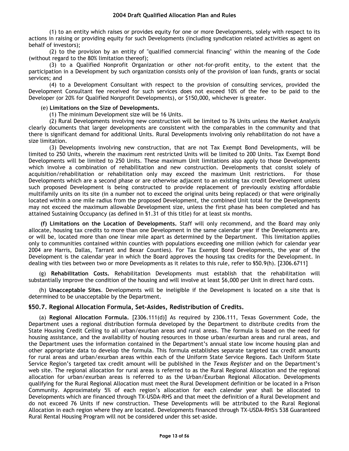(1) to an entity which raises or provides equity for one or more Developments, solely with respect to its actions in raising or providing equity for such Developments (including syndication related activities as agent on behalf of investors);

(2) to the provision by an entity of "qualified commercial financing" within the meaning of the Code (without regard to the 80% limitation thereof);

(3) to a Qualified Nonprofit Organization or other not-for-profit entity, to the extent that the participation in a Development by such organization consists only of the provision of loan funds, grants or social services; and

(4) to a Development Consultant with respect to the provision of consulting services, provided the Development Consultant fee received for such services does not exceed 10% of the fee to be paid to the Developer (or 20% for Qualified Nonprofit Developments), or \$150,000, whichever is greater.

#### (e) **Limitations on the Size of Developments.**

(1) The minimum Development size will be 16 Units.

(2) Rural Developments involving new construction will be limited to 76 Units unless the Market Analysis clearly documents that larger developments are consistent with the comparables in the community and that there is significant demand for additional Units. Rural Developments involving only rehabilitation do not have a size limitation.

(3) Developments involving new construction, that are not Tax Exempt Bond Developments, will be limited to 250 Units, wherein the maximum rent restricted Units will be limited to 200 Units. Tax Exempt Bond Developments will be limited to 250 Units. These maximum Unit limitations also apply to those Developments which involve a combination of rehabilitation and new construction. Developments that consist solely of acquisition/rehabilitation or rehabilitation only may exceed the maximum Unit restrictions. For those Developments which are a second phase or are otherwise adjacent to an existing tax credit Development unless such proposed Development is being constructed to provide replacement of previously existing affordable multifamily units on its site (in a number not to exceed the original units being replaced) or that were originally located within a one mile radius from the proposed Development, the combined Unit total for the Developments may not exceed the maximum allowable Development size, unless the first phase has been completed and has attained Sustaining Occupancy (as defined in §1.31 of this title) for at least six months.

**(f) Limitations on the Location of Developments.** Staff will only recommend, and the Board may only allocate, housing tax credits to more than one Development in the same calendar year if the Developments are, or will be, located more than one linear mile apart as determined by the Department. This limitation applies only to communities contained within counties with populations exceeding one million (which for calendar year 2004 are Harris, Dallas, Tarrant and Bexar Counties). For Tax Exempt Bond Developments, the year of the Development is the calendar year in which the Board approves the housing tax credits for the Development. In dealing with ties between two or more Developments as it relates to this rule, refer to §50.9(h). [2306.6711]

(g) **Rehabilitation Costs.** Rehabilitation Developments must establish that the rehabilitation will substantially improve the condition of the housing and will involve at least \$6,000 per Unit in direct hard costs.

(h) **Unacceptable Sites**. Developments will be ineligible if the Development is located on a site that is determined to be unacceptable by the Department.

# **§50.7. Regional Allocation Formula, Set-Asides, Redistribution of Credits.**

(a) **Regional Allocation Formula.** [2306.111(d)] As required by 2306.111, Texas Government Code, the Department uses a regional distribution formula developed by the Department to distribute credits from the State Housing Credit Ceiling to all urban/exurban areas and rural areas. The formula is based on the need for housing assistance, and the availability of housing resources in those urban/exurban areas and rural areas, and the Department uses the information contained in the Department's annual state low income housing plan and other appropriate data to develop the formula. This formula establishes separate targeted tax credit amounts for rural areas and urban/exurban areas within each of the Uniform State Service Regions. Each Uniform State Service Region's targeted tax credit amount will be published in the *Texas Register* and on the Department's web site. The regional allocation for rural areas is referred to as the Rural Regional Allocation and the regional allocation for urban/exurban areas is referred to as the Urban/Exurban Regional Allocation. Developments qualifying for the Rural Regional Allocation must meet the Rural Development definition or be located in a Prison Community. Approximately 5% of each region's allocation for each calendar year shall be allocated to Developments which are financed through TX-USDA-RHS and that meet the definition of a Rural Development and do not exceed 76 Units if new construction. These Developments will be attributed to the Rural Regional Allocation in each region where they are located. Developments financed through TX-USDA-RHS's 538 Guaranteed Rural Rental Housing Program will not be considered under this set-aside.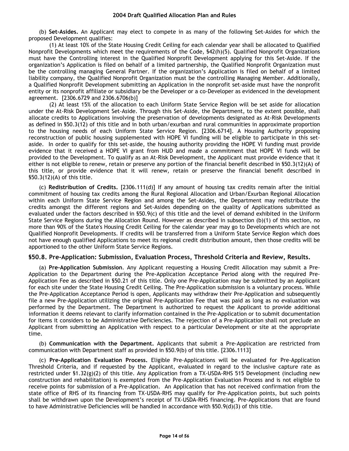(b) **Set-Asides.** An Applicant may elect to compete in as many of the following Set-Asides for which the proposed Development qualifies:

(1) At least 10% of the State Housing Credit Ceiling for each calendar year shall be allocated to Qualified Nonprofit Developments which meet the requirements of the Code, §42(h)(5). Qualified Nonprofit Organizations must have the Controlling interest in the Qualified Nonprofit Development applying for this Set-Aside. If the organization's Application is filed on behalf of a limited partnership, the Qualified Nonprofit Organization must be the controlling managing General Partner. If the organization's Application is filed on behalf of a limited liability company, the Qualified Nonprofit Organization must be the controlling Managing Member. Additionally, a Qualified Nonprofit Development submitting an Application in the nonprofit set-aside must have the nonprofit entity or its nonprofit affiliate or subsidiary be the Developer or a co-Developer as evidenced in the development agreement. [2306.6729 and 2306.6706(b)]

(2) At least 15% of the allocation to each Uniform State Service Region will be set aside for allocation under the At-Risk Development Set-Aside. Through this Set-Aside, the Department, to the extent possible, shall allocate credits to Applications involving the preservation of developments designated as At-Risk Developments as defined in §50.3(12) of this title and in both urban/exurban and rural communities in approximate proportion to the housing needs of each Uniform State Service Region. [2306.6714]. A Housing Authority proposing reconstruction of public housing supplemented with HOPE VI funding will be eligible to participate in this setaside. In order to qualify for this set-aside, the housing authority providing the HOPE VI funding must provide evidence that it received a HOPE VI grant from HUD and made a commitment that HOPE VI funds will be provided to the Development. To qualify as an At-Risk Development, the Applicant must provide evidence that it either is not eligible to renew, retain or preserve any portion of the financial benefit described in §50.3(12)(A) of this title, or provide evidence that it will renew, retain or preserve the financial benefit described in §50.3(12)(A) of this title.

(c) **Redistribution of Credits.** [2306.111(d)] If any amount of housing tax credits remain after the initial commitment of housing tax credits among the Rural Regional Allocation and Urban/Exurban Regional Allocation within each Uniform State Service Region and among the Set-Asides, the Department may redistribute the credits amongst the different regions and Set-Asides depending on the quality of Applications submitted as evaluated under the factors described in §50.9(c) of this title and the level of demand exhibited in the Uniform State Service Regions during the Allocation Round. However as described in subsection (b)(1) of this section, no more than 90% of the State's Housing Credit Ceiling for the calendar year may go to Developments which are not Qualified Nonprofit Developments. If credits will be transferred from a Uniform State Service Region which does not have enough qualified Applications to meet its regional credit distribution amount, then those credits will be apportioned to the other Uniform State Service Regions.

#### **§50.8. Pre-Application: Submission, Evaluation Process, Threshold Criteria and Review, Results.**

(a) **Pre-Application Submission**. Any Applicant requesting a Housing Credit Allocation may submit a Pre-Application to the Department during the Pre-Application Acceptance Period along with the required Pre-Application Fee as described in §50.21 of this title. Only one Pre-Application may be submitted by an Applicant for each site under the State Housing Credit Ceiling. The Pre-Application submission is a voluntary process. While the Pre-Application Acceptance Period is open, Applicants may withdraw their Pre-Application and subsequently file a new Pre-Application utilizing the original Pre-Application Fee that was paid as long as no evaluation was performed by the Department. The Department is authorized to request the Applicant to provide additional information it deems relevant to clarify information contained in the Pre-Application or to submit documentation for items it considers to be Administrative Deficiencies. The rejection of a Pre-Application shall not preclude an Applicant from submitting an Application with respect to a particular Development or site at the appropriate time.

(b) **Communication with the Department.** Applicants that submit a Pre-Application are restricted from communication with Department staff as provided in §50.9(b) of this title. [2306.1113]

(c) **Pre-Application Evaluation Process.** Eligible Pre-Applications will be evaluated for Pre-Application Threshold Criteria, and if requested by the Applicant, evaluated in regard to the inclusive capture rate as restricted under §1.32(g)(2) of this title. Any Application from a TX-USDA-RHS 515 Development (including new construction and rehabilitation) is exempted from the Pre-Application Evaluation Process and is not eligible to receive points for submission of a Pre-Application. An Application that has not received confirmation from the state office of RHS of its financing from TX-USDA-RHS may qualify for Pre-Application points, but such points shall be withdrawn upon the Development's receipt of TX-USDA-RHS financing. Pre-Applications that are found to have Administrative Deficiencies will be handled in accordance with §50.9(d)(3) of this title.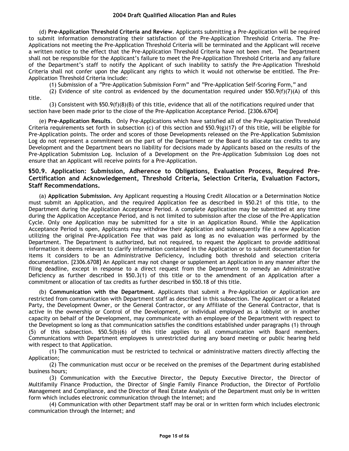(d) **Pre-Application Threshold Criteria and Review**. Applicants submitting a Pre-Application will be required to submit information demonstrating their satisfaction of the Pre-Application Threshold Criteria. The Pre-Applications not meeting the Pre-Application Threshold Criteria will be terminated and the Applicant will receive a written notice to the effect that the Pre-Application Threshold Criteria have not been met. The Department shall not be responsible for the Applicant's failure to meet the Pre-Application Threshold Criteria and any failure of the Department's staff to notify the Applicant of such inability to satisfy the Pre-Application Threshold Criteria shall not confer upon the Applicant any rights to which it would not otherwise be entitled. The Pre-Application Threshold Criteria include:

(1) Submission of a "Pre-Application Submission Form" and "Pre-Application Self-Scoring Form," and

(2) Evidence of site control as evidenced by the documentation required under  $$50.9(f)(7)(A)$  of this title.

(3) Consistent with  $$50.9(f)(8)(B)$  of this title, evidence that all of the notifications required under that section have been made prior to the close of the Pre-Application Acceptance Period. [2306.6704]

(e) **Pre-Application Results**. Only Pre-Applications which have satisfied all of the Pre-Application Threshold Criteria requirements set forth in subsection (c) of this section and  $$50.9(g)(17)$  of this title, will be eligible for Pre-Application points. The order and scores of those Developments released on the Pre-Application Submission Log do not represent a commitment on the part of the Department or the Board to allocate tax credits to any Development and the Department bears no liability for decisions made by Applicants based on the results of the Pre-Application Submission Log. Inclusion of a Development on the Pre-Application Submission Log does not ensure that an Applicant will receive points for a Pre-Application.

# **§50.9. Application: Submission, Adherence to Obligations, Evaluation Process, Required Pre-Certification and Acknowledgement, Threshold Criteria, Selection Criteria, Evaluation Factors, Staff Recommendations.**

(a) **Application Submission.** Any Applicant requesting a Housing Credit Allocation or a Determination Notice must submit an Application, and the required Application fee as described in §50.21 of this title, to the Department during the Application Acceptance Period. A complete Application may be submitted at any time during the Application Acceptance Period, and is not limited to submission after the close of the Pre-Application Cycle. Only one Application may be submitted for a site in an Application Round. While the Application Acceptance Period is open, Applicants may withdraw their Application and subsequently file a new Application utilizing the original Pre-Application Fee that was paid as long as no evaluation was performed by the Department. The Department is authorized, but not required, to request the Applicant to provide additional information it deems relevant to clarify information contained in the Application or to submit documentation for items it considers to be an Administrative Deficiency, including both threshold and selection criteria documentation. [2306.6708] An Applicant may not change or supplement an Application in any manner after the filing deadline, except in response to a direct request from the Department to remedy an Administrative Deficiency as further described in §50.3(1) of this title or to the amendment of an Application after a commitment or allocation of tax credits as further described in §50.18 of this title.

(b) **Communication with the Department.** Applicants that submit a Pre-Application or Application are restricted from communication with Department staff as described in this subsection. The Applicant or a Related Party, the Development Owner, or the General Contractor, or any Affiliate of the General Contractor, that is active in the ownership or Control of the Development, or individual employed as a lobbyist or in another capacity on behalf of the Development, may communicate with an employee of the Department with respect to the Development so long as that communication satisfies the conditions established under paragraphs (1) through (5) of this subsection. §50.5(b)(6) of this title applies to all communication with Board members. Communications with Department employees is unrestricted during any board meeting or public hearing held with respect to that Application.

(1) The communication must be restricted to technical or administrative matters directly affecting the Application;

(2) The communication must occur or be received on the premises of the Department during established business hours;

(3) Communication with the Executive Director, the Deputy Executive Director, the Director of Multifamily Finance Production, the Director of Single Family Finance Production, the Director of Portfolio Management and Compliance, and the Director of Real Estate Analysis of the Department must only be in written form which includes electronic communication through the Internet; and

(4) Communication with other Department staff may be oral or in written form which includes electronic communication through the Internet; and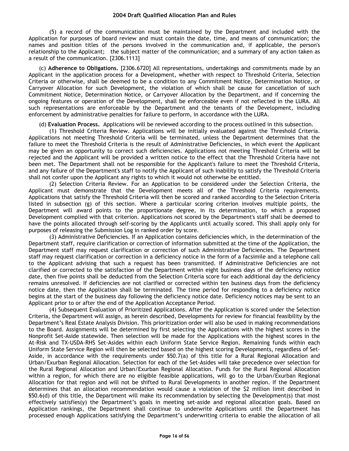(5) a record of the communication must be maintained by the Department and included with the Application for purposes of board review and must contain the date, time, and means of communication; the names and position titles of the persons involved in the communication and, if applicable, the person's relationship to the Applicant; the subject matter of the communication; and a summary of any action taken as a result of the communication. [2306.1113]

(c) **Adherence to Obligations.** [2306.6720] All representations, undertakings and commitments made by an Applicant in the application process for a Development, whether with respect to Threshold Criteria, Selection Criteria or otherwise, shall be deemed to be a condition to any Commitment Notice, Determination Notice, or Carryover Allocation for such Development, the violation of which shall be cause for cancellation of such Commitment Notice, Determination Notice, or Carryover Allocation by the Department, and if concerning the ongoing features or operation of the Development, shall be enforceable even if not reflected in the LURA. All such representations are enforceable by the Department and the tenants of the Development, including enforcement by administrative penalties for failure to perform, in accordance with the LURA.

(d) **Evaluation Process.** Applications will be reviewed according to the process outlined in this subsection.

(1) Threshold Criteria Review. Applications will be initially evaluated against the Threshold Criteria. Applications not meeting Threshold Criteria will be terminated, unless the Department determines that the failure to meet the Threshold Criteria is the result of Administrative Deficiencies, in which event the Applicant may be given an opportunity to correct such deficiencies. Applications not meeting Threshold Criteria will be rejected and the Applicant will be provided a written notice to the effect that the Threshold Criteria have not been met. The Department shall not be responsible for the Applicant's failure to meet the Threshold Criteria, and any failure of the Department's staff to notify the Applicant of such inability to satisfy the Threshold Criteria shall not confer upon the Applicant any rights to which it would not otherwise be entitled.

(2) Selection Criteria Review. For an Application to be considered under the Selection Criteria, the Applicant must demonstrate that the Development meets all of the Threshold Criteria requirements. Applications that satisfy the Threshold Criteria will then be scored and ranked according to the Selection Criteria listed in subsection (g) of this section. Where a particular scoring criterion involves multiple points, the Department will award points to the proportionate degree, in its determination, to which a proposed Development complied with that criterion. Applications not scored by the Department's staff shall be deemed to have the points allocated through self-scoring by the Applicants until actually scored. This shall apply only for purposes of releasing the Submission Log in ranked order by score.

(3) Administrative Deficiencies. If an Application contains deficiencies which, in the determination of the Department staff, require clarification or correction of information submitted at the time of the Application, the Department staff may request clarification or correction of such Administrative Deficiencies. The Department staff may request clarification or correction in a deficiency notice in the form of a facsimile and a telephone call to the Applicant advising that such a request has been transmitted. If Administrative Deficiencies are not clarified or corrected to the satisfaction of the Department within eight business days of the deficiency notice date, then five points shall be deducted from the Selection Criteria score for each additional day the deficiency remains unresolved. If deficiencies are not clarified or corrected within ten business days from the deficiency notice date, then the Application shall be terminated. The time period for responding to a deficiency notice begins at the start of the business day following the deficiency notice date. Deficiency notices may be sent to an Applicant prior to or after the end of the Application Acceptance Period.

(4) Subsequent Evaluation of Prioritized Applications. After the Application is scored under the Selection Criteria, the Department will assign, as herein described, Developments for review for financial feasibility by the Department's Real Estate Analysis Division. This prioritization order will also be used in making recommendations to the Board. Assignments will be determined by first selecting the Applications with the highest scores in the Nonprofit Set-Aside statewide. Then selection will be made for the Applications with the highest scores in the At-Risk and TX-USDA-RHS Set-Asides within each Uniform State Service Region. Remaining funds within each Uniform State Service Region will then be selected based on the highest scoring Developments, regardless of Set-Aside, in accordance with the requirements under §50.7(a) of this title for a Rural Regional Allocation and Urban/Exurban Regional Allocation. Selection for each of the Set-Asides will take precedence over selection for the Rural Regional Allocation and Urban/Exurban Regional Allocation. Funds for the Rural Regional Allocation within a region, for which there are no eligible feasible applications, will go to the Urban/Exurban Regional Allocation for that region and will not be shifted to Rural Developments in another region. If the Department determines that an allocation recommendation would cause a violation of the \$2 million limit described in §50.6(d) of this title, the Department will make its recommendation by selecting the Development(s) that most effectively satisfies(y) the Department's goals in meeting set-aside and regional allocation goals. Based on Application rankings, the Department shall continue to underwrite Applications until the Department has processed enough Applications satisfying the Department's underwriting criteria to enable the allocation of all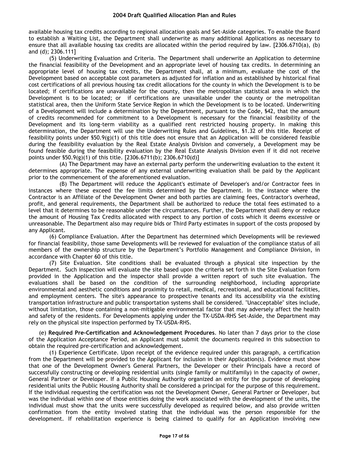available housing tax credits according to regional allocation goals and Set-Aside categories. To enable the Board to establish a Waiting List, the Department shall underwrite as many additional Applications as necessary to ensure that all available housing tax credits are allocated within the period required by law. [2306.6710(a), (b) and (d); 2306.111]

(5) Underwriting Evaluation and Criteria. The Department shall underwrite an Application to determine the financial feasibility of the Development and an appropriate level of housing tax credits. In determining an appropriate level of housing tax credits, the Department shall, at a minimum, evaluate the cost of the Development based on acceptable cost parameters as adjusted for inflation and as established by historical final cost certifications of all previous housing tax credit allocations for the county in which the Development is to be located; if certifications are unavailable for the county, then the metropolitan statistical area in which the Development is to be located; or if certifications are unavailable under the county or the metropolitan statistical area, then the Uniform State Service Region in which the Development is to be located. Underwriting of a Development will include a determination by the Department, pursuant to the Code, §42, that the amount of credits recommended for commitment to a Development is necessary for the financial feasibility of the Development and its long-term viability as a qualified rent restricted housing property. In making this determination, the Department will use the Underwriting Rules and Guidelines, §1.32 of this title. Receipt of feasibility points under §50.9(g)(1) of this title does not ensure that an Application will be considered feasible during the feasibility evaluation by the Real Estate Analysis Division and conversely, a Development may be found feasible during the feasibility evaluation by the Real Estate Analysis Division even if it did not receive points under §50.9(g)(1) of this title. [2306.6711(b); 2306.6710(d)]

(A) The Department may have an external party perform the underwriting evaluation to the extent it determines appropriate. The expense of any external underwriting evaluation shall be paid by the Applicant prior to the commencement of the aforementioned evaluation.

(B) The Department will reduce the Applicant's estimate of Developer's and/or Contractor fees in instances where these exceed the fee limits determined by the Department. In the instance where the Contractor is an Affiliate of the Development Owner and both parties are claiming fees, Contractor's overhead, profit, and general requirements, the Department shall be authorized to reduce the total fees estimated to a level that it determines to be reasonable under the circumstances. Further, the Department shall deny or reduce the amount of Housing Tax Credits allocated with respect to any portion of costs which it deems excessive or unreasonable. The Department also may require bids or Third Party estimates in support of the costs proposed by any Applicant.

(6) Compliance Evaluation. After the Department has determined which Developments will be reviewed for financial feasibility, those same Developments will be reviewed for evaluation of the compliance status of all members of the ownership structure by the Department's Portfolio Management and Compliance Division, in accordance with Chapter 60 of this title.

(7) Site Evaluation. Site conditions shall be evaluated through a physical site inspection by the Department. Such inspection will evaluate the site based upon the criteria set forth in the Site Evaluation form provided in the Application and the inspector shall provide a written report of such site evaluation. The evaluations shall be based on the condition of the surrounding neighborhood, including appropriate environmental and aesthetic conditions and proximity to retail, medical, recreational, and educational facilities, and employment centers. The site's appearance to prospective tenants and its accessibility via the existing transportation infrastructure and public transportation systems shall be considered. "Unacceptable" sites include, without limitation, those containing a non-mitigable environmental factor that may adversely affect the health and safety of the residents. For Developments applying under the TX-USDA-RHS Set-Aside, the Department may rely on the physical site inspection performed by TX-USDA-RHS.

(e) **Required Pre-Certification and Acknowledgement Procedures**. No later than 7 days prior to the close of the Application Acceptance Period, an Applicant must submit the documents required in this subsection to obtain the required pre-certification and acknowledgement.

(1) Experience Certificate. Upon receipt of the evidence required under this paragraph, a certification from the Department will be provided to the Applicant for inclusion in their Application(s). Evidence must show that one of the Development Owner's General Partners, the Developer or their Principals have a record of successfully constructing or developing residential units (single family or multifamily) in the capacity of owner, General Partner or Developer. If a Public Housing Authority organized an entity for the purpose of developing residential units the Public Housing Authority shall be considered a principal for the purpose of this requirement. If the individual requesting the certification was not the Development Owner, General Partner or Developer, but was the individual within one of those entities doing the work associated with the development of the units, the individual must show that the units were successfully developed as required below, and also provide written confirmation from the entity involved stating that the individual was the person responsible for the development. If rehabilitation experience is being claimed to qualify for an Application involving new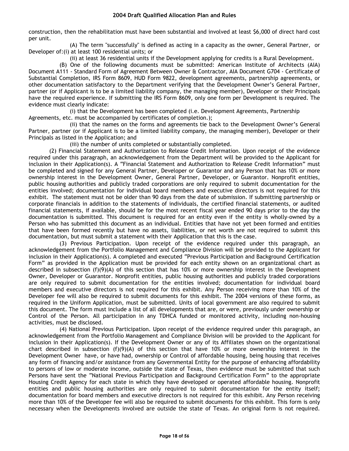construction, then the rehabilitation must have been substantial and involved at least \$6,000 of direct hard cost per unit.

(A) The term "successfully" is defined as acting in a capacity as the owner, General Partner, or Developer of:(i) at least 100 residential units; or

(ii) at least 36 residential units if the Development applying for credits is a Rural Development.

(B) One of the following documents must be submitted: American Institute of Architects (AIA) Document A111 - Standard Form of Agreement Between Owner & Contractor, AIA Document G704 - Certificate of Substantial Completion, IRS Form 8609, HUD Form 9822, development agreements, partnership agreements, or other documentation satisfactory to the Department verifying that the Development Owner's General Partner, partner (or if Applicant is to be a limited liability company, the managing member), Developer or their Principals have the required experience. If submitting the IRS Form 8609, only one form per Development is required. The evidence must clearly indicate:

(i) that the Development has been completed (i.e. Development Agreements, Partnership Agreements, etc. must be accompanied by certificates of completion.);

(ii) that the names on the forms and agreements tie back to the Development Owner's General Partner, partner (or if Applicant is to be a limited liability company, the managing member), Developer or their Principals as listed in the Application; and

(iii) the number of units completed or substantially completed.

(2) Financial Statement and Authorization to Release Credit Information. Upon receipt of the evidence required under this paragraph, an acknowledgement from the Department will be provided to the Applicant for inclusion in their Application(s). A "Financial Statement and Authorization to Release Credit Information" must be completed and signed for any General Partner, Developer or Guarantor and any Person that has 10% or more ownership interest in the Development Owner, General Partner, Developer, or Guarantor. Nonprofit entities, public housing authorities and publicly traded corporations are only required to submit documentation for the entities involved; documentation for individual board members and executive directors is not required for this exhibit. The statement must not be older than 90 days from the date of submission. If submitting partnership or corporate financials in addition to the statements of individuals, the certified financial statements, or audited financial statements, if available, should be for the most recent fiscal year ended 90 days prior to the day the documentation is submitted. This document is required for an entity even if the entity is wholly-owned by a Person who has submitted this document as an individual. Entities that have not yet been formed and entities that have been formed recently but have no assets, liabilities, or net worth are not required to submit this documentation, but must submit a statement with their Application that this is the case.

(3) Previous Participation. Upon receipt of the evidence required under this paragraph, an acknowledgement from the Portfolio Management and Compliance Division will be provided to the Applicant for inclusion in their Application(s). A completed and executed "Previous Participation and Background Certification Form" as provided in the Application must be provided for each entity shown on an organizational chart as described in subsection (f)(9)(A) of this section that has 10% or more ownership interest in the Development Owner, Developer or Guarantor. Nonprofit entities, public housing authorities and publicly traded corporations are only required to submit documentation for the entities involved; documentation for individual board members and executive directors is not required for this exhibit. Any Person receiving more than 10% of the Developer fee will also be required to submit documents for this exhibit. The 2004 versions of these forms, as required in the Uniform Application, must be submitted. Units of local government are also required to submit this document. The form must include a list of all developments that are, or were, previously under ownership or Control of the Person. All participation in any TDHCA funded or monitored activity, including non-housing activities, must be disclosed.

(4) National Previous Participation. Upon receipt of the evidence required under this paragraph, an acknowledgement from the Portfolio Management and Compliance Division will be provided to the Applicant for inclusion in their Application(s). If the Development Owner or any of its Affiliates shown on the organizational chart described in subsection  $(f)(9)(A)$  of this section that have 10% or more ownership interest in the Development Owner have, or have had, ownership or Control of affordable housing, being housing that receives any form of financing and/or assistance from any Governmental Entity for the purpose of enhancing affordability to persons of low or moderate income, outside the state of Texas, then evidence must be submitted that such Persons have sent the "National Previous Participation and Background Certification Form" to the appropriate Housing Credit Agency for each state in which they have developed or operated affordable housing. Nonprofit entities and public housing authorities are only required to submit documentation for the entity itself; documentation for board members and executive directors is not required for this exhibit. Any Person receiving more than 10% of the Developer fee will also be required to submit documents for this exhibit. This form is only necessary when the Developments involved are outside the state of Texas. An original form is not required.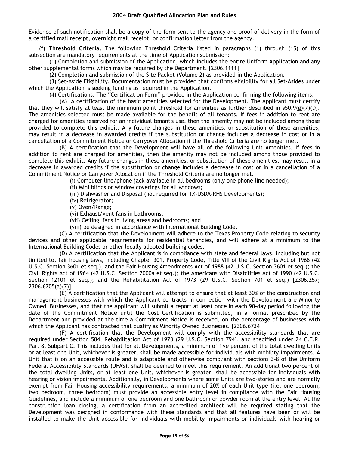Evidence of such notification shall be a copy of the form sent to the agency and proof of delivery in the form of a certified mail receipt, overnight mail receipt, or confirmation letter from the agency.

(f) **Threshold Criteria.** The following Threshold Criteria listed in paragraphs (1) through (15) of this subsection are mandatory requirements at the time of Application submission:

(1) Completion and submission of the Application, which includes the entire Uniform Application and any other supplemental forms which may be required by the Department. [2306.1111]

(2) Completion and submission of the Site Packet (Volume 2) as provided in the Application.

(3) Set-Aside Eligibility. Documentation must be provided that confirms eligibility for all Set-Asides under which the Application is seeking funding as required in the Application.

(4) Certifications. The "Certification Form" provided in the Application confirming the following items:

(A) A certification of the basic amenities selected for the Development. The Applicant must certify that they will satisfy at least the minimum point threshold for amenities as further described in  $$50.9(g)(7)(D)$ . The amenities selected must be made available for the benefit of all tenants. If fees in addition to rent are charged for amenities reserved for an individual tenant's use, then the amenity may not be included among those provided to complete this exhibit. Any future changes in these amenities, or substitution of these amenities, may result in a decrease in awarded credits if the substitution or change includes a decrease in cost or in a cancellation of a Commitment Notice or Carryover Allocation if the Threshold Criteria are no longer met.

(B) A certification that the Development will have all of the following Unit Amenities. If fees in addition to rent are charged for amenities, then the amenity may not be included among those provided to complete this exhibit. Any future changes in these amenities, or substitution of these amenities, may result in a decrease in awarded credits if the substitution or change includes a decrease in cost or in a cancellation of a Commitment Notice or Carryover Allocation if the Threshold Criteria are no longer met.

(i) Computer line/phone jack available in all bedrooms (only one phone line needed);

(ii) Mini blinds or window coverings for all windows;

(iii) Dishwasher and Disposal (not required for TX-USDA-RHS Developments);

(iv) Refrigerator;

(v) Oven/Range;

(vi) Exhaust/vent fans in bathrooms;

(vii) Ceiling fans in living areas and bedrooms; and

(viii) be designed in accordance with International Building Code.

(C) A certification that the Development will adhere to the Texas Property Code relating to security devices and other applicable requirements for residential tenancies, and will adhere at a minimum to the International Building Codes or other locally adopted building codes.

(D) A certification that the Applicant is in compliance with state and federal laws, including but not limited to, fair housing laws, including Chapter 301, Property Code, Title VIII of the Civil Rights Act of 1968 (42 U.S.C. Section 3601 et seq.), and the Fair Housing Amendments Act of 1988 (42 U.S.C. Section 3601 et seq.); the Civil Rights Act of 1964 (42 U.S.C. Section 2000a et seq.); the Americans with Disabilities Act of 1990 (42 U.S.C. Section 12101 et seq.); and the Rehabilitation Act of 1973 (29 U.S.C. Section 701 et seq.) [2306.257; 2306.6705(a)(7)]

(E) A certification that the Applicant will attempt to ensure that at least 30% of the construction and management businesses with which the Applicant contracts in connection with the Development are Minority Owned Businesses, and that the Applicant will submit a report at least once in each 90-day period following the date of the Commitment Notice until the Cost Certification is submitted, in a format prescribed by the Department and provided at the time a Commitment Notice is received, on the percentage of businesses with which the Applicant has contracted that qualify as Minority Owned Businesses. [2306.6734]

(F) A certification that the Development will comply with the accessibility standards that are required under Section 504, Rehabilitation Act of 1973 (29 U.S.C. Section 794), and specified under 24 C.F.R. Part 8, Subpart C. This includes that for all Developments, a minimum of five percent of the total dwelling Units or at least one Unit, whichever is greater, shall be made accessible for individuals with mobility impairments. A Unit that is on an accessible route and is adaptable and otherwise compliant with sections 3–8 of the Uniform Federal Accessibility Standards (UFAS), shall be deemed to meet this requirement. An additional two percent of the total dwelling Units, or at least one Unit, whichever is greater, shall be accessible for individuals with hearing or vision impairments. Additionally, in Developments where some Units are two-stories and are normally exempt from Fair Housing accessibility requirements, a minimum of 20% of each Unit type (i.e. one bedroom, two bedroom, three bedroom) must provide an accessible entry level in compliance with the Fair Housing Guidelines, and include a minimum of one bedroom and one bathroom or powder room at the entry level. At the construction loan closing, a certification from an accredited architect will be required stating that the Development was designed in conformance with these standards and that all features have been or will be installed to make the Unit accessible for individuals with mobility impairments or individuals with hearing or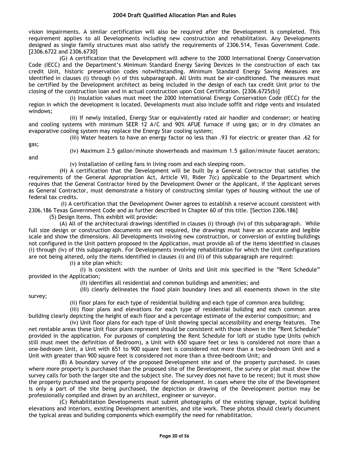vision impairments. A similar certification will also be required after the Development is completed. This requirement applies to all Developments including new construction and rehabilitation. Any Developments designed as single family structures must also satisfy the requirements of 2306.514, Texas Government Code. [2306.6722 and 2306.6730]

(G) A certification that the Development will adhere to the 2000 International Energy Conservation Code (IECC) and the Department's Minimum Standard Energy Saving Devices in the construction of each tax credit Unit, historic preservation codes notwithstanding. Minimum Standard Energy Saving Measures are identified in clauses (i) through (v) of this subparagraph. All Units must be air-conditioned. The measures must be certified by the Development architect as being included in the design of each tax credit Unit prior to the closing of the construction loan and in actual construction upon Cost Certification. [2306.6725(b)]

(i) Insulation values must meet the 2000 International Energy Conservation Code (IECC) for the region in which the development is located. Developments must also include soffit and ridge vents and insulated windows;

(ii) If newly installed, Energy Star or equivalently rated air handler and condenser; or heating and cooling systems with minimum SEER 12 A/C and 90% AFUE furnace if using gas; or in dry climates an evaporative cooling system may replace the Energy Star cooling system;

(iii) Water heaters to have an energy factor no less than .93 for electric or greater than .62 for

gas;

(iv) Maximum 2.5 gallon/minute showerheads and maximum 1.5 gallon/minute faucet aerators;

and

survey;

(v) Installation of ceiling fans in living room and each sleeping room.

(H) A certification that the Development will be built by a General Contractor that satisfies the requirements of the General Appropriation Act, Article VII, Rider 7(c) applicable to the Department which requires that the General Contractor hired by the Development Owner or the Applicant, if the Applicant serves as General Contractor, must demonstrate a history of constructing similar types of housing without the use of federal tax credits.

(I) A certification that the Development Owner agrees to establish a reserve account consistent with 2306.186 Texas Government Code and as further described in Chapter 60 of this title. [Section 2306.186]

(5) Design Items. This exhibit will provide:

(A) All of the architectural drawings identified in clauses (i) through (iv) of this subparagraph. While full size design or construction documents are not required, the drawings must have an accurate and legible scale and show the dimensions. All Developments involving new construction, or conversion of existing buildings not configured in the Unit pattern proposed in the Application, must provide all of the items identified in clauses (i) through (iv) of this subparagraph. For Developments involving rehabilitation for which the Unit configurations are not being altered, only the items identified in clauses (i) and (ii) of this subparagraph are required:

(i) a site plan which:

(I) is consistent with the number of Units and Unit mix specified in the "Rent Schedule" provided in the Application;

(II) identifies all residential and common buildings and amenities; and

(III) clearly delineates the flood plain boundary lines and all easements shown in the site

(ii) floor plans for each type of residential building and each type of common area building;

(iii) floor plans and elevations for each type of residential building and each common area building clearly depicting the height of each floor and a percentage estimate of the exterior composition; and

(iv) Unit floor plans for each type of Unit showing special accessibility and energy features. The net rentable areas these Unit floor plans represent should be consistent with those shown in the "Rent Schedule" provided in the application. For purposes of completing the Rent Schedule for loft or studio type Units (which still must meet the definition of Bedroom), a Unit with 650 square feet or less is considered not more than a one-bedroom Unit, a Unit with 651 to 900 square feet is considered not more than a two-bedroom Unit and a Unit with greater than 900 square feet is considered not more than a three-bedroom Unit; and

(B) A boundary survey of the proposed Development site and of the property purchased. In cases where more property is purchased than the proposed site of the Development, the survey or plat must show the survey calls for both the larger site and the subject site. The survey does not have to be recent; but it must show the property purchased and the property proposed for development. In cases where the site of the Development is only a part of the site being purchased, the depiction or drawing of the Development portion may be professionally compiled and drawn by an architect, engineer or surveyor.

(C) Rehabilitation Developments must submit photographs of the existing signage, typical building elevations and interiors, existing Development amenities, and site work. These photos should clearly document the typical areas and building components which exemplify the need for rehabilitation.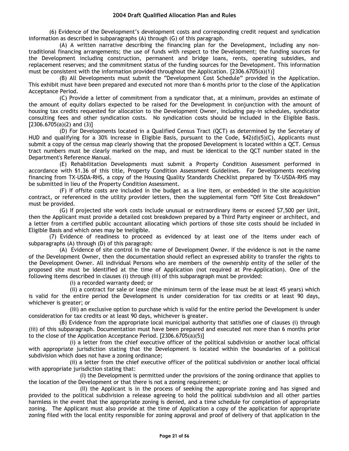(6) Evidence of the Development's development costs and corresponding credit request and syndication information as described in subparagraphs (A) through (G) of this paragraph.

(A) A written narrative describing the financing plan for the Development, including any nontraditional financing arrangements; the use of funds with respect to the Development; the funding sources for the Development including construction, permanent and bridge loans, rents, operating subsidies, and replacement reserves; and the commitment status of the funding sources for the Development. This information must be consistent with the information provided throughout the Application. [2306.6705(a)(1)]

(B) All Developments must submit the "Development Cost Schedule" provided in the Application. This exhibit must have been prepared and executed not more than 6 months prior to the close of the Application Acceptance Period.

(C) Provide a letter of commitment from a syndicator that, at a minimum, provides an estimate of the amount of equity dollars expected to be raised for the Development in conjunction with the amount of housing tax credits requested for allocation to the Development Owner, including pay-in schedules, syndicator consulting fees and other syndication costs. No syndication costs should be included in the Eligible Basis.  $[2306.6705(a)(2)$  and  $(3)]$ 

(D) For Developments located in a Qualified Census Tract (QCT) as determined by the Secretary of HUD and qualifying for a 30% increase in Eligible Basis, pursuant to the Code, §42(d)(5)(C), Applicants must submit a copy of the census map clearly showing that the proposed Development is located within a QCT. Census tract numbers must be clearly marked on the map, and must be identical to the QCT number stated in the Department's Reference Manual.

(E) Rehabilitation Developments must submit a Property Condition Assessment performed in accordance with §1.36 of this title, Property Condition Assessment Guidelines. For Developments receiving financing from TX-USDA-RHS, a copy of the Housing Quality Standards Checklist prepared by TX-USDA-RHS may be submitted in lieu of the Property Condition Assessment.

(F) If offsite costs are included in the budget as a line item, or embedded in the site acquisition contract, or referenced in the utility provider letters, then the supplemental form "Off Site Cost Breakdown" must be provided.

(G) If projected site work costs include unusual or extraordinary items or exceed \$7,500 per Unit, then the Applicant must provide a detailed cost breakdown prepared by a Third Party engineer or architect, and a letter from a certified public accountant allocating which portions of those site costs should be included in Eligible Basis and which ones may be ineligible.

(7) Evidence of readiness to proceed as evidenced by at least one of the items under each of subparagraphs (A) through (D) of this paragraph:

(A) Evidence of site control in the name of Development Owner. If the evidence is not in the name of the Development Owner, then the documentation should reflect an expressed ability to transfer the rights to the Development Owner. All individual Persons who are members of the ownership entity of the seller of the proposed site must be identified at the time of Application (not required at Pre-Application). One of the following items described in clauses (i) through (iii) of this subparagraph must be provided:

(i) a recorded warranty deed; or

(ii) a contract for sale or lease (the minimum term of the lease must be at least 45 years) which is valid for the entire period the Development is under consideration for tax credits or at least 90 days, whichever is greater; or

(iii) an exclusive option to purchase which is valid for the entire period the Development is under consideration for tax credits or at least 90 days, whichever is greater.

(B) Evidence from the appropriate local municipal authority that satisfies one of clauses (i) through (iii) of this subparagraph. Documentation must have been prepared and executed not more than 6 months prior to the close of the Application Acceptance Period. [2306.6705(a)(5)]

(i) a letter from the chief executive officer of the political subdivision or another local official with appropriate jurisdiction stating that the Development is located within the boundaries of a political subdivision which does not have a zoning ordinance;

(ii) a letter from the chief executive officer of the political subdivision or another local official with appropriate jurisdiction stating that:

(I) the Development is permitted under the provisions of the zoning ordinance that applies to the location of the Development or that there is not a zoning requirement; or

(II) the Applicant is in the process of seeking the appropriate zoning and has signed and provided to the political subdivision a release agreeing to hold the political subdivision and all other parties harmless in the event that the appropriate zoning is denied, and a time schedule for completion of appropriate zoning. The Applicant must also provide at the time of Application a copy of the application for appropriate zoning filed with the local entity responsible for zoning approval and proof of delivery of that application in the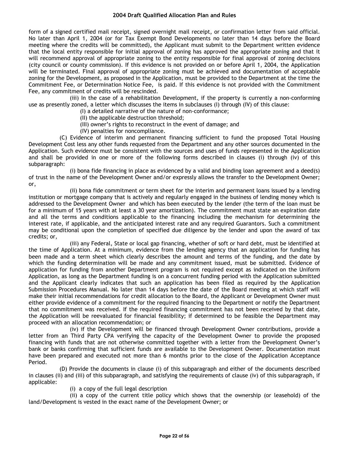form of a signed certified mail receipt, signed overnight mail receipt, or confirmation letter from said official. No later than April 1, 2004 (or for Tax Exempt Bond Developments no later than 14 days before the Board meeting where the credits will be committed), the Applicant must submit to the Department written evidence that the local entity responsible for initial approval of zoning has approved the appropriate zoning and that it will recommend approval of appropriate zoning to the entity responsible for final approval of zoning decisions (city council or county commission). If this evidence is not provided on or before April 1, 2004, the Application will be terminated. Final approval of appropriate zoning must be achieved and documentation of acceptable zoning for the Development, as proposed in the Application, must be provided to the Department at the time the Commitment Fee, or Determination Notice Fee, is paid. If this evidence is not provided with the Commitment Fee, any commitment of credits will be rescinded.

(iii) In the case of a rehabilitation Development, if the property is currently a non-conforming use as presently zoned, a letter which discusses the items in subclauses (I) through (IV) of this clause:

- (I) a detailed narrative of the nature of non-conformance;
- (II) the applicable destruction threshold;
- (III) owner's rights to reconstruct in the event of damage; and
- (IV) penalties for noncompliance.

(C) Evidence of interim and permanent financing sufficient to fund the proposed Total Housing Development Cost less any other funds requested from the Department and any other sources documented in the Application. Such evidence must be consistent with the sources and uses of funds represented in the Application and shall be provided in one or more of the following forms described in clauses (i) through (iv) of this subparagraph:

(i) bona fide financing in place as evidenced by a valid and binding loan agreement and a deed(s) of trust in the name of the Development Owner and/or expressly allows the transfer to the Development Owner; or,

(ii) bona fide commitment or term sheet for the interim and permanent loans issued by a lending institution or mortgage company that is actively and regularly engaged in the business of lending money which is addressed to the Development Owner and which has been executed by the lender (the term of the loan must be for a minimum of 15 years with at least a 30 year amortization). The commitment must state an expiration date and all the terms and conditions applicable to the financing including the mechanism for determining the interest rate, if applicable, and the anticipated interest rate and any required Guarantors. Such a commitment may be conditional upon the completion of specified due diligence by the lender and upon the award of tax credits; or,

(iii) any Federal, State or local gap financing, whether of soft or hard debt, must be identified at the time of Application. At a minimum, evidence from the lending agency that an application for funding has been made and a term sheet which clearly describes the amount and terms of the funding, and the date by which the funding determination will be made and any commitment issued, must be submitted. Evidence of application for funding from another Department program is not required except as indicated on the Uniform Application, as long as the Department funding is on a concurrent funding period with the Application submitted and the Applicant clearly indicates that such an application has been filed as required by the Application Submission Procedures Manual. No later than 14 days before the date of the Board meeting at which staff will make their initial recommendations for credit allocation to the Board, the Applicant or Development Owner must either provide evidence of a commitment for the required financing to the Department or notify the Department that no commitment was received. If the required financing commitment has not been received by that date, the Application will be reevaluated for financial feasibility; if determined to be feasible the Department may proceed with an allocation recommendation; or

(iv) if the Development will be financed through Development Owner contributions, provide a letter from an Third Party CPA verifying the capacity of the Development Owner to provide the proposed financing with funds that are not otherwise committed together with a letter from the Development Owner's bank or banks confirming that sufficient funds are available to the Development Owner. Documentation must have been prepared and executed not more than 6 months prior to the close of the Application Acceptance Period.

(D) Provide the documents in clause (i) of this subparagraph and either of the documents described in clauses (ii) and (iii) of this subparagraph, and satisfying the requirements of clause (iv) of this subparagraph, if applicable:

(i) a copy of the full legal description

(ii) a copy of the current title policy which shows that the ownership (or leasehold) of the land/Development is vested in the exact name of the Development Owner; or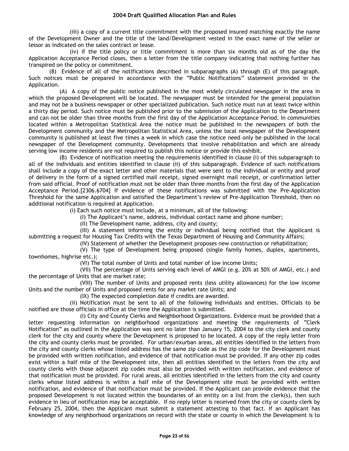(iii) a copy of a current title commitment with the proposed insured matching exactly the name of the Development Owner and the title of the land/Development vested in the exact name of the seller or lessor as indicated on the sales contract or lease.

(iv) if the title policy or title commitment is more than six months old as of the day the Application Acceptance Period closes, then a letter from the title company indicating that nothing further has transpired on the policy or commitment.

(8) Evidence of all of the notifications described in subparagraphs (A) through (E) of this paragraph. Such notices must be prepared in accordance with the "Public Notifications" statement provided in the Application.

(A) A copy of the public notice published in the most widely circulated newspaper in the area in which the proposed Development will be located. The newspaper must be intended for the general population and may not be a business newspaper or other specialized publication. Such notice must run at least twice within a thirty day period. Such notice must be published prior to the submission of the Application to the Department and can not be older than three months from the first day of the Application Acceptance Period. In communities located within a Metropolitan Statistical Area the notice must be published in the newspapers of both the Development community and the Metropolitan Statistical Area, unless the local newspaper of the Development community is published at least five times a week in which case the notice need only be published in the local newspaper of the Development community. Developments that involve rehabilitation and which are already serving low income residents are not required to publish this notice or provide this exhibit.

(B) Evidence of notification meeting the requirements identified in clause (i) of this subparagraph to all of the individuals and entities identified in clause (ii) of this subparagraph. Evidence of such notifications shall include a copy of the exact letter and other materials that were sent to the individual or entity and proof of delivery in the form of a signed certified mail receipt, signed overnight mail receipt, or confirmation letter from said official. Proof of notification must not be older than three months from the first day of the Application Acceptance Period.[2306.6704] If evidence of these notifications was submitted with the Pre-Application Threshold for the same Application and satisfied the Department's review of Pre-Application Threshold, then no additional notification is required at Application.

(i) Each such notice must include, at a minimum, all of the following:

(I) The Applicant's name, address, individual contact name and phone number;

(II) The Development name, address, city and county;

(III) A statement informing the entity or individual being notified that the Applicant is submitting a request for Housing Tax Credits with the Texas Department of Housing and Community Affairs;

(IV) Statement of whether the Development proposes new construction or rehabilitation;

(V) The type of Development being proposed (single family homes, duplex, apartments, townhomes, highrise etc.);

(VI) The total number of Units and total number of low income Units;

(VII) The percentage of Units serving each level of AMGI (e.g. 20% at 50% of AMGI, etc.) and the percentage of Units that are market rate;

(VIII) The number of Units and proposed rents (less utility allowances) for the low income Units and the number of Units and proposed rents for any market rate Units; and

(IX) The expected completion date if credits are awarded.

(ii) Notification must be sent to all of the following individuals and entities. Officials to be notified are those officials in office at the time the Application is submitted.

(I) City and County Clerks and Neighborhood Organizations. Evidence must be provided that a letter requesting information on neighborhood organizations and meeting the requirements of "Clerk Notification" as outlined in the Application was sent no later than January 15, 2004 to the city clerk and county clerk for the city and county where the Development is proposed to be located. A copy of the reply letter from the city and county clerks must be provided. For urban/exurban areas, all entities identified in the letters from the city and county clerks whose listed address has the same zip code as the zip code for the Development must be provided with written notification, and evidence of that notification must be provided. If any other zip codes exist within a half mile of the Development site, then all entities identified in the letters from the city and county clerks with those adjacent zip codes must also be provided with written notification, and evidence of that notification must be provided. For rural areas, all entities identified in the letters from the city and county clerks whose listed address is within a half mile of the Development site must be provided with written notification, and evidence of that notification must be provided. If the Applicant can provide evidence that the proposed Development is not located within the boundaries of an entity on a list from the clerk(s), then such evidence in lieu of notification may be acceptable. If no reply letter is received from the city or county clerk by February 25, 2004, then the Applicant must submit a statement attesting to that fact. If an Applicant has knowledge of any neighborhood organizations on record with the state or county in which the Development is to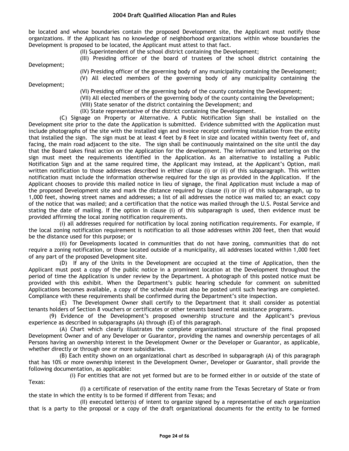be located and whose boundaries contain the proposed Development site, the Applicant must notify those organizations. If the Applicant has no knowledge of neighborhood organizations within whose boundaries the Development is proposed to be located, the Applicant must attest to that fact.

(II) Superintendent of the school district containing the Development;

(III) Presiding officer of the board of trustees of the school district containing the

Development;

Development;

(IV) Presiding officer of the governing body of any municipality containing the Development;

(V) All elected members of the governing body of any municipality containing the

(VI) Presiding officer of the governing body of the county containing the Development;

(VII) All elected members of the governing body of the county containing the Development;

(VIII) State senator of the district containing the Development; and

(IX) State representative of the district containing the Development.

(C) Signage on Property or Alternative. A Public Notification Sign shall be installed on the Development site prior to the date the Application is submitted. Evidence submitted with the Application must include photographs of the site with the installed sign and invoice receipt confirming installation from the entity that installed the sign. The sign must be at least 4 feet by 8 feet in size and located within twenty feet of, and facing, the main road adjacent to the site. The sign shall be continuously maintained on the site until the day that the Board takes final action on the Application for the development. The information and lettering on the sign must meet the requirements identified in the Application. As an alternative to installing a Public Notification Sign and at the same required time, the Applicant may instead, at the Applicant's Option, mail written notification to those addresses described in either clause (i) or (ii) of this subparagraph. This written notification must include the information otherwise required for the sign as provided in the Application. If the Applicant chooses to provide this mailed notice in lieu of signage, the final Application must include a map of the proposed Development site and mark the distance required by clause (i) or (ii) of this subparagraph, up to 1,000 feet, showing street names and addresses; a list of all addresses the notice was mailed to; an exact copy of the notice that was mailed; and a certification that the notice was mailed through the U.S. Postal Service and stating the date of mailing. If the option in clause (i) of this subparagraph is used, then evidence must be provided affirming the local zoning notification requirements.

(i) all addresses required for notification by local zoning notification requirements. For example, if the local zoning notification requirement is notification to all those addresses within 200 feet, then that would be the distance used for this purpose; or

(ii) for Developments located in communities that do not have zoning, communities that do not require a zoning notification, or those located outside of a municipality, all addresses located within 1,000 feet of any part of the proposed Development site.

(D) If any of the Units in the Development are occupied at the time of Application, then the Applicant must post a copy of the public notice in a prominent location at the Development throughout the period of time the Application is under review by the Department. A photograph of this posted notice must be provided with this exhibit. When the Department's public hearing schedule for comment on submitted Applications becomes available, a copy of the schedule must also be posted until such hearings are completed. Compliance with these requirements shall be confirmed during the Department's site inspection.

(E) The Development Owner shall certify to the Department that it shall consider as potential tenants holders of Section 8 vouchers or certificates or other tenants based rental assistance programs.

(9) Evidence of the Development's proposed ownership structure and the Applicant's previous experience as described in subparagraphs (A) through (E) of this paragraph.

(A) Chart which clearly illustrates the complete organizational structure of the final proposed Development Owner and of any Developer or Guarantor, providing the names and ownership percentages of all Persons having an ownership interest in the Development Owner or the Developer or Guarantor, as applicable, whether directly or through one or more subsidiaries.

(B) Each entity shown on an organizational chart as described in subparagraph (A) of this paragraph that has 10% or more ownership interest in the Development Owner, Developer or Guarantor, shall provide the following documentation, as applicable:

(i) For entities that are not yet formed but are to be formed either in or outside of the state of Texas:

(I) a certificate of reservation of the entity name from the Texas Secretary of State or from the state in which the entity is to be formed if different from Texas; and

(II) executed letter(s) of intent to organize signed by a representative of each organization that is a party to the proposal or a copy of the draft organizational documents for the entity to be formed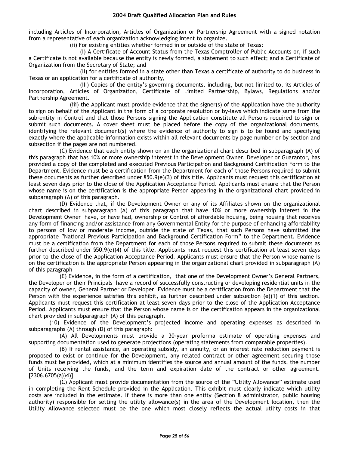including Articles of Incorporation, Articles of Organization or Partnership Agreement with a signed notation from a representative of each organization acknowledging intent to organize.

(ii) For existing entities whether formed in or outside of the state of Texas:

(I) A Certificate of Account Status from the Texas Comptroller of Public Accounts or, if such a Certificate is not available because the entity is newly formed, a statement to such effect; and a Certificate of Organization from the Secretary of State; and

(II) for entities formed in a state other than Texas a certificate of authority to do business in Texas or an application for a certificate of authority,

(III) Copies of the entity's governing documents, including, but not limited to, its Articles of Incorporation, Articles of Organization, Certificate of Limited Partnership, Bylaws, Regulations and/or Partnership Agreement.

(iii) the Applicant must provide evidence that the signer(s) of the Application have the authority to sign on behalf of the Applicant in the form of a corporate resolution or by-laws which indicate same from the sub-entity in Control and that those Persons signing the Application constitute all Persons required to sign or submit such documents. A cover sheet must be placed before the copy of the organizational documents, identifying the relevant document(s) where the evidence of authority to sign is to be found and specifying exactly where the applicable information exists within all relevant documents by page number or by section and subsection if the pages are not numbered.

(C) Evidence that each entity shown on an the organizational chart described in subparagraph (A) of this paragraph that has 10% or more ownership interest in the Development Owner, Developer or Guarantor, has provided a copy of the completed and executed Previous Participation and Background Certification Form to the Department. Evidence must be a certification from the Department for each of those Persons required to submit these documents as further described under §50.9(e)(3) of this title. Applicants must request this certification at least seven days prior to the close of the Application Acceptance Period. Applicants must ensure that the Person whose name is on the certification is the appropriate Person appearing in the organizational chart provided in subparagraph (A) of this paragraph.

(D) Evidence that, if the Development Owner or any of its Affiliates shown on the organizational chart described in subparagraph (A) of this paragraph that have 10% or more ownership interest in the Development Owner have, or have had, ownership or Control of affordable housing, being housing that receives any form of financing and/or assistance from any Governmental Entity for the purpose of enhancing affordability to persons of low or moderate income, outside the state of Texas, that such Persons have submitted the appropriate "National Previous Participation and Background Certification Form" to the Department. Evidence must be a certification from the Department for each of those Persons required to submit these documents as further described under \$50.9(e)(4) of this title. Applicants must request this certification at least seven days prior to the close of the Application Acceptance Period. Applicants must ensure that the Person whose name is on the certification is the appropriate Person appearing in the organizational chart provided in subparagraph (A) of this paragraph

(E) Evidence, in the form of a certification, that one of the Development Owner's General Partners, the Developer or their Principals have a record of successfully constructing or developing residential units in the capacity of owner, General Partner or Developer. Evidence must be a certification from the Department that the Person with the experience satisfies this exhibit, as further described under subsection (e)(1) of this section. Applicants must request this certification at least seven days prior to the close of the Application Acceptance Period. Applicants must ensure that the Person whose name is on the certification appears in the organizational chart provided in subparagraph (A) of this paragraph.

(10) Evidence of the Development's projected income and operating expenses as described in subparagraphs (A) through (D) of this paragraph:

(A) All Developments must provide a 30-year proforma estimate of operating expenses and supporting documentation used to generate projections (operating statements from comparable properties).

(B) If rental assistance, an operating subsidy, an annuity, or an interest rate reduction payment is proposed to exist or continue for the Development, any related contract or other agreement securing those funds must be provided, which at a minimum identifies the source and annual amount of the funds, the number of Units receiving the funds, and the term and expiration date of the contract or other agreement.  $[2306.6705(a)]$ 

(C) Applicant must provide documentation from the source of the "Utility Allowance" estimate used in completing the Rent Schedule provided in the Application. This exhibit must clearly indicate which utility costs are included in the estimate. If there is more than one entity (Section 8 administrator, public housing authority) responsible for setting the utility allowance(s) in the area of the Development location, then the Utility Allowance selected must be the one which most closely reflects the actual utility costs in that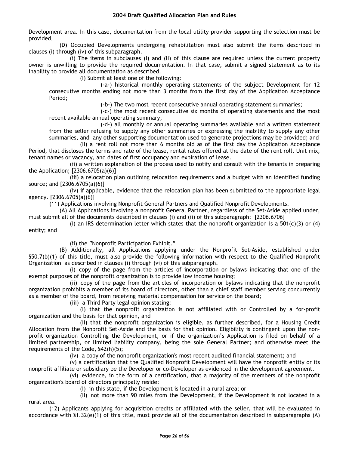Development area. In this case, documentation from the local utility provider supporting the selection must be provided.

(D) Occupied Developments undergoing rehabilitation must also submit the items described in clauses (i) through (iv) of this subparagraph.

(i) The items in subclauses (I) and (II) of this clause are required unless the current property owner is unwilling to provide the required documentation. In that case, submit a signed statement as to its inability to provide all documentation as described.

(I) Submit at least one of the following:

(-a-) historical monthly operating statements of the subject Development for 12 consecutive months ending not more than 3 months from the first day of the Application Acceptance Period;

(-b-) The two most recent consecutive annual operating statement summaries;

(-c-) the most recent consecutive six months of operating statements and the most recent available annual operating summary;

(-d-) all monthly or annual operating summaries available and a written statement from the seller refusing to supply any other summaries or expressing the inability to supply any other summaries, and any other supporting documentation used to generate projections may be provided; and

(II) a rent roll not more than 6 months old as of the first day the Application Acceptance Period, that discloses the terms and rate of the lease, rental rates offered at the date of the rent roll, Unit mix, tenant names or vacancy, and dates of first occupancy and expiration of lease.

(ii) a written explanation of the process used to notify and consult with the tenants in preparing the Application; [2306.6705(a)(6)]

(iii) a relocation plan outlining relocation requirements and a budget with an identified funding source; and [2306.6705(a)(6)]

(iv) if applicable, evidence that the relocation plan has been submitted to the appropriate legal agency. [2306.6705(a)(6)]

(11) Applications involving Nonprofit General Partners and Qualified Nonprofit Developments.

(A) All Applications involving a nonprofit General Partner, regardless of the Set-Aside applied under, must submit all of the documents described in clauses (i) and (ii) of this subparagraph: [2306.6706]

(i) an IRS determination letter which states that the nonprofit organization is a 501(c)(3) or (4) entity; and

(ii) the "Nonprofit Participation Exhibit."

(B) Additionally, all Applications applying under the Nonprofit Set-Aside, established under §50.7(b)(1) of this title, must also provide the following information with respect to the Qualified Nonprofit Organization as described in clauses (i) through (vi) of this subparagraph.

(i) copy of the page from the articles of incorporation or bylaws indicating that one of the exempt purposes of the nonprofit organization is to provide low income housing;

(ii) copy of the page from the articles of incorporation or bylaws indicating that the nonprofit organization prohibits a member of its board of directors, other than a chief staff member serving concurrently as a member of the board, from receiving material compensation for service on the board;

(iii) a Third Party legal opinion stating:

rural area.

(I) that the nonprofit organization is not affiliated with or Controlled by a for-profit organization and the basis for that opinion, and

(II) that the nonprofit organization is eligible, as further described, for a Housing Credit Allocation from the Nonprofit Set-Aside and the basis for that opinion. Eligibility is contingent upon the nonprofit organization Controlling the Development, or if the organization's Application is filed on behalf of a limited partnership, or limited liability company, being the sole General Partner; and otherwise meet the requirements of the Code, §42(h)(5);

(iv) a copy of the nonprofit organization's most recent audited financial statement; and

(v) a certification that the Qualified Nonprofit Development will have the nonprofit entity or its nonprofit affiliate or subsidiary be the Developer or co-Developer as evidenced in the development agreement.

(vi) evidence, in the form of a certification, that a majority of the members of the nonprofit organization's board of directors principally reside:

(I) in this state, if the Development is located in a rural area; or

(II) not more than 90 miles from the Development, if the Development is not located in a

(12) Applicants applying for acquisition credits or affiliated with the seller, that will be evaluated in accordance with §1.32(e)(1) of this title, must provide all of the documentation described in subparagraphs (A)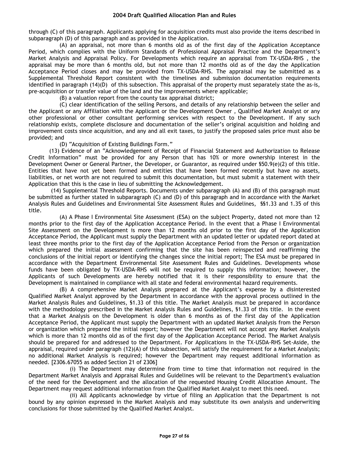through (C) of this paragraph. Applicants applying for acquisition credits must also provide the items described in subparagraph (D) of this paragraph and as provided in the Application.

(A) an appraisal, not more than 6 months old as of the first day of the Application Acceptance Period, which complies with the Uniform Standards of Professional Appraisal Practice and the Department's Market Analysis and Appraisal Policy. For Developments which require an appraisal from TX-USDA-RHS , the appraisal may be more than 6 months old, but not more than 12 months old as of the day the Application Acceptance Period closes and may be provided from TX-USDA-RHS. The appraisal may be submitted as a Supplemental Threshold Report consistent with the timelines and submission documentation requirements identified in paragraph (14)(D) of this subsection. This appraisal of the property must separately state the as-is, pre-acquisition or transfer value of the land and the improvements where applicable;

(B) a valuation report from the county tax appraisal district;

(C) clear identification of the selling Persons, and details of any relationship between the seller and the Applicant or any Affiliation with the Applicant or the Development Owner , Qualified Market Analyst or any other professional or other consultant performing services with respect to the Development. If any such relationship exists, complete disclosure and documentation of the seller's original acquisition and holding and improvement costs since acquisition, and any and all exit taxes, to justify the proposed sales price must also be provided; and

(D) "Acquisition of Existing Buildings Form."

(13) Evidence of an "Acknowledgement of Receipt of Financial Statement and Authorization to Release Credit Information" must be provided for any Person that has 10% or more ownership interest in the Development Owner or General Partner, the Developer, or Guarantor, as required under §50.9(e)(2) of this title. Entities that have not yet been formed and entities that have been formed recently but have no assets, liabilities, or net worth are not required to submit this documentation, but must submit a statement with their Application that this is the case in lieu of submitting the Acknowledgement.

(14) Supplemental Threshold Reports. Documents under subparagraph (A) and (B) of this paragraph must be submitted as further stated in subparagraph (C) and (D) of this paragraph and in accordance with the Market Analysis Rules and Guidelines and Environmental Site Assessment Rules and Guidelines, §§1.33 and 1.35 of this title.

(A) A Phase I Environmental Site Assessment (ESA) on the subject Property, dated not more than 12 months prior to the first day of the Application Acceptance Period. In the event that a Phase I Environmental Site Assessment on the Development is more than 12 months old prior to the first day of the Application Acceptance Period, the Applicant must supply the Department with an updated letter or updated report dated at least three months prior to the first day of the Application Acceptance Period from the Person or organization which prepared the initial assessment confirming that the site has been reinspected and reaffirming the conclusions of the initial report or identifying the changes since the initial report; The ESA must be prepared in accordance with the Department Environmental Site Assessment Rules and Guidelines. Developments whose funds have been obligated by TX-USDA-RHS will not be required to supply this information; however, the Applicants of such Developments are hereby notified that it is their responsibility to ensure that the Development is maintained in compliance with all state and federal environmental hazard requirements.

(B) A comprehensive Market Analysis prepared at the Applicant's expense by a disinterested Qualified Market Analyst approved by the Department in accordance with the approval process outlined in the Market Analysis Rules and Guidelines, §1.33 of this title. The Market Analysis must be prepared in accordance with the methodology prescribed in the Market Analysis Rules and Guidelines, §1.33 of this title. In the event that a Market Analysis on the Development is older than 6 months as of the first day of the Application Acceptance Period, the Applicant must supply the Department with an updated Market Analysis from the Person or organization which prepared the initial report; however the Department will not accept any Market Analysis which is more than 12 months old as of the first day of the Application Acceptance Period. The Market Analysis should be prepared for and addressed to the Department. For Applications in the TX-USDA-RHS Set-Aside, the appraisal, required under paragraph (12)(A) of this subsection, will satisfy the requirement for a Market Analysis; no additional Market Analysis is required; however the Department may request additional information as needed. [2306.67055 as added Section 21 of 2306]

(i) The Department may determine from time to time that information not required in the Department Market Analysis and Appraisal Rules and Guidelines will be relevant to the Department's evaluation of the need for the Development and the allocation of the requested Housing Credit Allocation Amount. The Department may request additional information from the Qualified Market Analyst to meet this need.

(ii) All Applicants acknowledge by virtue of filing an Application that the Department is not bound by any opinion expressed in the Market Analysis and may substitute its own analysis and underwriting conclusions for those submitted by the Qualified Market Analyst.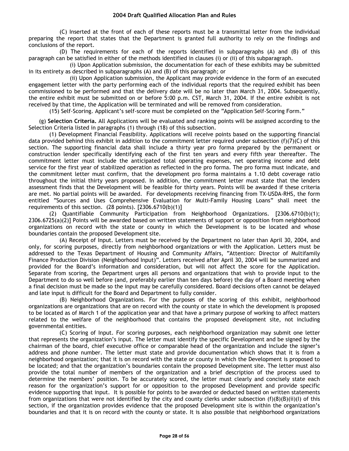(C) Inserted at the front of each of these reports must be a transmittal letter from the individual preparing the report that states that the Department is granted full authority to rely on the findings and conclusions of the report.

(D) The requirements for each of the reports identified in subparagraphs (A) and (B) of this paragraph can be satisfied in either of the methods identified in clauses (i) or (ii) of this subparagraph.

(i) Upon Application submission, the documentation for each of these exhibits may be submitted in its entirety as described in subparagraphs (A) and (B) of this paragraph; or

(ii) Upon Application submission, the Applicant may provide evidence in the form of an executed engagement letter with the party performing each of the individual reports that the required exhibit has been commissioned to be performed and that the delivery date will be no later than March 31, 2004. Subsequently, the entire exhibit must be submitted on or before 5:00 p.m. CST, March 31, 2004. If the entire exhibit is not received by that time, the Application will be terminated and will be removed from consideration.

(15) Self-Scoring. Applicant's self-score must be completed on the "Application Self-Scoring Form."

(g) **Selection Criteria.** All Applications will be evaluated and ranking points will be assigned according to the Selection Criteria listed in paragraphs (1) through (18) of this subsection.

(1) Development Financial Feasibility. Applications will receive points based on the supporting financial data provided behind this exhibit in addition to the commitment letter required under subsection (f)(7)(C) of this section. The supporting financial data shall include a thirty year pro forma prepared by the permanent or construction lender specifically identifying each of the first ten years and every fifth year thereafter. The commitment letter must include the anticipated total operating expenses, net operating income and debt service for the first year of stabilized operation as reflected in the pro forma. The pro forma must indicate, and the commitment letter must confirm, that the development pro forma maintains a 1.10 debt coverage ratio throughout the initial thirty years proposed. In addition, the commitment letter must state that the lenders assessment finds that the Development will be feasible for thirty years. Points will be awarded if these criteria are met. No partial points will be awarded. For developments receiving financing from TX-USDA-RHS, the form entitled "Sources and Uses Comprehensive Evaluation for Multi-Family Housing Loans" shall meet the requirements of this section. (28 points). [2306.6710(b)(1)]

(2) Quantifiable Community Participation from Neighborhood Organizations. [2306.6710(b)(1); 2306.6725(a)(2)] Points will be awarded based on written statements of support or opposition from neighborhood organizations on record with the state or county in which the Development is to be located and whose boundaries contain the proposed Development site.

(A) Receipt of Input. Letters must be received by the Department no later than April 30, 2004, and only, for scoring purposes, directly from neighborhood organizations or with the Application. Letters must be addressed to the Texas Department of Housing and Community Affairs, "Attention: Director of Multifamily Finance Production Division (Neighborhood Input)". Letters received after April 30, 2004 will be summarized and provided for the Board's information and consideration, but will not affect the score for the Application. Separate from scoring, the Department urges all persons and organizations that wish to provide input to the Department to do so well before (and, preferably earlier than ten days before) the day of a Board meeting when a final decision must be made so the input may be carefully considered. Board decisions often cannot be delayed and late input is difficult for the Board and Department to fully consider.

(B) Neighborhood Organizations. For the purposes of the scoring of this exhibit, neighborhood organizations are organizations that are on record with the county or state in which the development is proposed to be located as of March 1 of the application year and that have a primary purpose of working to affect matters related to the welfare of the neighborhood that contains the proposed development site, not including governmental entities.

(C) Scoring of Input. For scoring purposes, each neighborhood organization may submit one letter that represents the organization's input. The letter must identify the specific Development and be signed by the chairman of the board, chief executive office or comparable head of the organization and include the signer's address and phone number. The letter must state and provide documentation which shows that it is from a neighborhood organization; that it is on record with the state or county in which the Development is proposed to be located; and that the organization's boundaries contain the proposed Development site. The letter must also provide the total number of members of the organization and a brief description of the process used to determine the members' position. To be accurately scored, the letter must clearly and concisely state each reason for the organization's support for or opposition to the proposed Development and provide specific evidence supporting that input. It is possible for points to be awarded or deducted based on written statements from organizations that were not identified by the city and county clerks under subsection  $(f)(8)(B)(ii)(I)$  of this section, if the organization provides evidence that the proposed Development site is within the organization's boundaries and that it is on record with the county or state. It is also possible that neighborhood organizations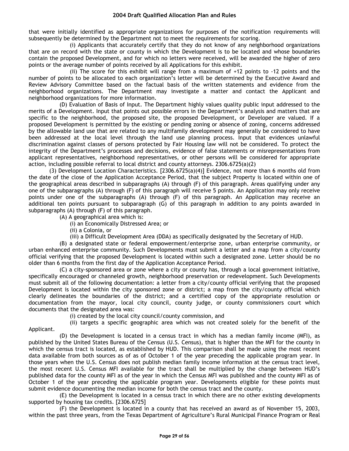that were initially identified as appropriate organizations for purposes of the notification requirements will subsequently be determined by the Department not to meet the requirements for scoring.

(i) Applicants that accurately certify that they do not know of any neighborhood organizations that are on record with the state or county in which the Development is to be located and whose boundaries contain the proposed Development, and for which no letters were received, will be awarded the higher of zero points or the average number of points received by all Applications for this exhibit.

(ii) The score for this exhibit will range from a maximum of +12 points to -12 points and the number of points to be allocated to each organization's letter will be determined by the Executive Award and Review Advisory Committee based on the factual basis of the written statements and evidence from the neighborhood organizations. The Department may investigate a matter and contact the Applicant and neighborhood organizations for more information.

(D) Evaluation of Basis of Input. The Department highly values quality public input addressed to the merits of a Development. Input that points out possible errors in the Department's analysis and matters that are specific to the neighborhood, the proposed site, the proposed Development, or Developer are valued. If a proposed Development is permitted by the existing or pending zoning or absence of zoning, concerns addressed by the allowable land use that are related to any multifamily development may generally be considered to have been addressed at the local level through the land use planning process. Input that evidences unlawful discrimination against classes of persons protected by Fair Housing law will not be considered. To protect the integrity of the Department's processes and decisions, evidence of false statements or misrepresentations from applicant representatives, neighborhood representatives, or other persons will be considered for appropriate action, including possible referral to local district and county attorneys. 2306.6725(a)(2)

(3) Development Location Characteristics. [2306.6725(a)(4)] Evidence, not more than 6 months old from the date of the close of the Application Acceptance Period, that the subject Property is located within one of the geographical areas described in subparagraphs (A) through (F) of this paragraph. Areas qualifying under any one of the subparagraphs (A) through (F) of this paragraph will receive 5 points. An Application may only receive points under one of the subparagraphs (A) through (F) of this paragraph. An Application may receive an additional ten points pursuant to subparagraph (G) of this paragraph in addition to any points awarded in subparagraphs (A) through (F) of this paragraph.

(A) A geographical area which is:

(i) an Economically Distressed Area; or

(ii) a Colonia, or

(iii) a Difficult Development Area (DDA) as specifically designated by the Secretary of HUD.

(B) a designated state or federal empowerment/enterprise zone, urban enterprise community, or urban enhanced enterprise community. Such Developments must submit a letter and a map from a city/county official verifying that the proposed Development is located within such a designated zone. Letter should be no older than 6 months from the first day of the Application Acceptance Period.

(C) a city-sponsored area or zone where a city or county has, through a local government initiative, specifically encouraged or channeled growth, neighborhood preservation or redevelopment. Such Developments must submit all of the following documentation: a letter from a city/county official verifying that the proposed Development is located within the city sponsored zone or district; a map from the city/county official which clearly delineates the boundaries of the district; and a certified copy of the appropriate resolution or documentation from the mayor, local city council, county judge, or county commissioners court which documents that the designated area was:

(i) created by the local city council/county commission, and

(ii) targets a specific geographic area which was not created solely for the benefit of the

Applicant.

(D) the Development is located in a census tract in which has a median family income (MFI), as published by the United States Bureau of the Census (U.S. Census), that is higher than the MFI for the county in which the census tract is located, as established by HUD. This comparison shall be made using the most recent data available from both sources as of as of October 1 of the year preceding the applicable program year. In those years when the U.S. Census does not publish median family income information at the census tract level, the most recent U.S. Census MFI available for the tract shall be multiplied by the change between HUD's published data for the county MFI as of the year in which the Census MFI was published and the county MFI as of October 1 of the year preceding the applicable program year. Developments eligible for these points must submit evidence documenting the median income for both the census tract and the county.

(E) the Development is located in a census tract in which there are no other existing developments supported by housing tax credits. [2306.6725]

(F) the Development is located in a county that has received an award as of November 15, 2003, within the past three years, from the Texas Department of Agriculture's Rural Municipal Finance Program or Real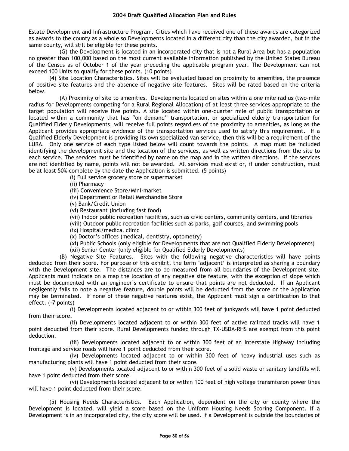Estate Development and Infrastructure Program. Cities which have received one of these awards are categorized as awards to the county as a whole so Developments located in a different city than the city awarded, but in the same county, will still be eligible for these points.

(G) the Development is located in an incorporated city that is not a Rural Area but has a population no greater than 100,000 based on the most current available information published by the United States Bureau of the Census as of October 1 of the year preceding the applicable program year. The Development can not exceed 100 Units to qualify for these points. (10 points)

(4) Site Location Characteristics. Sites will be evaluated based on proximity to amenities, the presence of positive site features and the absence of negative site features. Sites will be rated based on the criteria below.

(A) Proximity of site to amenities. Developments located on sites within a one mile radius (two-mile radius for Developments competing for a Rural Regional Allocation) of at least three services appropriate to the target population will receive five points. A site located within one-quarter mile of public transportation or located within a community that has "on demand" transportation, or specialized elderly transportation for Qualified Elderly Developments, will receive full points regardless of the proximity to amenities, as long as the Applicant provides appropriate evidence of the transportation services used to satisfy this requirement. If a Qualified Elderly Development is providing its own specialized van service, then this will be a requirement of the LURA. Only one service of each type listed below will count towards the points. A map must be included identifying the development site and the location of the services, as well as written directions from the site to each service. The services must be identified by name on the map and in the written directions. If the services are not identified by name, points will not be awarded. All services must exist or, if under construction, must be at least 50% complete by the date the Application is submitted. (5 points)

(i) Full service grocery store or supermarket

(ii) Pharmacy

(iii) Convenience Store/Mini-market

(iv) Department or Retail Merchandise Store

(v) Bank/Credit Union

(vi) Restaurant (including fast food)

(vii) Indoor public recreation facilities, such as civic centers, community centers, and libraries

(viii) Outdoor public recreation facilities such as parks, golf courses, and swimming pools

(ix) Hospital/medical clinic

(x) Doctor's offices (medical, dentistry, optometry)

(xi) Public Schools (only eligible for Developments that are not Qualified Elderly Developments)

(xii) Senior Center (only eligible for Qualified Elderly Developments)

(B) Negative Site Features. Sites with the following negative characteristics will have points deducted from their score. For purpose of this exhibit, the term 'adjacent' is interpreted as sharing a boundary with the Development site. The distances are to be measured from all boundaries of the Development site. Applicants must indicate on a map the location of any negative site feature, with the exception of slope which must be documented with an engineer's certificate to ensure that points are not deducted. If an Applicant negligently fails to note a negative feature, double points will be deducted from the score or the Application may be terminated. If none of these negative features exist, the Applicant must sign a certification to that effect. (-7 points)

(i) Developments located adjacent to or within 300 feet of junkyards will have 1 point deducted from their score.

(ii) Developments located adjacent to or within 300 feet of active railroad tracks will have 1 point deducted from their score. Rural Developments funded through TX-USDA-RHS are exempt from this point deduction.

(iii) Developments located adjacent to or within 300 feet of an Interstate Highway including frontage and service roads will have 1 point deducted from their score.

(iv) Developments located adjacent to or within 300 feet of heavy industrial uses such as manufacturing plants will have 1 point deducted from their score.

(v) Developments located adjacent to or within 300 feet of a solid waste or sanitary landfills will have 1 point deducted from their score.

(vi) Developments located adjacent to or within 100 feet of high voltage transmission power lines will have 1 point deducted from their score.

(5) Housing Needs Characteristics. Each Application, dependent on the city or county where the Development is located, will yield a score based on the Uniform Housing Needs Scoring Component. If a Development is in an incorporated city, the city score will be used. If a Development is outside the boundaries of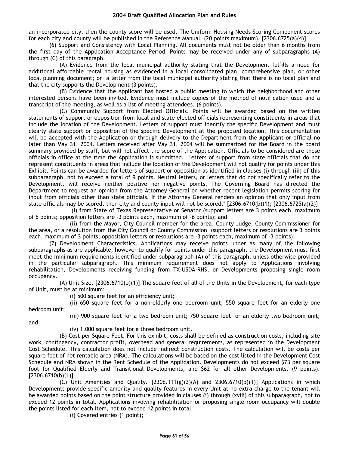an incorporated city, then the county score will be used. The Uniform Housing Needs Scoring Component scores for each city and county will be published in the Reference Manual. (20 points maximum). [2306.6725(a)(4)]

(6) Support and Consistency with Local Planning. All documents must not be older than 6 months from the first day of the Application Acceptance Period. Points may be received under any of subparagraphs (A) through (C) of this paragraph.

(A) Evidence from the local municipal authority stating that the Development fulfills a need for additional affordable rental housing as evidenced in a local consolidated plan, comprehensive plan, or other local planning document; or a letter from the local municipal authority stating that there is no local plan and that the city supports the Development (3 points).

(B) Evidence that the Applicant has hosted a public meeting to which the neighborhood and other interested persons have been invited. Evidence must include copies of the method of notification used and a transcript of the meeting, as well as a list of meeting attendees. (6 points).

(C) Community Support from Elected Officials. Points will be awarded based on the written statements of support or opposition from local and state elected officials representing constituents in areas that include the location of the Development. Letters of support must identify the specific Development and must clearly state support or opposition of the specific Development at the proposed location. This documentation will be accepted with the Application or through delivery to the Department from the Applicant or official no later than May 31, 2004. Letters received after May 31, 2004 will be summarized for the Board in the board summary provided by staff, but will not affect the score of the Application. Officials to be considered are those officials in office at the time the Application is submitted. Letters of support from state officials that do not represent constituents in areas that include the location of the Development will not qualify for points under this Exhibit. Points can be awarded for letters of support or opposition as identified in clauses (i) through (iii) of this subparagraph, not to exceed a total of 9 points. Neutral letters, or letters that do not specifically refer to the Development, will receive neither positive nor negative points. The Governing Board has directed the Department to request an opinion from the Attorney General on whether recent legislation permits scoring for input from officials other than state officials. If the Attorney General renders an opinion that only input from state officials may be scored, then city and county input will not be scored." [2306.6710(b)(1); [2306.6725(a)(2)]

(i) from State of Texas Representative or Senator (support letters are 3 points each, maximum of 6 points; opposition letters are -3 points each, maximum of -6 points); and

(ii) from the Mayor, City Council member for the area, County Judge, County Commissioner for the area, or a resolution from the City Council or County Commission (support letters or resolutions are 3 points each, maximum of 3 points; opposition letters or resolutions are -3 points each, maximum of -3 points).

(7) Development Characteristics. Applications may receive points under as many of the following subparagraphs as are applicable; however to qualify for points under this paragraph, the Development must first meet the minimum requirements identified under subparagraph (A) of this paragraph, unless otherwise provided in the particular subparagraph. This minimum requirement does not apply to Applications involving rehabilitation, Developments receiving funding from TX-USDA-RHS, or Developments proposing single room occupancy.

(A) Unit Size. [2306.6710(b)(1)] The square feet of all of the Units in the Development, for each type of Unit, must be at minimum:

(i) 500 square feet for an efficiency unit;

(ii) 650 square feet for a non-elderly one bedroom unit; 550 square feet for an elderly one bedroom unit;

and

(iii) 900 square feet for a two bedroom unit; 750 square feet for an elderly two bedroom unit;

(iv) 1,000 square feet for a three bedroom unit.

(B) Cost per Square Foot. For this exhibit, costs shall be defined as construction costs, including site work, contingency, contractor profit, overhead and general requirements, as represented in the Development Cost Schedule. This calculation does not include indirect construction costs. The calculation will be costs per square foot of net rentable area (NRA). The calculations will be based on the cost listed in the Development Cost Schedule and NRA shown in the Rent Schedule of the Application. Developments do not exceed \$73 per square foot for Qualified Elderly and Transitional Developments, and \$62 for all other Developments. (9 points).  $[2306.6710(b)(1)]$ 

(C) Unit Amenities and Quality.  $[2306.111(g)(3)(A)$  and  $2306.6710(b)(1)]$  Applications in which Developments provide specific amenity and quality features in every Unit at no extra charge to the tenant will be awarded points based on the point structure provided in clauses (i) through (xviii) of this subparagraph, not to exceed 12 points in total. Applications involving rehabilitation or proposing single room occupancy will double the points listed for each item, not to exceed 12 points in total.

(i) Covered entries (1 point);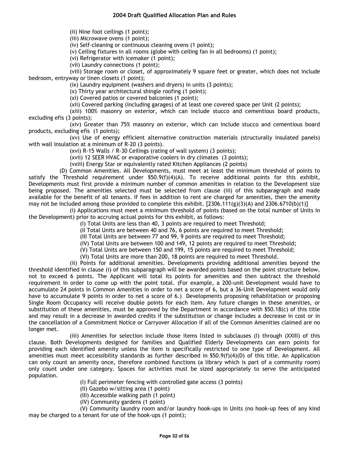(ii) Nine foot ceilings (1 point);

(iii) Microwave ovens (1 point);

(iv) Self-cleaning or continuous cleaning ovens (1 point);

(v) Ceiling fixtures in all rooms (globe with ceiling fan in all bedrooms) (1 point);

(vi) Refrigerator with icemaker (1 point);

(vii) Laundry connections (1 point);

(viii) Storage room or closet, of approximately 9 square feet or greater, which does not include bedroom, entryway or linen closets (1 point);

(ix) Laundry equipment (washers and dryers) in units (3 points);

(x) Thirty year architectural shingle roofing (1 point);

(xi) Covered patios or covered balconies (1 point);

(xii) Covered parking (including garages) of at least one covered space per Unit (2 points);

(xiii) 100% masonry on exterior, which can include stucco and cementious board products, excluding efis (3 points);

(xiv) Greater than 75% masonry on exterior, which can include stucco and cementious board products, excluding efis (1 points);

(xv) Use of energy efficient alternative construction materials (structurally insulated panels) with wall insulation at a minimum of R-20 (3 points).

(xvi) R-15 Walls / R-30 Ceilings (rating of wall system) (3 points);

(xvii) 12 SEER HVAC or evaporative coolers in dry climates (3 points);

(vxiii) Energy Star or equivalently rated Kitchen Appliances (2 points)

(D) Common Amenities. All Developments, must meet at least the minimum threshold of points to satisfy the Threshold requirement under  $$50.9(f)(4)(A)$ . To receive additional points for this exhibit, Developments must first provide a minimum number of common amenities in relation to the Development size being proposed. The amenities selected must be selected from clause (iii) of this subparagraph and made available for the benefit of all tenants. If fees in addition to rent are charged for amenities, then the amenity may not be included among those provided to complete this exhibit. [2306.111(g)(3)(A) and 2306.6710(b)(1)]

(i) Applications must meet a minimum threshold of points (based on the total number of Units in the Development) prior to accruing actual points for this exhibit, as follows:

(I) Total Units are less than 40, 3 points are required to meet Threshold;

(II Total Units are between 40 and 76, 6 points are required to meet Threshold;

(III Total Units are between 77 and 99, 9 points are required to meet Threshold;

(IV) Total Units are between 100 and 149, 12 points are required to meet Threshold;

(V) Total Units are between 150 and 199, 15 points are required to meet Threshold;

(VI) Total Units are more than 200, 18 points are required to meet Threshold.

(ii) Points for additional amenities. Developments providing additional amenities beyond the threshold identified in clause (i) of this subparagraph will be awarded points based on the point structure below, not to exceed 6 points. The Applicant will total its points for amenities and then subtract the threshold requirement in order to come up with the point total. (For example, a 200-unit Development would have to accumulate 24 points in Common Amenities in order to net a score of 6, but a 36-Unit Development would only have to accumulate 9 points in order to net a score of 6.) Developments proposing rehabilitation or proposing Single Room Occupancy will receive double points for each item. Any future changes in these amenities, or substitution of these amenities, must be approved by the Department in accordance with §50.18(c) of this title and may result in a decrease in awarded credits if the substitution or change includes a decrease in cost or in the cancellation of a Commitment Notice or Carryover Allocation if all of the Common Amenities claimed are no longer met.

(iii) Amenities for selection include those items listed in subclauses (I) through (XXIII) of this clause. Both Developments designed for families and Qualified Elderly Developments can earn points for providing each identified amenity unless the item is specifically restricted to one type of Development. All amenities must meet accessibility standards as further described in §50.9(f)(4)(D) of this title. An Application can only count an amenity once, therefore combined functions (a library which is part of a community room) only count under one category. Spaces for activities must be sized appropriately to serve the anticipated population.

(I) Full perimeter fencing with controlled gate access (3 points)

(II) Gazebo w/sitting area (1 point)

- (III) Accessible walking path (1 point)
- (IV) Community gardens (1 point)

(V) Community laundry room and/or laundry hook-ups in Units (no hook-up fees of any kind may be charged to a tenant for use of the hook-ups (1 point);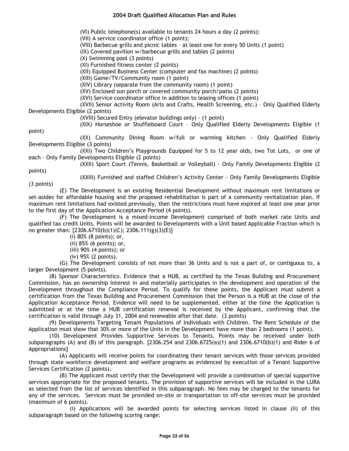(VI) Public telephone(s) available to tenants 24 hours a day (2 points);

(VII) A service coordinator office (1 point);

(VIII) Barbecue grills and picnic tables – at least one for every 50 Units (1 point)

(IX) Covered pavilion w/barbecue grills and tables (2 points)

(X) Swimming pool (3 points)

(XI) Furnished fitness center (2 points)

(XII) Equipped Business Center (computer and fax machine) (2 points)

(XIII) Game/TV/Community room (1 point)

(XIV) Library (separate from the community room) (1 point)

(XV) Enclosed sun porch or covered community porch/patio (2 points)

(XVI) Service coordinator office in addition to leasing offices (1 point)

(XVII) Senior Activity Room (Arts and Crafts, Health Screening, etc.) – Only Qualified Elderly Developments Eligible (2 points)

(XVIII) Secured Entry (elevator buildings only) - (1 point)

(XIX) Horseshoe or Shuffleboard Court – Only Qualified Elderly Developments Eligible (1

(XX) Community Dining Room w/full or warming kitchen - Only Qualified Elderly Developments Eligible (3 points)

(XXI) Two Children's Playgrounds Equipped for 5 to 12 year olds, two Tot Lots, or one of each - Only Family Developments Eligible (2 points)

(XXII) Sport Court (Tennis, Basketball or Volleyball) - Only Family Developments Eligible (2

points)

point)

(XXIII) Furnished and staffed Children's Activity Center - Only Family Developments Eligible (3 points)

(E) The Development is an existing Residential Development without maximum rent limitations or set-asides for affordable housing and the proposed rehabilitation is part of a community revitalization plan. If maximum rent limitations had existed previously, then the restrictions must have expired at least one year prior to the first day of the Application Acceptance Period (4 points).

(F) The Development is a mixed-income Development comprised of both market rate Units and qualified tax credit Units. Points will be awarded to Developments with a Unit based Applicable Fraction which is no greater than: [2306.6710(b)(1)(C); 2306.111(g)(3)(E)]

(i) 80% (8 points); or,

(ii) 85% (6 points); or,

(iii) 90% (4 points); or

(iv) 95% (2 points).

(G) The Development consists of not more than 36 Units and is not a part of, or contiguous to, a larger Development (5 points).

(8) Sponsor Characteristics. Evidence that a HUB, as certified by the Texas Building and Procurement Commission, has an ownership interest in and materially participates in the development and operation of the Development throughout the Compliance Period. To qualify for these points, the Applicant must submit a certification from the Texas Building and Procurement Commission that the Person is a HUB at the close of the Application Acceptance Period. Evidence will need to be supplemented, either at the time the Application is submitted or at the time a HUB certification renewal is received by the Applicant, confirming that the certification is valid through July 31, 2004 and renewable after that date. (3 points)

(9) Developments Targeting Tenant Populations of Individuals with Children. The Rent Schedule of the Application must show that 30% or more of the Units in the Development have more than 2 bedrooms (1 point).

(10) Development Provides Supportive Services to Tenants. Points may be received under both subparagraphs (A) and (B) of this paragraph. [2306.254 and 2306.6725(a)(1) and 2306.6710(b)(1) and Rider 6 of Appropriations]

(A) Applicants will receive points for coordinating their tenant services with those services provided through state workforce development and welfare programs as evidenced by execution of a Tenant Supportive Services Certification (2 points).

(B) The Applicant must certify that the Development will provide a combination of special supportive services appropriate for the proposed tenants. The provision of supportive services will be included in the LURA as selected from the list of services identified in this subparagraph. No fees may be charged to the tenants for any of the services. Services must be provided on-site or transportation to off-site services must be provided (maximum of 6 points).

(i) Applications will be awarded points for selecting services listed in clause (ii) of this subparagraph based on the following scoring range: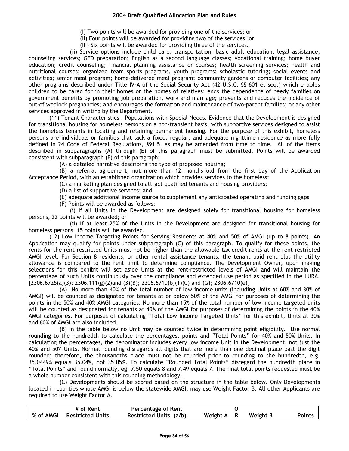(I) Two points will be awarded for providing one of the services; or

(II) Four points will be awarded for providing two of the services; or

(III) Six points will be awarded for providing three of the services.

(ii) Service options include child care; transportation; basic adult education; legal assistance; counseling services; GED preparation; English as a second language classes; vocational training; home buyer education; credit counseling; financial planning assistance or courses; health screening services; health and nutritional courses; organized team sports programs, youth programs; scholastic tutoring; social events and activities; senior meal program; home-delivered meal program; community gardens or computer facilities; any other programs described under Title IV-A of the Social Security Act (42 U.S.C. §§ 601 et seq.) which enables children to be cared for in their homes or the homes of relatives; ends the dependence of needy families on government benefits by promoting job preparation, work and marriage; prevents and reduces the incidence of out-of wedlock pregnancies; and encourages the formation and maintenance of two-parent families; or any other services approved in writing by the Department.

(11) Tenant Characteristics – Populations with Special Needs. Evidence that the Development is designed for transitional housing for homeless persons on a non-transient basis, with supportive services designed to assist the homeless tenants in locating and retaining permanent housing. For the purpose of this exhibit, homeless persons are individuals or families that lack a fixed, regular, and adequate nighttime residence as more fully defined in 24 Code of Federal Regulations, §91.5, as may be amended from time to time. All of the items described in subparagraphs (A) through (E) of this paragraph must be submitted. Points will be awarded consistent with subparagraph (F) of this paragraph:

(A) a detailed narrative describing the type of proposed housing;

(B) a referral agreement, not more than 12 months old from the first day of the Application Acceptance Period, with an established organization which provides services to the homeless;

(C) a marketing plan designed to attract qualified tenants and housing providers;

(D) a list of supportive services; and

(E) adequate additional income source to supplement any anticipated operating and funding gaps

(F) Points will be awarded as follows:

(i) If all Units in the Development are designed solely for transitional housing for homeless persons, 22 points will be awarded; or

(ii) If at least 25% of the Units in the Development are designed for transitional housing for homeless persons, 15 points will be awarded.

(12) Low Income Targeting Points for Serving Residents at 40% and 50% of AMGI (up to 8 points). An Application may qualify for points under subparagraph (C) of this paragraph. To qualify for these points, the rents for the rent-restricted Units must not be higher than the allowable tax credit rents at the rent-restricted AMGI level. For Section 8 residents, or other rental assistance tenants, the tenant paid rent plus the utility allowance is compared to the rent limit to determine compliance. The Development Owner, upon making selections for this exhibit will set aside Units at the rent-restricted levels of AMGI and will maintain the percentage of such Units continuously over the compliance and extended use period as specified in the LURA.  $[2306.6725(a)(3); 2306.111(g)(2)$ and  $(3)(B); 2306.6710(b)(1)(C)$  and  $(G); 2306.6710(e)]$ 

(A) No more than 40% of the total number of low income units (including Units at 60% and 30% of AMGI) will be counted as designated for tenants at or below 50% of the AMGI for purposes of determining the points in the 50% and 40% AMGI categories. No more than 15% of the total number of low income targeted units will be counted as designated for tenants at 40% of the AMGI for purposes of determining the points in the 40% AMGI categories. For purposes of calculating "Total Low Income Targeted Units" for this exhibit, Units at 30% and 60% of AMGI are also included.

(B) In the table below no Unit may be counted twice in determining point eligibility. Use normal rounding to the hundredth to calculate the percentages, points and "Total Points" for 40% and 50% Units. In calculating the percentages, the denominator includes every low income Unit in the Development, not just the 40% and 50% Units. Normal rounding disregards all digits that are more than one decimal place past the digit rounded; therefore, the thousandths place must not be rounded prior to rounding to the hundredth, e.g. 35.0449% equals 35.04%, not 35.05%. To calculate "Rounded Total Points" disregard the hundredth place in "Total Points" and round normally, eg. 7.50 equals 8 and 7.49 equals 7. The final total points requested must be a whole number consistent with this rounding methodology.

(C) Developments should be scored based on the structure in the table below. Only Developments located in counties whose AMGI is below the statewide AMGI, may use Weight Factor B. All other Applicants are required to use Weight Factor A.

|             | # of Rent        | Percentage of Rent     |            |          |               |
|-------------|------------------|------------------------|------------|----------|---------------|
| ∣ % of AMGI | Restricted Units | Restricted Units (a/b) | Weight A R | Weight B | <b>Points</b> |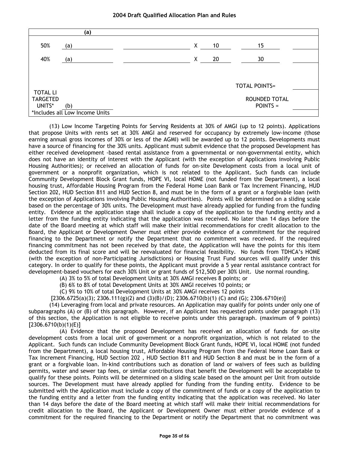|                 | (a)                            |   |    |                      |  |
|-----------------|--------------------------------|---|----|----------------------|--|
| 50%             | (a)                            | Χ | 10 | 15                   |  |
| 40%             | (a)                            | Χ | 20 | 30                   |  |
|                 |                                |   |    |                      |  |
|                 |                                |   |    | <b>TOTAL POINTS=</b> |  |
| <b>TOTAL LI</b> |                                |   |    |                      |  |
| <b>TARGETED</b> |                                |   |    | ROUNDED TOTAL        |  |
| UNITS*          | (b)                            |   |    | POINTS =             |  |
|                 | *Includes all Low Income Units |   |    |                      |  |

(13) Low Income Targeting Points for Serving Residents at 30% of AMGI (up to 12 points). Applications that propose Units with rents set at 30% AMGI and reserved for occupancy by extremely low-income (those earning annual gross incomes of 30% or less of the AGMI) will be awarded up to 12 points. Developments must have a source of financing for the 30% units. Applicant must submit evidence that the proposed Development has either received development -based rental assistance from a governmental or non-governmental entity, which does not have an identity of interest with the Applicant (with the exception of Applications involving Public Housing Authorities); or received an allocation of funds for on-site Development costs from a local unit of government or a nonprofit organization, which is not related to the Applicant. Such funds can include Community Development Block Grant funds, HOPE VI, local HOME (not funded from the Department), a local housing trust, Affordable Housing Program from the Federal Home Loan Bank or Tax Increment Financing, HUD Section 202, HUD Section 811 and HUD Section 8, and must be in the form of a grant or a forgivable loan (with the exception of Applications involving Public Housing Authorities). Points will be determined on a sliding scale based on the percentage of 30% units. The Development must have already applied for funding from the funding entity. Evidence at the application stage shall include a copy of the application to the funding entity and a letter from the funding entity indicating that the application was received. No later than 14 days before the date of the Board meeting at which staff will make their initial recommendations for credit allocation to the Board, the Applicant or Development Owner must either provide evidence of a commitment for the required financing to the Department or notify the Department that no commitment was received. If the required financing commitment has not been received by that date, the Application will have the points for this item deducted from its final score and will be reevaluated for financial feasibility. No funds from TDHCA's HOME (with the exception of non-Participating Jurisdictions) or Housing Trust Fund sources will qualify under this category. In order to qualify for these points, the Applicant must provide a 5 year rental assistance contract for development-based vouchers for each 30% Unit or grant funds of \$12,500 per 30% Unit. Use normal rounding.

(A) 3% to 5% of total Development Units at 30% AMGI receives 8 points; or

(B) 6% to 8% of total Development Units at 30% AMGI receives 10 points; or

(C) 9% to 10% of total Development Units at 30% AMGI receives 12 points

 $[2306.6725(a)(3); 2306.111(g)(2)$  and  $(3)(B)/(D); 2306.6710(b)(1)$  (C) and (G); 2306.6710(e)]

(14) Leveraging from local and private resources. An Application may qualify for points under only one of subparagraphs (A) or (B) of this paragraph. However, if an Applicant has requested points under paragraph (13) of this section, the Application is not eligible to receive points under this paragraph. (maximum of 9 points) [2306.6710(b)(1)(E)]

(A) Evidence that the proposed Development has received an allocation of funds for on-site development costs from a local unit of government or a nonprofit organization, which is not related to the Applicant. Such funds can include Community Development Block Grant funds, HOPE VI, local HOME (not funded from the Department), a local housing trust, Affordable Housing Program from the Federal Home Loan Bank or Tax Increment Financing, HUD Section 202 , HUD Section 811 and HUD Section 8 and must be in the form of a grant or a forgivable loan. In-kind contributions such as donation of land or waivers of fees such as building permits, water and sewer tap fees, or similar contributions that benefit the Development will be acceptable to qualify for these points. Points will be determined on a sliding scale based on the amount per Unit from outside sources. The Development must have already applied for funding from the funding entity. Evidence to be submitted with the Application must include a copy of the commitment of funds or a copy of the application to the funding entity and a letter from the funding entity indicating that the application was received. No later than 14 days before the date of the Board meeting at which staff will make their initial recommendations for credit allocation to the Board, the Applicant or Development Owner must either provide evidence of a commitment for the required financing to the Department or notify the Department that no commitment was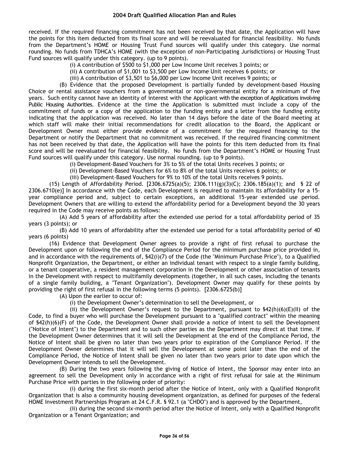received. If the required financing commitment has not been received by that date, the Application will have the points for this item deducted from its final score and will be reevaluated for financial feasibility. No funds from the Department's HOME or Housing Trust Fund sources will qualify under this category. Use normal rounding. No funds from TDHCA's HOME (with the exception of non-Participating Jurisdictions) or Housing Trust Fund sources will qualify under this category. (up to 9 points).

(i) A contribution of \$500 to \$1,000 per Low Income Unit receives 3 points; or

(ii) A contribution of \$1,001 to \$3,500 per Low Income Unit receives 6 points; or

(iii) A contribution of \$3,501 to \$6,000 per Low Income Unit receives 9 points; or

(B) Evidence that the proposed Development is partially funded by development-based Housing Choice or rental assistance vouchers from a governmental or non-governmental entity for a minimum of five years. Such entity cannot have an identity of interest with the Applicant with the exception of Applications involving Public Housing Authorities. Evidence at the time the Application is submitted must include a copy of the commitment of funds or a copy of the application to the funding entity and a letter from the funding entity indicating that the application was received. No later than 14 days before the date of the Board meeting at which staff will make their initial recommendations for credit allocation to the Board, the Applicant or Development Owner must either provide evidence of a commitment for the required financing to the Department or notify the Department that no commitment was received. If the required financing commitment has not been received by that date, the Application will have the points for this item deducted from its final score and will be reevaluated for financial feasibility. No funds from the Department's HOME or Housing Trust Fund sources will qualify under this category. Use normal rounding. (up to 9 points).

(i) Development-Based Vouchers for 3% to 5% of the total Units receives 3 points; or

(ii) Development-Based Vouchers for 6% to 8% of the total Units receives 6 points; or

(iii) Development-Based Vouchers for 9% to 10% of the total Units receives 9 points.

(15) Length of Affordability Period. [2306.6725(a)(5); 2306.111(g)(3)(C); 2306.185(a)(1); and § 22 of 2306.6710(e)] In accordance with the Code, each Development is required to maintain its affordability for a 15 year compliance period and, subject to certain exceptions, an additional 15-year extended use period. Development Owners that are willing to extend the affordability period for a Development beyond the 30 years required in the Code may receive points as follows:

(A) Add 5 years of affordability after the extended use period for a total affordability period of 35 years (3 points); or

(B) Add 10 years of affordability after the extended use period for a total affordability period of 40 years (6 points)

(16) Evidence that Development Owner agrees to provide a right of first refusal to purchase the Development upon or following the end of the Compliance Period for the minimum purchase price provided in, and in accordance with the requirements of, §42(i)(7) of the Code (the "Minimum Purchase Price"), to a Qualified Nonprofit Organization, the Department, or either an individual tenant with respect to a single family building, or a tenant cooperative, a resident management corporation in the Development or other association of tenants in the Development with respect to multifamily developments (together, in all such cases, including the tenants of a single family building, a "Tenant Organization"). Development Owner may qualify for these points by providing the right of first refusal in the following terms (5 points). [2306.6725(b)]

(A) Upon the earlier to occur of:

(i) the Development Owner's determination to sell the Development, or

(ii) the Development Owner's request to the Department, pursuant to  $$42(h)(6)(E)(II)$  of the Code, to find a buyer who will purchase the Development pursuant to a "qualified contract" within the meaning of §42(h)(6)(F) of the Code, the Development Owner shall provide a notice of intent to sell the Development ("Notice of Intent") to the Department and to such other parties as the Department may direct at that time. If the Development Owner determines that it will sell the Development at the end of the Compliance Period, the Notice of Intent shall be given no later than two years prior to expiration of the Compliance Period. If the Development Owner determines that it will sell the Development at some point later than the end of the Compliance Period, the Notice of Intent shall be given no later than two years prior to date upon which the Development Owner intends to sell the Development.

(B) During the two years following the giving of Notice of Intent, the Sponsor may enter into an agreement to sell the Development only in accordance with a right of first refusal for sale at the Minimum Purchase Price with parties in the following order of priority:

(i) during the first six-month period after the Notice of Intent, only with a Qualified Nonprofit Organization that is also a community housing development organization, as defined for purposes of the federal HOME Investment Partnerships Program at 24 C.F.R. § 92.1 (a "CHDO") and is approved by the Department,

(ii) during the second six-month period after the Notice of Intent, only with a Qualified Nonprofit Organization or a Tenant Organization; and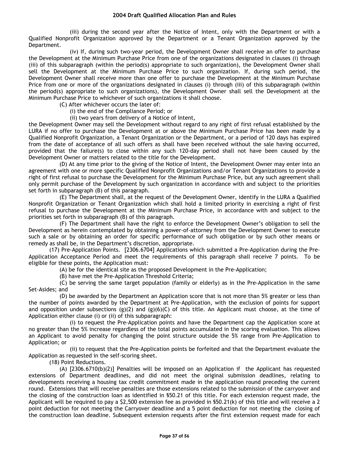(iii) during the second year after the Notice of Intent, only with the Department or with a Qualified Nonprofit Organization approved by the Department or a Tenant Organization approved by the Department.

(iv) If, during such two-year period, the Development Owner shall receive an offer to purchase the Development at the Minimum Purchase Price from one of the organizations designated in clauses (i) through (iii) of this subparagraph (within the period(s) appropriate to such organization), the Development Owner shall sell the Development at the Minimum Purchase Price to such organization. If, during such period, the Development Owner shall receive more than one offer to purchase the Development at the Minimum Purchase Price from one or more of the organizations designated in clauses (i) through (iii) of this subparagraph (within the period(s) appropriate to such organizations), the Development Owner shall sell the Development at the Minimum Purchase Price to whichever of such organizations it shall choose.

(C) After whichever occurs the later of:

(i) the end of the Compliance Period; or

(ii) two years from delivery of a Notice of Intent,

the Development Owner may sell the Development without regard to any right of first refusal established by the LURA if no offer to purchase the Development at or above the Minimum Purchase Price has been made by a Qualified Nonprofit Organization, a Tenant Organization or the Department, or a period of 120 days has expired from the date of acceptance of all such offers as shall have been received without the sale having occurred, provided that the failure(s) to close within any such 120-day period shall not have been caused by the Development Owner or matters related to the title for the Development.

(D) At any time prior to the giving of the Notice of Intent, the Development Owner may enter into an agreement with one or more specific Qualified Nonprofit Organizations and/or Tenant Organizations to provide a right of first refusal to purchase the Development for the Minimum Purchase Price, but any such agreement shall only permit purchase of the Development by such organization in accordance with and subject to the priorities set forth in subparagraph (B) of this paragraph.

(E) The Department shall, at the request of the Development Owner, identify in the LURA a Qualified Nonprofit Organization or Tenant Organization which shall hold a limited priority in exercising a right of first refusal to purchase the Development at the Minimum Purchase Price, in accordance with and subject to the priorities set forth in subparagraph (B) of this paragraph.

(F) The Department shall have the right to enforce the Development Owner's obligation to sell the Development as herein contemplated by obtaining a power-of-attorney from the Development Owner to execute such a sale or by obtaining an order for specific performance of such obligation or by such other means or remedy as shall be, in the Department's discretion, appropriate.

(17) Pre-Application Points. [2306.6704] Applications which submitted a Pre-Application during the Pre-Application Acceptance Period and meet the requirements of this paragraph shall receive 7 points. To be eligible for these points, the Application must:

(A) be for the identical site as the proposed Development in the Pre-Application;

(B) have met the Pre-Application Threshold Criteria;

(C) be serving the same target population (family or elderly) as in the Pre-Application in the same Set-Asides; and

(D) be awarded by the Department an Application score that is not more than 5% greater or less than the number of points awarded by the Department at Pre-Application, with the exclusion of points for support and opposition under subsections  $(g)(2)$  and  $(g)(6)(C)$  of this title. An Applicant must choose, at the time of Application either clause (i) or (ii) of this subparagraph:

(i) to request the Pre-Application points and have the Department cap the Application score at no greater than the 5% increase regardless of the total points accumulated in the scoring evaluation. This allows an Applicant to avoid penalty for changing the point structure outside the 5% range from Pre-Application to Application; or

(ii) to request that the Pre-Application points be forfeited and that the Department evaluate the Application as requested in the self-scoring sheet.

(18) Point Reductions.

(A) [2306.6710(b)(2)] Penalties will be imposed on an Application if the Applicant has requested extensions of Department deadlines, and did not meet the original submission deadlines, relating to developments receiving a housing tax credit commitment made in the application round preceding the current round. Extensions that will receive penalties are those extensions related to the submission of the carryover and the closing of the construction loan as identified in §50.21 of this title. For each extension request made, the Applicant will be required to pay a \$2,500 extension fee as provided in §50.21(k) of this title and will receive a 2 point deduction for not meeting the Carryover deadline and a 5 point deduction for not meeting the closing of the construction loan deadline. Subsequent extension requests after the first extension request made for each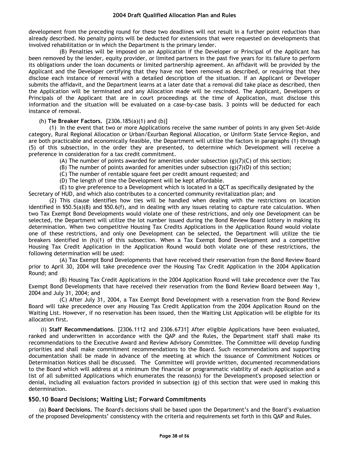development from the preceding round for these two deadlines will not result in a further point reduction than already described. No penalty points will be deducted for extensions that were requested on developments that involved rehabilitation or in which the Department is the primary lender.

(B) Penalties will be imposed on an Application if the Developer or Principal of the Applicant has been removed by the lender, equity provider, or limited partners in the past five years for its failure to perform its obligations under the loan documents or limited partnership agreement. An affidavit will be provided by the Applicant and the Developer certifying that they have not been removed as described, or requiring that they disclose each instance of removal with a detailed description of the situation. If an Applicant or Developer submits the affidavit, and the Department learns at a later date that a removal did take place as described, then the Application will be terminated and any Allocation made will be rescinded. The Applicant, Developers or Principals of the Applicant that are in court proceedings at the time of Application, must disclose this information and the situation will be evaluated on a case-by-case basis. 3 points will be deducted for each instance of removal.

#### (h) **Tie Breaker Factors.** [2306.185(a)(1) and (b)]

(1) In the event that two or more Applications receive the same number of points in any given Set-Aside category, Rural Regional Allocation or Urban/Exurban Regional Allocation, or Uniform State Service Region, and are both practicable and economically feasible, the Department will utilize the factors in paragraphs (1) through (5) of this subsection, in the order they are presented, to determine which Development will receive a preference in consideration for a tax credit commitment.

(A) The number of points awarded for amenities under subsection  $(g)(7)(C)$  of this section;

- (B) The number of points awarded for amenities under subsection  $(g)(7)(D)$  of this section;
- (C) The number of rentable square feet per credit amount requested; and

(D) The length of time the Development will be kept affordable.

(E) to give preference to a Development which is located in a QCT as specifically designated by the Secretary of HUD, and which also contributes to a concerted community revitalization plan; and

(2) This clause identifies how ties will be handled when dealing with the restrictions on location identified in §50.5(a)(8) and §50.6(f), and in dealing with any issues relating to capture rate calculation. When two Tax Exempt Bond Developments would violate one of these restrictions, and only one Development can be selected, the Department will utilize the lot number issued during the Bond Review Board lottery in making its determination. When two competitive Housing Tax Credits Applications in the Application Round would violate one of these restrictions, and only one Development can be selected, the Department will utilize the tie breakers identified in (h)(1) of this subsection. When a Tax Exempt Bond Development and a competitive Housing Tax Credit Application in the Application Round would both violate one of these restrictions, the following determination will be used:

(A) Tax Exempt Bond Developments that have received their reservation from the Bond Review Board prior to April 30, 2004 will take precedence over the Housing Tax Credit Application in the 2004 Application Round; and

(B) Housing Tax Credit Applications in the 2004 Application Round will take precedence over the Tax Exempt Bond Developments that have received their reservation from the Bond Review Board between May 1, 2004 and July 31, 2004; and

(C) After July 31, 2004, a Tax Exempt Bond Development with a reservation from the Bond Review Board will take precedence over any Housing Tax Credit Application from the 2004 Application Round on the Waiting List. However, if no reservation has been issued, then the Waiting List Application will be eligible for its allocation first.

(i) **Staff Recommendations**. [2306.1112 and 2306.6731] After eligible Applications have been evaluated, ranked and underwritten in accordance with the QAP and the Rules, the Department staff shall make its recommendations to the Executive Award and Review Advisory Committee. The Committee will develop funding priorities and shall make commitment recommendations to the Board. Such recommendations and supporting documentation shall be made in advance of the meeting at which the issuance of Commitment Notices or Determination Notices shall be discussed. The Committee will provide written, documented recommendations to the Board which will address at a minimum the financial or programmatic viability of each Application and a list of all submitted Applications which enumerates the reason(s) for the Development's proposed selection or denial, including all evaluation factors provided in subsection (g) of this section that were used in making this determination.

# **§50.10 Board Decisions; Waiting List; Forward Commitments**

(a) **Board Decisions.** The Board's decisions shall be based upon the Department's and the Board's evaluation of the proposed Developments' consistency with the criteria and requirements set forth in this QAP and Rules.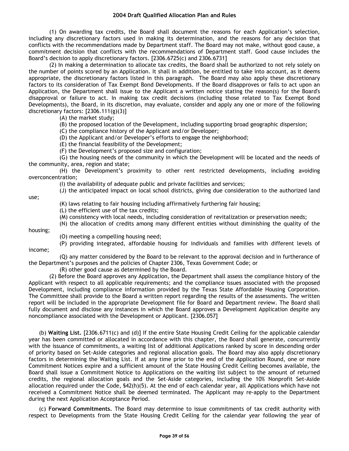(1) On awarding tax credits, the Board shall document the reasons for each Application's selection, including any discretionary factors used in making its determination, and the reasons for any decision that conflicts with the recommendations made by Department staff. The Board may not make, without good cause, a commitment decision that conflicts with the recommendations of Department staff. Good cause includes the Board's decision to apply discretionary factors. [2306.6725(c) and 2306.6731]

(2) In making a determination to allocate tax credits, the Board shall be authorized to not rely solely on the number of points scored by an Application. It shall in addition, be entitled to take into account, as it deems appropriate, the discretionary factors listed in this paragraph. The Board may also apply these discretionary factors to its consideration of Tax Exempt Bond Developments. If the Board disapproves or fails to act upon an Application, the Department shall issue to the Applicant a written notice stating the reason(s) for the Board's disapproval or failure to act. In making tax credit decisions (including those related to Tax Exempt Bond Developments), the Board, in its discretion, may evaluate, consider and apply any one or more of the following discretionary factors: [2306.111(g)(3)]

(A) the market study;

(B) the proposed location of the Development, including supporting broad geographic dispersion;

(C) the compliance history of the Applicant and/or Developer;

(D) the Applicant and/or Developer's efforts to engage the neighborhood;

(E) the financial feasibility of the Development;

(F) the Development's proposed size and configuration;

(G) the housing needs of the community in which the Development will be located and the needs of the community, area, region and state;

(H) the Development's proximity to other rent restricted developments, including avoiding overconcentration;

(I) the availability of adequate public and private facilities and services;

(J) the anticipated impact on local school districts, giving due consideration to the authorized land

(K) laws relating to fair housing including affirmatively furthering fair housing;

(L) the efficient use of the tax credits;

(M) consistency with local needs, including consideration of revitalization or preservation needs;

(N) the allocation of credits among many different entities without diminishing the quality of the

housing;

use;

(O) meeting a compelling housing need;

(P) providing integrated, affordable housing for individuals and families with different levels of income;

(Q) any matter considered by the Board to be relevant to the approval decision and in furtherance of the Department's purposes and the policies of Chapter 2306, Texas Government Code; or

(R) other good cause as determined by the Board.

(2) Before the Board approves any Application, the Department shall assess the compliance history of the Applicant with respect to all applicable requirements; and the compliance issues associated with the proposed Development, including compliance information provided by the Texas State Affordable Housing Corporation. The Committee shall provide to the Board a written report regarding the results of the assessments. The written report will be included in the appropriate Development file for Board and Department review. The Board shall fully document and disclose any instances in which the Board approves a Development Application despite any noncompliance associated with the Development or Applicant. [2306.057]

(b) **Waiting List.** [2306.6711(c) and (d)] If the entire State Housing Credit Ceiling for the applicable calendar year has been committed or allocated in accordance with this chapter, the Board shall generate, concurrently with the issuance of commitments, a waiting list of additional Applications ranked by score in descending order of priority based on Set-Aside categories and regional allocation goals. The Board may also apply discretionary factors in determining the Waiting List. If at any time prior to the end of the Application Round, one or more Commitment Notices expire and a sufficient amount of the State Housing Credit Ceiling becomes available, the Board shall issue a Commitment Notice to Applications on the waiting list subject to the amount of returned credits, the regional allocation goals and the Set-Aside categories, including the 10% Nonprofit Set-Aside allocation required under the Code, §42(h)(5). At the end of each calendar year, all Applications which have not received a Commitment Notice shall be deemed terminated. The Applicant may re-apply to the Department during the next Application Acceptance Period.

(c) **Forward Commitments.** The Board may determine to issue commitments of tax credit authority with respect to Developments from the State Housing Credit Ceiling for the calendar year following the year of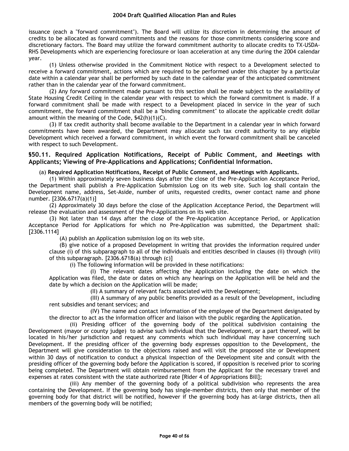issuance (each a "forward commitment"). The Board will utilize its discretion in determining the amount of credits to be allocated as forward commitments and the reasons for those commitments considering score and discretionary factors. The Board may utilize the forward commitment authority to allocate credits to TX-USDA-RHS Developments which are experiencing foreclosure or loan acceleration at any time during the 2004 calendar year.

(1) Unless otherwise provided in the Commitment Notice with respect to a Development selected to receive a forward commitment, actions which are required to be performed under this chapter by a particular date within a calendar year shall be performed by such date in the calendar year of the anticipated commitment rather than in the calendar year of the forward commitment.

(2) Any forward commitment made pursuant to this section shall be made subject to the availability of State Housing Credit Ceiling in the calendar year with respect to which the forward commitment is made. If a forward commitment shall be made with respect to a Development placed in service in the year of such commitment, the forward commitment shall be a "binding commitment" to allocate the applicable credit dollar amount within the meaning of the Code, §42(h)(1)(C).

(3) If tax credit authority shall become available to the Department in a calendar year in which forward commitments have been awarded, the Department may allocate such tax credit authority to any eligible Development which received a forward commitment, in which event the forward commitment shall be canceled with respect to such Development.

# **§50.11. Required Application Notifications, Receipt of Public Comment, and Meetings with Applicants; Viewing of Pre-Applications and Applications; Confidential Information.**

## (a) **Required Application Notifications, Receipt of Public Comment, and Meetings with Applicants.**

(1) Within approximately seven business days after the close of the Pre-Application Acceptance Period, the Department shall publish a Pre-Application Submission Log on its web site. Such log shall contain the Development name, address, Set-Aside, number of units, requested credits, owner contact name and phone number. [2306.6717(a)(1)]

(2) Approximately 30 days before the close of the Application Acceptance Period, the Department will release the evaluation and assessment of the Pre-Applications on its web site.

(3) Not later than 14 days after the close of the Pre-Application Acceptance Period, or Application Acceptance Period for Applications for which no Pre-Application was submitted, the Department shall: [2306.1114]

(A) publish an Application submission log on its web site.

(B) give notice of a proposed Development in writing that provides the information required under clause (i) of this subparagraph to all of the individuals and entities described in clauses (ii) through (viii) of this subparagraph. [2306.6718(a) through (c)]

(i) The following information will be provided in these notifications:

(I) The relevant dates affecting the Application including the date on which the Application was filed, the date or dates on which any hearings on the Application will be held and the date by which a decision on the Application will be made;

(II) A summary of relevant facts associated with the Development;

(III) A summary of any public benefits provided as a result of the Development, including rent subsidies and tenant services; and

(IV) The name and contact information of the employee of the Department designated by the director to act as the information officer and liaison with the public regarding the Application.

(ii) Presiding officer of the governing body of the political subdivision containing the Development (mayor or county judge) to advise such individual that the Development, or a part thereof, will be located in his/her jurisdiction and request any comments which such individual may have concerning such Development. If the presiding officer of the governing body expresses opposition to the Development, the Department will give consideration to the objections raised and will visit the proposed site or Development within 30 days of notification to conduct a physical inspection of the Development site and consult with the presiding officer of the governing body before the Application is scored, if opposition is received prior to scoring being completed. The Department will obtain reimbursement from the Applicant for the necessary travel and expenses at rates consistent with the state authorized rate [Rider 4 of Appropriations Bill];

(iii) Any member of the governing body of a political subdivision who represents the area containing the Development. If the governing body has single-member districts, then only that member of the governing body for that district will be notified, however if the governing body has at-large districts, then all members of the governing body will be notified;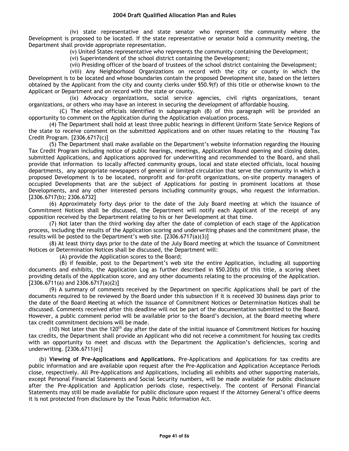(iv) state representative and state senator who represent the community where the Development is proposed to be located. If the state representative or senator hold a community meeting, the Department shall provide appropriate representation.

(v) United States representative who represents the community containing the Development;

(vi) Superintendent of the school district containing the Development;

(vii) Presiding officer of the board of trustees of the school district containing the Development;

(viii) Any Neighborhood Organizations on record with the city or county in which the Development is to be located and whose boundaries contain the proposed Development site, based on the letters obtained by the Applicant from the city and county clerks under §50.9(f) of this title or otherwise known to the Applicant or Department and on record with the state or county.

(ix) Advocacy organizations, social service agencies, civil rights organizations, tenant organizations, or others who may have an interest in securing the development of affordable housing.

(C) The elected officials identified in subparagraph (B) of this paragraph will be provided an opportunity to comment on the Application during the Application evaluation process.

(4) The Department shall hold at least three public hearings in different Uniform State Service Regions of the state to receive comment on the submitted Applications and on other issues relating to the Housing Tax Credit Program. [2306.6717(c)]

(5) The Department shall make available on the Department's website information regarding the Housing Tax Credit Program including notice of public hearings, meetings, Application Round opening and closing dates, submitted Applications, and Applications approved for underwriting and recommended to the Board, and shall provide that information to locally affected community groups, local and state elected officials, local housing departments, any appropriate newspapers of general or limited circulation that serve the community in which a proposed Development is to be located, nonprofit and for-profit organizations, on-site property managers of occupied Developments that are the subject of Applications for posting in prominent locations at those Developments, and any other interested persons including community groups, who request the information. [2306.6717(b); 2306.6732]

(6) Approximately forty days prior to the date of the July Board meeting at which the issuance of Commitment Notices shall be discussed, the Department will notify each Applicant of the receipt of any opposition received by the Department relating to his or her Development at that time.

(7) Not later than the third working day after the date of completion of each stage of the Application process, including the results of the Application scoring and underwriting phases and the commitment phase, the results will be posted to the Department's web site. [2306.6717(a)(3)]

(8) At least thirty days prior to the date of the July Board meeting at which the issuance of Commitment Notices or Determination Notices shall be discussed, the Department will:

(A) provide the Application scores to the Board;

(B) if feasible, post to the Department's web site the entire Application, including all supporting documents and exhibits, the Application Log as further described in §50.20(b) of this title, a scoring sheet providing details of the Application score, and any other documents relating to the processing of the Application.  $[2306.6711(a)$  and  $2306.6717(a)(2)]$ 

(9) A summary of comments received by the Department on specific Applications shall be part of the documents required to be reviewed by the Board under this subsection if it is received 30 business days prior to the date of the Board Meeting at which the issuance of Commitment Notices or Determination Notices shall be discussed. Comments received after this deadline will not be part of the documentation submitted to the Board. However, a public comment period will be available prior to the Board's decision, at the Board meeting where tax credit commitment decisions will be made.

(10) Not later than the 120<sup>th</sup> day after the date of the initial issuance of Commitment Notices for housing tax credits, the Department shall provide an Applicant who did not receive a commitment for housing tax credits with an opportunity to meet and discuss with the Department the Application's deficiencies, scoring and underwriting. [2306.6711(e)]

(b) **Viewing of Pre-Applications and Applications.** Pre-Applications and Applications for tax credits are public information and are available upon request after the Pre-Application and Application Acceptance Periods close, respectively. All Pre-Applications and Applications, including all exhibits and other supporting materials, except Personal Financial Statements and Social Security numbers, will be made available for public disclosure after the Pre-Application and Application periods close, respectively. The content of Personal Financial Statements may still be made available for public disclosure upon request if the Attorney General's office deems it is not protected from disclosure by the Texas Public Information Act*.*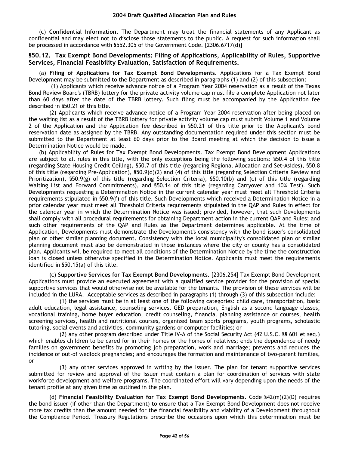(c) **Confidential Information.** The Department may treat the financial statements of any Applicant as confidential and may elect not to disclose those statements to the public. A request for such information shall be processed in accordance with §552.305 of the Government Code. [2306.6717(d)]

## **§50.12. Tax Exempt Bond Developments: Filing of Applications, Applicability of Rules, Supportive Services, Financial Feasibility Evaluation, Satisfaction of Requirements.**

(a) **Filing of Applications for Tax Exempt Bond Developments.** Applications for a Tax Exempt Bond Development may be submitted to the Department as described in paragraphs (1) and (2) of this subsection:

(1) Applicants which receive advance notice of a Program Year 2004 reservation as a result of the Texas Bond Review Board's (TBRB) lottery for the private activity volume cap must file a complete Application not later than 60 days after the date of the TBRB lottery. Such filing must be accompanied by the Application fee described in §50.21 of this title.

(2) Applicants which receive advance notice of a Program Year 2004 reservation after being placed on the waiting list as a result of the TBRB lottery for private activity volume cap must submit Volume 1 and Volume 2 of the Application and the Application fee described in §50.21 of this title prior to the Applicant's bond reservation date as assigned by the TBRB. Any outstanding documentation required under this section must be submitted to the Department at least 60 days prior to the Board meeting at which the decision to issue a Determination Notice would be made.

(b) Applicability of Rules for Tax Exempt Bond Developments. Tax Exempt Bond Development Applications are subject to all rules in this title, with the only exceptions being the following sections: §50.4 of this title (regarding State Housing Credit Ceiling), §50.7 of this title (regarding Regional Allocation and Set-Asides), §50.8 of this title (regarding Pre-Application), §50.9(d)(2) and (4) of this title (regarding Selection Criteria Review and Prioritization), §50.9(g) of this title (regarding Selection Criteria), §50.10(b) and (c) of this title (regarding Waiting List and Forward Commitments), and §50.14 of this title (regarding Carryover and 10% Test). Such Developments requesting a Determination Notice in the current calendar year must meet all Threshold Criteria requirements stipulated in §50.9(f) of this title. Such Developments which received a Determination Notice in a prior calendar year must meet all Threshold Criteria requirements stipulated in the QAP and Rules in effect for the calendar year in which the Determination Notice was issued; provided, however, that such Developments shall comply with all procedural requirements for obtaining Department action in the current QAP and Rules; and such other requirements of the QAP and Rules as the Department determines applicable. At the time of Application, Developments must demonstrate the Development's consistency with the bond issuer's consolidated plan or other similar planning document. Consistency with the local municipality's consolidated plan or similar planning document must also be demonstrated in those instances where the city or county has a consolidated plan. Applicants will be required to meet all conditions of the Determination Notice by the time the construction loan is closed unless otherwise specified in the Determination Notice. Applicants must meet the requirements identified in §50.15(a) of this title.

(c) **Supportive Services for Tax Exempt Bond Developments.** [2306.254] Tax Exempt Bond Development Applications must provide an executed agreement with a qualified service provider for the provision of special supportive services that would otherwise not be available for the tenants. The provision of these services will be included in the LURA. Acceptable services as described in paragraphs (1) through (3) of this subsection include:

(1) the services must be in at least one of the following categories: child care, transportation, basic adult education, legal assistance, counseling services, GED preparation, English as a second language classes, vocational training, home buyer education, credit counseling, financial planning assistance or courses, health screening services, health and nutritional courses, organized team sports programs, youth programs, scholastic tutoring, social events and activities, community gardens or computer facilities; or

(2) any other program described under Title IV-A of the Social Security Act (42 U.S.C. §§ 601 et seq.) which enables children to be cared for in their homes or the homes of relatives; ends the dependence of needy families on government benefits by promoting job preparation, work and marriage; prevents and reduces the incidence of out-of wedlock pregnancies; and encourages the formation and maintenance of two-parent families, or

(3) any other services approved in writing by the Issuer. The plan for tenant supportive services submitted for review and approval of the Issuer must contain a plan for coordination of services with state workforce development and welfare programs. The coordinated effort will vary depending upon the needs of the tenant profile at any given time as outlined in the plan.

(d) **Financial Feasibility Evaluation for Tax Exempt Bond Developments.** Code §42(m)(2)(D) requires the bond issuer (if other than the Department) to ensure that a Tax Exempt Bond Development does not receive more tax credits than the amount needed for the financial feasibility and viability of a Development throughout the Compliance Period. Treasury Regulations prescribe the occasions upon which this determination must be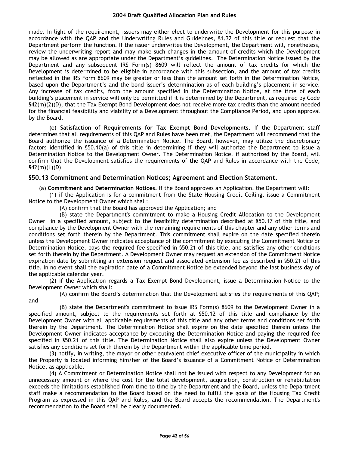made. In light of the requirement, issuers may either elect to underwrite the Development for this purpose in accordance with the QAP and the Underwriting Rules and Guidelines, §1.32 of this title or request that the Department perform the function. If the issuer underwrites the Development, the Department will, nonetheless, review the underwriting report and may make such changes in the amount of credits which the Development may be allowed as are appropriate under the Department's guidelines. The Determination Notice issued by the Department and any subsequent IRS Form(s) 8609 will reflect the amount of tax credits for which the Development is determined to be eligible in accordance with this subsection, and the amount of tax credits reflected in the IRS Form 8609 may be greater or less than the amount set forth in the Determination Notice, based upon the Department's and the bond issuer's determination as of each building's placement in service. Any increase of tax credits, from the amount specified in the Determination Notice, at the time of each building's placement in service will only be permitted if it is determined by the Department, as required by Code §42(m)(2)(D), that the Tax Exempt Bond Development does not receive more tax credits than the amount needed for the financial feasibility and viability of a Development throughout the Compliance Period, and upon approval by the Board.

(e) **Satisfaction of Requirements for Tax Exempt Bond Developments.** If the Department staff determines that all requirements of this QAP and Rules have been met, the Department will recommend that the Board authorize the issuance of a Determination Notice. The Board, however, may utilize the discretionary factors identified in §50.10(a) of this title in determining if they will authorize the Department to issue a Determination Notice to the Development Owner. The Determination Notice, if authorized by the Board, will confirm that the Development satisfies the requirements of the QAP and Rules in accordance with the Code,  $$42(m)(1)(D).$ 

# **§50.13 Commitment and Determination Notices; Agreement and Election Statement.**

#### (a) **Commitment and Determination Notices.** If the Board approves an Application, the Department will:

(1) if the Application is for a commitment from the State Housing Credit Ceiling, issue a Commitment Notice to the Development Owner which shall:

(A) confirm that the Board has approved the Application; and

(B) state the Department's commitment to make a Housing Credit Allocation to the Development Owner in a specified amount, subject to the feasibility determination described at §50.17 of this title, and compliance by the Development Owner with the remaining requirements of this chapter and any other terms and conditions set forth therein by the Department. This commitment shall expire on the date specified therein unless the Development Owner indicates acceptance of the commitment by executing the Commitment Notice or Determination Notice, pays the required fee specified in §50.21 of this title, and satisfies any other conditions set forth therein by the Department. A Development Owner may request an extension of the Commitment Notice expiration date by submitting an extension request and associated extension fee as described in §50.21 of this title. In no event shall the expiration date of a Commitment Notice be extended beyond the last business day of the applicable calendar year.

(2) if the Application regards a Tax Exempt Bond Development, issue a Determination Notice to the Development Owner which shall:

(A) confirm the Board's determination that the Development satisfies the requirements of this QAP; and

(B) state the Department's commitment to issue IRS Form(s) 8609 to the Development Owner in a specified amount, subject to the requirements set forth at §50.12 of this title and compliance by the Development Owner with all applicable requirements of this title and any other terms and conditions set forth therein by the Department. The Determination Notice shall expire on the date specified therein unless the Development Owner indicates acceptance by executing the Determination Notice and paying the required fee specified in §50.21 of this title. The Determination Notice shall also expire unless the Development Owner satisfies any conditions set forth therein by the Department within the applicable time period.

(3) notify, in writing, the mayor or other equivalent chief executive officer of the municipality in which the Property is located informing him/her of the Board's issuance of a Commitment Notice or Determination Notice, as applicable.

(4) A Commitment or Determination Notice shall not be issued with respect to any Development for an unnecessary amount or where the cost for the total development, acquisition, construction or rehabilitation exceeds the limitations established from time to time by the Department and the Board, unless the Department staff make a recommendation to the Board based on the need to fulfill the goals of the Housing Tax Credit Program as expressed in this QAP and Rules, and the Board accepts the recommendation. The Department's recommendation to the Board shall be clearly documented.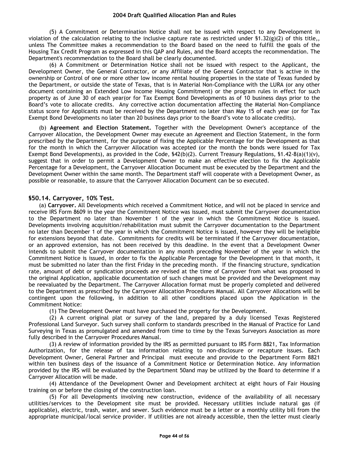(5) A Commitment or Determination Notice shall not be issued with respect to any Development in violation of the calculation relating to the inclusive capture rate as restricted under  $(1.32(g)(2))$  of this title, unless The Committee makes a recommendation to the Board based on the need to fulfill the goals of the Housing Tax Credit Program as expressed in this QAP and Rules, and the Board accepts the recommendation. The Department's recommendation to the Board shall be clearly documented.

(6) A Commitment or Determination Notice shall not be issued with respect to the Applicant, the Development Owner, the General Contractor, or any Affiliate of the General Contractor that is active in the ownership or Control of one or more other low income rental housing properties in the state of Texas funded by the Department, or outside the state of Texas, that is in Material Non-Compliance with the LURA (or any other document containing an Extended Low Income Housing Commitment) or the program rules in effect for such property as of June 30 of each year(or for Tax Exempt Bond Developments as of 10 business days prior to the Board's vote to allocate credits. Any corrective action documentation affecting the Material Non-Compliance status score for Applicants must be received by the Department no later than May 15 of each year (or for Tax Exempt Bond Developments no later than 20 business days prior to the Board's vote to allocate credits).

(b) **Agreement and Election Statement.** Together with the Development Owner's acceptance of the Carryover Allocation, the Development Owner may execute an Agreement and Election Statement, in the form prescribed by the Department, for the purpose of fixing the Applicable Percentage for the Development as that for the month in which the Carryover Allocation was accepted (or the month the bonds were issued for Tax Exempt Bond Developments), as provided in the Code,  $$42(b)(2)$ . Current Treasury Regulations,  $$1.42-8(a)(1)(v)$ , suggest that in order to permit a Development Owner to make an effective election to fix the Applicable Percentage for a Development, the Carryover Allocation Document must be executed by the Department and the Development Owner within the same month. The Department staff will cooperate with a Development Owner, as possible or reasonable, to assure that the Carryover Allocation Document can be so executed.

# **§50.14. Carryover, 10% Test.**

(a) **Carryover.** All Developments which received a Commitment Notice, and will not be placed in service and receive IRS Form 8609 in the year the Commitment Notice was issued, must submit the Carryover documentation to the Department no later than November 1 of the year in which the Commitment Notice is issued. Developments involving acquisition/rehabilitation must submit the Carryover documentation to the Department no later than December 1 of the year in which the Commitment Notice is issued, however they will be ineligible for extensions beyond that date. Commitments for credits will be terminated if the Carryover documentation, or an approved extension, has not been received by this deadline. In the event that a Development Owner intends to submit the Carryover documentation in any month preceding November of the year in which the Commitment Notice is issued, in order to fix the Applicable Percentage for the Development in that month, it must be submitted no later than the first Friday in the preceding month. If the financing structure, syndication rate, amount of debt or syndication proceeds are revised at the time of Carryover from what was proposed in the original Application, applicable documentation of such changes must be provided and the Development may be reevaluated by the Department. The Carryover Allocation format must be properly completed and delivered to the Department as prescribed by the Carryover Allocation Procedures Manual. All Carryover Allocations will be contingent upon the following, in addition to all other conditions placed upon the Application in the Commitment Notice:

(1) The Development Owner must have purchased the property for the Development.

(2) A current original plat or survey of the land, prepared by a duly licensed Texas Registered Professional Land Surveyor. Such survey shall conform to standards prescribed in the Manual of Practice for Land Surveying in Texas as promulgated and amended from time to time by the Texas Surveyors Association as more fully described in the Carryover Procedures Manual.

(3) A review of information provided by the IRS as permitted pursuant to IRS Form 8821, Tax Information Authorization, for the release of tax information relating to non-disclosure or recapture issues. Each Development Owner, General Partner and Principal must execute and provide to the Department Form 8821 within ten business days of the issuance of a Commitment Notice or Determination Notice. Any information provided by the IRS will be evaluated by the Department 50and may be utilized by the Board to determine if a Carryover Allocation will be made.

(4) Attendance of the Development Owner and Development architect at eight hours of Fair Housing training on or before the closing of the construction loan.

(5) For all Developments involving new construction, evidence of the availability of all necessary utilities/services to the Development site must be provided. Necessary utilities include natural gas (if applicable), electric, trash, water, and sewer. Such evidence must be a letter or a monthly utility bill from the appropriate municipal/local service provider. If utilities are not already accessible, then the letter must clearly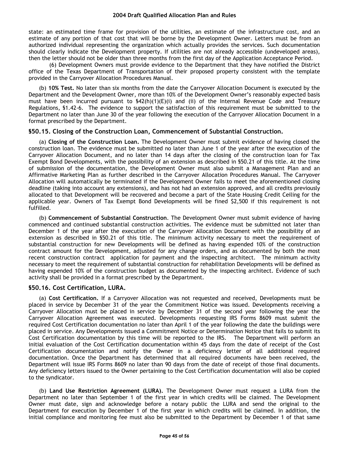state: an estimated time frame for provision of the utilities, an estimate of the infrastructure cost, and an estimate of any portion of that cost that will be borne by the Development Owner. Letters must be from an authorized individual representing the organization which actually provides the services. Such documentation should clearly indicate the Development property. If utilities are not already accessible (undeveloped areas), then the letter should not be older than three months from the first day of the Application Acceptance Period.

(6) Development Owners must provide evidence to the Department that they have notified the District office of the Texas Department of Transportation of their proposed property consistent with the template provided in the Carryover Allocation Procedures Manual.

(b) **10% Test.** No later than six months from the date the Carryover Allocation Document is executed by the Department and the Development Owner, more than 10% of the Development Owner's reasonably expected basis must have been incurred pursuant to  $\frac{642(h)(1)(E)(i)}{h}$  and (ii) of the Internal Revenue Code and Treasury Regulations, §1.42-6. The evidence to support the satisfaction of this requirement must be submitted to the Department no later than June 30 of the year following the execution of the Carryover Allocation Document in a format prescribed by the Department.

## **§50.15. Closing of the Construction Loan, Commencement of Substantial Construction.**

(a) **Closing of the Construction Loan.** The Development Owner must submit evidence of having closed the construction loan. The evidence must be submitted no later than June 1 of the year after the execution of the Carryover Allocation Document, and no later than 14 days after the closing of the construction loan for Tax Exempt Bond Developments, with the possibility of an extension as described in §50.21 of this title. At the time of submission of the documentation, the Development Owner must also submit a Management Plan and an Affirmative Marketing Plan as further described in the Carryover Allocation Procedures Manual. The Carryover Allocation will automatically be terminated if the Development Owner fails to meet the aforementioned closing deadline (taking into account any extensions), and has not had an extension approved, and all credits previously allocated to that Development will be recovered and become a part of the State Housing Credit Ceiling for the applicable year. Owners of Tax Exempt Bond Developments will be fined \$2,500 if this requirement is not fulfilled.

(b) **Commencement of Substantial Construction**. The Development Owner must submit evidence of having commenced and continued substantial construction activities. The evidence must be submitted not later than December 1 of the year after the execution of the Carryover Allocation Document with the possibility of an extension as described in §50.21 of this title. The minimum activity necessary to meet the requirement of substantial construction for new Developments will be defined as having expended 10% of the construction contract amount for the Development, adjusted for any change orders, and as documented by both the most recent construction contract application for payment and the inspecting architect. The minimum activity necessary to meet the requirement of substantial construction for rehabilitation Developments will be defined as having expended 10% of the construction budget as documented by the inspecting architect. Evidence of such activity shall be provided in a format prescribed by the Department.

# **§50.16. Cost Certification, LURA.**

(a) **Cost Certification.** If a Carryover Allocation was not requested and received, Developments must be placed in service by December 31 of the year the Commitment Notice was issued. Developments receiving a Carryover Allocation must be placed in service by December 31 of the second year following the year the Carryover Allocation Agreement was executed. Developments requesting IRS Forms 8609 must submit the required Cost Certification documentation no later than April 1 of the year following the date the buildings were placed in service. Any Developments issued a Commitment Notice or Determination Notice that fails to submit its Cost Certification documentation by this time will be reported to the IRS. The Department will perform an initial evaluation of the Cost Certification documentation within 45 days from the date of receipt of the Cost Certification documentation and notify the Owner in a deficiency letter of all additional required documentation. Once the Department has determined that all required documents have been received, the Department will issue IRS Forms 8609 no later than 90 days from the date of receipt of those final documents. Any deficiency letters issued to the Owner pertaining to the Cost Certification documentation will also be copied to the syndicator.

(b) **Land Use Restriction Agreement (LURA).** The Development Owner must request a LURA from the Department no later than September 1 of the first year in which credits will be claimed. The Development Owner must date, sign and acknowledge before a notary public the LURA and send the original to the Department for execution by December 1 of the first year in which credits will be claimed. In addition, the initial compliance and monitoring fee must also be submitted to the Department by December 1 of that same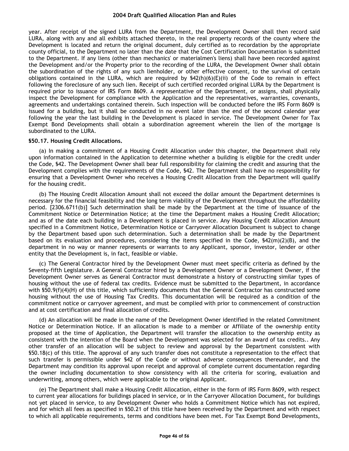year. After receipt of the signed LURA from the Department, the Development Owner shall then record said LURA, along with any and all exhibits attached thereto, in the real property records of the county where the Development is located and return the original document, duly certified as to recordation by the appropriate county official, to the Department no later than the date that the Cost Certification Documentation is submitted to the Department. If any liens (other than mechanics' or materialmen's liens) shall have been recorded against the Development and/or the Property prior to the recording of the LURA, the Development Owner shall obtain the subordination of the rights of any such lienholder, or other effective consent, to the survival of certain obligations contained in the LURA, which are required by  $$42(h)(6)(E)(ii)$  of the Code to remain in effect following the foreclosure of any such lien. Receipt of such certified recorded original LURA by the Department is required prior to issuance of IRS Form 8609. A representative of the Department, or assigns, shall physically inspect the Development for compliance with the Application and the representatives, warranties, covenants, agreements and undertakings contained therein. Such inspection will be conducted before the IRS Form 8609 is issued for a building, but it shall be conducted in no event later than the end of the second calendar year following the year the last building in the Development is placed in service. The Development Owner for Tax Exempt Bond Developments shall obtain a subordination agreement wherein the lien of the mortgage is subordinated to the LURA.

#### **§50.17. Housing Credit Allocations.**

(a) In making a commitment of a Housing Credit Allocation under this chapter, the Department shall rely upon information contained in the Application to determine whether a building is eligible for the credit under the Code, §42. The Development Owner shall bear full responsibility for claiming the credit and assuring that the Development complies with the requirements of the Code, §42. The Department shall have no responsibility for ensuring that a Development Owner who receives a Housing Credit Allocation from the Department will qualify for the housing credit.

(b) The Housing Credit Allocation Amount shall not exceed the dollar amount the Department determines is necessary for the financial feasibility and the long term viability of the Development throughout the affordability period. [2306.6711(b)] Such determination shall be made by the Department at the time of issuance of the Commitment Notice or Determination Notice; at the time the Department makes a Housing Credit Allocation; and as of the date each building in a Development is placed in service. Any Housing Credit Allocation Amount specified in a Commitment Notice, Determination Notice or Carryover Allocation Document is subject to change by the Department based upon such determination. Such a determination shall be made by the Department based on its evaluation and procedures, considering the items specified in the Code, §42(m)(2)(B), and the department in no way or manner represents or warrants to any Applicant, sponsor, investor, lender or other entity that the Development is, in fact, feasible or viable.

(c) The General Contractor hired by the Development Owner must meet specific criteria as defined by the Seventy-fifth Legislature. A General Contractor hired by a Development Owner or a Development Owner, if the Development Owner serves as General Contractor must demonstrate a history of constructing similar types of housing without the use of federal tax credits. Evidence must be submitted to the Department, in accordance with §50.9(f)(4)(H) of this title, which sufficiently documents that the General Contractor has constructed some housing without the use of Housing Tax Credits. This documentation will be required as a condition of the commitment notice or carryover agreement, and must be complied with prior to commencement of construction and at cost certification and final allocation of credits.

(d) An allocation will be made in the name of the Development Owner identified in the related Commitment Notice or Determination Notice. If an allocation is made to a member or Affiliate of the ownership entity proposed at the time of Application, the Department will transfer the allocation to the ownership entity as consistent with the intention of the Board when the Development was selected for an award of tax credits.. Any other transfer of an allocation will be subject to review and approval by the Department consistent with §50.18(c) of this title. The approval of any such transfer does not constitute a representation to the effect that such transfer is permissible under §42 of the Code or without adverse consequences thereunder, and the Department may condition its approval upon receipt and approval of complete current documentation regarding the owner including documentation to show consistency with all the criteria for scoring, evaluation and underwriting, among others, which were applicable to the original Applicant.

(e) The Department shall make a Housing Credit Allocation, either in the form of IRS Form 8609, with respect to current year allocations for buildings placed in service, or in the Carryover Allocation Document, for buildings not yet placed in service, to any Development Owner who holds a Commitment Notice which has not expired, and for which all fees as specified in §50.21 of this title have been received by the Department and with respect to which all applicable requirements, terms and conditions have been met. For Tax Exempt Bond Developments,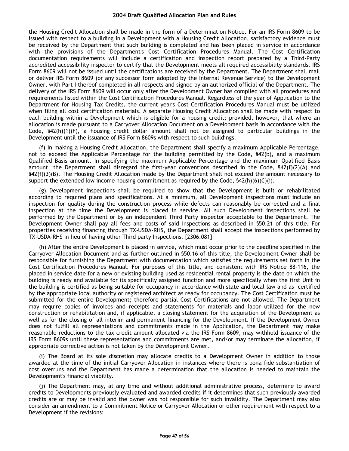the Housing Credit Allocation shall be made in the form of a Determination Notice. For an IRS Form 8609 to be issued with respect to a building in a Development with a Housing Credit Allocation, satisfactory evidence must be received by the Department that such building is completed and has been placed in service in accordance with the provisions of the Department's Cost Certification Procedures Manual. The Cost Certification documentation requirements will include a certification and inspection report prepared by a Third-Party accredited accessibility inspector to certify that the Development meets all required accessibility standards. IRS Form 8609 will not be issued until the certifications are received by the Department. The Department shall mail or deliver IRS Form 8609 (or any successor form adopted by the Internal Revenue Service) to the Development Owner, with Part I thereof completed in all respects and signed by an authorized official of the Department. The delivery of the IRS Form 8609 will occur only after the Development Owner has complied with all procedures and requirements listed within the Cost Certification Procedures Manual. Regardless of the year of Application to the Department for Housing Tax Credits, the current year's Cost Certification Procedures Manual must be utilized when filing all cost certification materials. A separate Housing Credit Allocation shall be made with respect to each building within a Development which is eligible for a housing credit; provided, however, that where an allocation is made pursuant to a Carryover Allocation Document on a Development basis in accordance with the Code, §42(h)(1)(F), a housing credit dollar amount shall not be assigned to particular buildings in the Development until the issuance of IRS Form 8609s with respect to such buildings.

(f) In making a Housing Credit Allocation, the Department shall specify a maximum Applicable Percentage, not to exceed the Applicable Percentage for the building permitted by the Code, §42(b), and a maximum Qualified Basis amount. In specifying the maximum Applicable Percentage and the maximum Qualified Basis amount, the Department shall disregard the first-year conventions described in the Code, §42(f)(2)(A) and §42(f)(3)(B). The Housing Credit Allocation made by the Department shall not exceed the amount necessary to support the extended low income housing commitment as required by the Code,  $\frac{542(h)(6)(C(i))}{2}$ .

(g) Development inspections shall be required to show that the Development is built or rehabilitated according to required plans and specifications. At a minimum, all Development inspections must include an inspection for quality during the construction process while defects can reasonably be corrected and a final inspection at the time the Development is placed in service. All such Development inspections shall be performed by the Department or by an independent Third Party inspector acceptable to the Department. The Development Owner shall pay all fees and costs of said inspections as described in §50.21 of this title. For properties receiving financing through TX-USDA-RHS, the Department shall accept the inspections performed by TX-USDA-RHS in lieu of having other Third party Inspections. [2306.081]

(h) After the entire Development is placed in service, which must occur prior to the deadline specified in the Carryover Allocation Document and as further outlined in §50.16 of this title, the Development Owner shall be responsible for furnishing the Department with documentation which satisfies the requirements set forth in the Cost Certification Procedures Manual. For purposes of this title, and consistent with IRS Notice 88-116, the placed in service date for a new or existing building used as residential rental property is the date on which the building is ready and available for its specifically assigned function and more specifically when the first Unit in the building is certified as being suitable for occupancy in accordance with state and local law and as certified by the appropriate local authority or registered architect as ready for occupancy. The Cost Certification must be submitted for the entire Development; therefore partial Cost Certifications are not allowed. The Department may require copies of invoices and receipts and statements for materials and labor utilized for the new construction or rehabilitation and, if applicable, a closing statement for the acquisition of the Development as well as for the closing of all interim and permanent financing for the Development. If the Development Owner does not fulfill all representations and commitments made in the Application, the Department may make reasonable reductions to the tax credit amount allocated via the IRS Form 8609, may withhold issuance of the IRS Form 8609s until these representations and commitments are met, and/or may terminate the allocation, if appropriate corrective action is not taken by the Development Owner.

(i) The Board at its sole discretion may allocate credits to a Development Owner in addition to those awarded at the time of the initial Carryover Allocation in instances where there is bona fide substantiation of cost overruns and the Department has made a determination that the allocation is needed to maintain the Development's financial viability.

(j) The Department may, at any time and without additional administrative process, determine to award credits to Developments previously evaluated and awarded credits if it determines that such previously awarded credits are or may be invalid and the owner was not responsible for such invalidity. The Department may also consider an amendment to a Commitment Notice or Carryover Allocation or other requirement with respect to a Development if the revisions: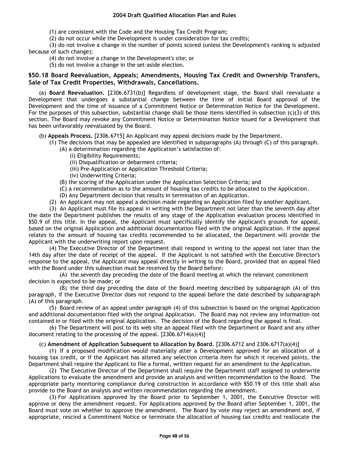(1) are consistent with the Code and the Housing Tax Credit Program;

(2) do not occur while the Development is under consideration for tax credits;

(3) do not involve a change in the number of points scored (unless the Development's ranking is adjusted because of such change);

- (4) do not involve a change in the Development's site; or
- (5) do not involve a change in the set-aside election.

# **§50.18 Board Reevaluation, Appeals; Amendments, Housing Tax Credit and Ownership Transfers, Sale of Tax Credit Properties, Withdrawals, Cancellations.**

(a) **Board Reevaluation.** [2306.6731(b)] Regardless of development stage, the Board shall reevaluate a Development that undergoes a substantial change between the time of initial Board approval of the Development and the time of issuance of a Commitment Notice or Determination Notice for the Development. For the purposes of this subsection, substantial change shall be those items identified in subsection (c)(3) of this section. The Board may revoke any Commitment Notice or Determination Notice issued for a Development that has been unfavorably reevaluated by the Board.

(b) **Appeals Process.** [2306.6715] An Applicant may appeal decisions made by the Department.

- (1) The decisions that may be appealed are identified in subparagraphs (A) through (C) of this paragraph.
	- (A) a determination regarding the Application's satisfaction of:
		- (i) Eligibility Requirements;
		- (ii) Disqualification or debarment criteria;
		- (iii) Pre-Application or Application Threshold Criteria;
		- (iv) Underwriting Criteria;
	- (B) the scoring of the Application under the Application Selection Criteria; and
	- (C) a recommendation as to the amount of housing tax credits to be allocated to the Application.
	- (D) Any Department decision that results in termination of an Application.
- (2) An Applicant may not appeal a decision made regarding an Application filed by another Applicant.

(3) An Applicant must file its appeal in writing with the Department not later than the seventh day after the date the Department publishes the results of any stage of the Application evaluation process identified in §50.9 of this title. In the appeal, the Applicant must specifically identify the Applicant's grounds for appeal, based on the original Application and additional documentation filed with the original Application. If the appeal relates to the amount of housing tax credits recommended to be allocated, the Department will provide the Applicant with the underwriting report upon request.

(4) The Executive Director of the Department shall respond in writing to the appeal not later than the 14th day after the date of receipt of the appeal. If the Applicant is not satisfied with the Executive Director's response to the appeal, the Applicant may appeal directly in writing to the Board, provided that an appeal filed with the Board under this subsection must be received by the Board before:

(A) the seventh day preceding the date of the Board meeting at which the relevant commitment decision is expected to be made; or

(B) the third day preceding the date of the Board meeting described by subparagraph (A) of this paragraph, if the Executive Director does not respond to the appeal before the date described by subparagraph (A) of this paragraph.

(5) Board review of an appeal under paragraph (4) of this subsection is based on the original Application and additional documentation filed with the original Application. The Board may not review any information not contained in or filed with the original Application. The decision of the Board regarding the appeal is final.

(6) The Department will post to its web site an appeal filed with the Department or Board and any other document relating to the processing of the appeal. [2306.6714(a)(4)]

#### (c) **Amendment of Application Subsequent to Allocation by Board.** [2306.6712 and 2306.6717(a)(4)]

(1) If a proposed modification would materially alter a Development approved for an allocation of a housing tax credit, or if the Applicant has altered any selection criteria item for which it received points, the Department shall require the Applicant to file a formal, written request for an amendment to the Application.

(2) The Executive Director of the Department shall require the Department staff assigned to underwrite Applications to evaluate the amendment and provide an analysis and written recommendation to the Board. The appropriate party monitoring compliance during construction in accordance with §50.19 of this title shall also provide to the Board an analysis and written recommendation regarding the amendment.

(3) For Applications approved by the Board prior to September 1, 2001, the Executive Director will approve or deny the amendment request. For Applications approved by the Board after September 1, 2001, the Board must vote on whether to approve the amendment. The Board by vote may reject an amendment and, if appropriate, rescind a Commitment Notice or terminate the allocation of housing tax credits and reallocate the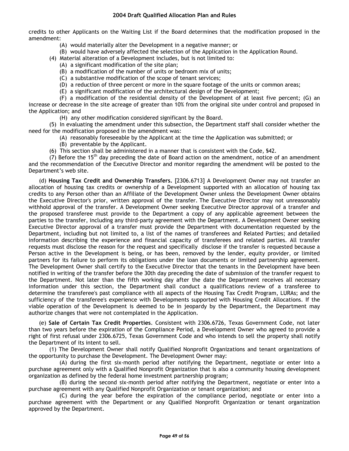credits to other Applicants on the Waiting List if the Board determines that the modification proposed in the amendment:

- (A) would materially alter the Development in a negative manner; or
- (B) would have adversely affected the selection of the Application in the Application Round.
- (4) Material alteration of a Development includes, but is not limited to:
	- (A) a significant modification of the site plan;
	- (B) a modification of the number of units or bedroom mix of units;
	- (C) a substantive modification of the scope of tenant services;
	- (D) a reduction of three percent or more in the square footage of the units or common areas;
	- (E) a significant modification of the architectural design of the Development;

(F) a modification of the residential density of the Development of at least five percent; (G) an increase or decrease in the site acreage of greater than 10% from the original site under control and proposed in the Application; and

(H) any other modification considered significant by the Board.

(5) In evaluating the amendment under this subsection, the Department staff shall consider whether the need for the modification proposed in the amendment was:

- (A) reasonably foreseeable by the Applicant at the time the Application was submitted; or
- (B) preventable by the Applicant.

(6) This section shall be administered in a manner that is consistent with the Code, §42.

(7) Before the  $15<sup>th</sup>$  day preceding the date of Board action on the amendment, notice of an amendment and the recommendation of the Executive Director and monitor regarding the amendment will be posted to the Department's web site.

(d) **Housing Tax Credit and Ownership Transfers.** [2306.6713] A Development Owner may not transfer an allocation of housing tax credits or ownership of a Development supported with an allocation of housing tax credits to any Person other than an Affiliate of the Development Owner unless the Development Owner obtains the Executive Director's prior, written approval of the transfer. The Executive Director may not unreasonably withhold approval of the transfer. A Development Owner seeking Executive Director approval of a transfer and the proposed transferee must provide to the Department a copy of any applicable agreement between the parties to the transfer, including any third-party agreement with the Department. A Development Owner seeking Executive Director approval of a transfer must provide the Department with documentation requested by the Department, including but not limited to, a list of the names of transferees and Related Parties; and detailed information describing the experience and financial capacity of transferees and related parties. All transfer requests must disclose the reason for the request and specifically disclose if the transfer is requested because a Person active in the Development is being, or has been, removed by the lender, equity provider, or limited partners for its failure to perform its obligations under the loan documents or limited partnership agreement. The Development Owner shall certify to the Executive Director that the tenants in the Development have been notified in writing of the transfer before the 30th day preceding the date of submission of the transfer request to the Department. Not later than the fifth working day after the date the Department receives all necessary information under this section, the Department shall conduct a qualifications review of a transferee to determine the transferee's past compliance with all aspects of the Housing Tax Credit Program, LURAs; and the sufficiency of the transferee's experience with Developments supported with Housing Credit Allocations. If the viable operation of the Development is deemed to be in jeopardy by the Department, the Department may authorize changes that were not contemplated in the Application.

(e) **Sale of Certain Tax Credit Properties**. Consistent with 2306.6726, Texas Government Code, not later than two years before the expiration of the Compliance Period, a Development Owner who agreed to provide a right of first refusal under 2306.6725, Texas Government Code and who intends to sell the property shall notify the Department of its intent to sell.

(1) The Development Owner shall notify Qualified Nonprofit Organizations and tenant organizations of the opportunity to purchase the Development. The Development Owner may:

(A) during the first six-month period after notifying the Department, negotiate or enter into a purchase agreement only with a Qualified Nonprofit Organization that is also a community housing development organization as defined by the federal home investment partnership program;

(B) during the second six-month period after notifying the Department, negotiate or enter into a purchase agreement with any Qualified Nonprofit Organization or tenant organization; and

(C) during the year before the expiration of the compliance period, negotiate or enter into a purchase agreement with the Department or any Qualified Nonprofit Organization or tenant organization approved by the Department.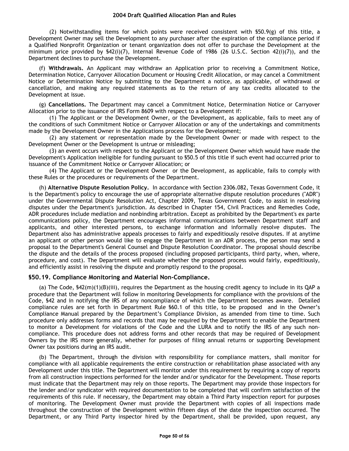(2) Notwithstanding items for which points were received consistent with  $$50.9(q)$  of this title, a Development Owner may sell the Development to any purchaser after the expiration of the compliance period if a Qualified Nonprofit Organization or tenant organization does not offer to purchase the Development at the minimum price provided by §42(i)(7), Internal Revenue Code of 1986 (26 U.S.C. Section 42(i)(7)), and the Department declines to purchase the Development.

(f) **Withdrawals.** An Applicant may withdraw an Application prior to receiving a Commitment Notice, Determination Notice, Carryover Allocation Document or Housing Credit Allocation, or may cancel a Commitment Notice or Determination Notice by submitting to the Department a notice, as applicable, of withdrawal or cancellation, and making any required statements as to the return of any tax credits allocated to the Development at issue.

(g) **Cancellations.** The Department may cancel a Commitment Notice, Determination Notice or Carryover Allocation prior to the issuance of IRS Form 8609 with respect to a Development if:

(1) The Applicant or the Development Owner, or the Development, as applicable, fails to meet any of the conditions of such Commitment Notice or Carryover Allocation or any of the undertakings and commitments made by the Development Owner in the Applications process for the Development;

(2) any statement or representation made by the Development Owner or made with respect to the Development Owner or the Development is untrue or misleading;

(3) an event occurs with respect to the Applicant or the Development Owner which would have made the Development's Application ineligible for funding pursuant to §50.5 of this title if such event had occurred prior to issuance of the Commitment Notice or Carryover Allocation; or

(4) The Applicant or the Development Owner or the Development, as applicable, fails to comply with these Rules or the procedures or requirements of the Department.

(h) **Alternative Dispute Resolution Policy.** In accordance with Section 2306.082, Texas Government Code, it is the Department's policy to encourage the use of appropriate alternative dispute resolution procedures ("ADR") under the Governmental Dispute Resolution Act, Chapter 2009, Texas Government Code, to assist in resolving disputes under the Department's jurisdiction. As described in Chapter 154, Civil Practices and Remedies Code, ADR procedures include mediation and nonbinding arbitration. Except as prohibited by the Department's ex parte communications policy, the Department encourages informal communications between Department staff and applicants, and other interested persons, to exchange information and informally resolve disputes. The Department also has administrative appeals processes to fairly and expeditiously resolve disputes. If at anytime an applicant or other person would like to engage the Department in an ADR process, the person may send a proposal to the Department's General Counsel and Dispute Resolution Coordinator. The proposal should describe the dispute and the details of the process proposed (including proposed participants, third party, when, where, procedure, and cost). The Department will evaluate whether the proposed process would fairly, expeditiously, and efficiently assist in resolving the dispute and promptly respond to the proposal.

# **§50.19. Compliance Monitoring and Material Non-Compliance.**

(a) The Code, §42(m)(1)(B)(iii), requires the Department as the housing credit agency to include in its QAP a procedure that the Department will follow in monitoring Developments for compliance with the provisions of the Code, §42 and in notifying the IRS of any noncompliance of which the Department becomes aware. Detailed compliance rules are set forth in Department Rule §60.1 of this title, to be proposed and in the Owner's Compliance Manual prepared by the Department's Compliance Division, as amended from time to time. Such procedure only addresses forms and records that may be required by the Department to enable the Department to monitor a Development for violations of the Code and the LURA and to notify the IRS of any such noncompliance. This procedure does not address forms and other records that may be required of Development Owners by the IRS more generally, whether for purposes of filing annual returns or supporting Development Owner tax positions during an IRS audit.

(b) The Department, through the division with responsibility for compliance matters, shall monitor for compliance with all applicable requirements the entire construction or rehabilitation phase associated with any Development under this title. The Department will monitor under this requirement by requiring a copy of reports from all construction inspections performed for the lender and/or syndicator for the Development. Those reports must indicate that the Department may rely on those reports. The Department may provide those inspectors for the lender and/or syndicator with required documentation to be completed that will confirm satisfaction of the requirements of this rule. If necessary, the Department may obtain a Third Party inspection report for purposes of monitoring. The Development Owner must provide the Department with copies of all inspections made throughout the construction of the Development within fifteen days of the date the inspection occurred. The Department, or any Third Party inspector hired by the Department, shall be provided, upon request, any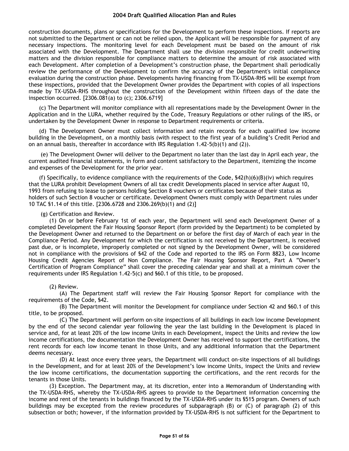construction documents, plans or specifications for the Development to perform these inspections. If reports are not submitted to the Department or can not be relied upon, the Applicant will be responsible for payment of any necessary inspections. The monitoring level for each Development must be based on the amount of risk associated with the Development. The Department shall use the division responsible for credit underwriting matters and the division responsible for compliance matters to determine the amount of risk associated with each Development. After completion of a Development's construction phase, the Department shall periodically review the performance of the Development to confirm the accuracy of the Department's initial compliance evaluation during the construction phase. Developments having financing from TX-USDA-RHS will be exempt from these inspections, provided that the Development Owner provides the Department with copies of all inspections made by TX-USDA-RHS throughout the construction of the Development within fifteen days of the date the inspection occurred. [2306.081(a) to (c); 2306.6719]

(c) The Department will monitor compliance with all representations made by the Development Owner in the Application and in the LURA, whether required by the Code, Treasury Regulations or other rulings of the IRS, or undertaken by the Development Owner in response to Department requirements or criteria.

(d) The Development Owner must collect information and retain records for each qualified low income building in the Development, on a monthly basis (with respect to the first year of a building's Credit Period and on an annual basis, thereafter in accordance with IRS Regulation 1.42-5(b)(1) and (2)).

(e) The Development Owner will deliver to the Department no later than the last day in April each year, the current audited financial statements, in form and content satisfactory to the Department, itemizing the income and expenses of the Development for the prior year.

(f) Specifically, to evidence compliance with the requirements of the Code,  $$42(h)(6)(B)(iv)$  which requires that the LURA prohibit Development Owners of all tax credit Developments placed in service after August 10, 1993 from refusing to lease to persons holding Section 8 vouchers or certificates because of their status as holders of such Section 8 voucher or certificate. Development Owners must comply with Department rules under 10 TAC §1.14 of this title. [2306.6728 and 2306.269(b)(1) and (2)]

#### (g) Certification and Review.

(1) On or before February 1st of each year, the Department will send each Development Owner of a completed Development the Fair Housing Sponsor Report (form provided by the Department) to be completed by the Development Owner and returned to the Department on or before the first day of March of each year in the Compliance Period. Any Development for which the certification is not received by the Department, is received past due, or is incomplete, improperly completed or not signed by the Development Owner, will be considered not in compliance with the provisions of §42 of the Code and reported to the IRS on Form 8823, Low Income Housing Credit Agencies Report of Non Compliance. The Fair Housing Sponsor Report, Part A "Owner's Certification of Program Compliance" shall cover the preceding calendar year and shall at a minimum cover the requirements under IRS Regulation 1.42-5(c) and §60.1 of this title, to be proposed.

#### (2) Review.

(A) The Department staff will review the Fair Housing Sponsor Report for compliance with the requirements of the Code, §42.

(B) The Department will monitor the Development for compliance under Section 42 and §60.1 of this title, to be proposed.

(C) The Department will perform on-site inspections of all buildings in each low income Development by the end of the second calendar year following the year the last building in the Development is placed in service and, for at least 20% of the low income Units in each Development, inspect the Units and review the low income certifications, the documentation the Development Owner has received to support the certifications, the rent records for each low income tenant in those Units, and any additional information that the Department deems necessary.

(D) At least once every three years, the Department will conduct on-site inspections of all buildings in the Development, and for at least 20% of the Development's low income Units, inspect the Units and review the low income certifications, the documentation supporting the certifications, and the rent records for the tenants in those Units.

(3) Exception. The Department may, at its discretion, enter into a Memorandum of Understanding with the TX-USDA-RHS, whereby the TX-USDA-RHS agrees to provide to the Department information concerning the income and rent of the tenants in buildings financed by the TX-USDA-RHS under its §515 program. Owners of such buildings may be excepted from the review procedures of subparagraph (B) or (C) of paragraph (2) of this subsection or both; however, if the information provided by TX-USDA-RHS is not sufficient for the Department to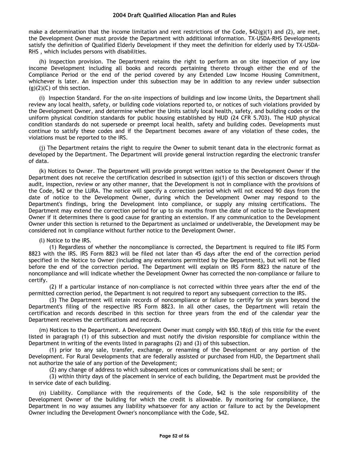make a determination that the income limitation and rent restrictions of the Code,  $$42(g)(1)$  and (2), are met, the Development Owner must provide the Department with additional information. TX-USDA-RHS Developments satisfy the definition of Qualified Elderly Development if they meet the definition for elderly used by TX-USDA-RHS , which includes persons with disabilities.

(h) Inspection provision. The Department retains the right to perform an on site inspection of any low income Development including all books and records pertaining thereto through either the end of the Compliance Period or the end of the period covered by any Extended Low Income Housing Commitment, whichever is later. An inspection under this subsection may be in addition to any review under subsection  $(g)(2)(C)$  of this section.

(i) Inspection Standard. For the on-site inspections of buildings and low income Units, the Department shall review any local health, safety, or building code violations reported to, or notices of such violations provided by the Development Owner, and determine whether the Units satisfy local health, safety, and building codes or the uniform physical condition standards for public housing established by HUD (24 CFR 5.703). The HUD physical condition standards do not supersede or preempt local health, safety and building codes. Developments must continue to satisfy these codes and if the Department becomes aware of any violation of these codes, the violations must be reported to the IRS.

(j) The Department retains the right to require the Owner to submit tenant data in the electronic format as developed by the Department. The Department will provide general instruction regarding the electronic transfer of data.

(k) Notices to Owner. The Department will provide prompt written notice to the Development Owner if the Department does not receive the certification described in subsection (g)(1) of this section or discovers through audit, inspection, review or any other manner, that the Development is not in compliance with the provisions of the Code, §42 or the LURA. The notice will specify a correction period which will not exceed 90 days from the date of notice to the Development Owner, during which the Development Owner may respond to the Department's findings, bring the Development into compliance, or supply any missing certifications. The Department may extend the correction period for up to six months from the date of notice to the Development Owner if it determines there is good cause for granting an extension. If any communication to the Development Owner under this section is returned to the Department as unclaimed or undeliverable, the Development may be considered not in compliance without further notice to the Development Owner.

(l) Notice to the IRS.

(1) Regardless of whether the noncompliance is corrected, the Department is required to file IRS Form 8823 with the IRS. IRS Form 8823 will be filed not later than 45 days after the end of the correction period specified in the Notice to Owner (including any extensions permitted by the Department), but will not be filed before the end of the correction period. The Department will explain on IRS Form 8823 the nature of the noncompliance and will indicate whether the Development Owner has corrected the non-compliance or failure to certify.

(2) If a particular instance of non-compliance is not corrected within three years after the end of the permitted correction period, the Department is not required to report any subsequent correction to the IRS.

(3) The Department will retain records of noncompliance or failure to certify for six years beyond the Department's filing of the respective IRS Form 8823. In all other cases, the Department will retain the certification and records described in this section for three years from the end of the calendar year the Department receives the certifications and records.

(m) Notices to the Department. A Development Owner must comply with §50.18(d) of this title for the event listed in paragraph (1) of this subsection and must notify the division responsible for compliance within the Department in writing of the events listed in paragraphs (2) and (3) of this subsection.

(1) prior to any sale, transfer, exchange, or renaming of the Development or any portion of the Development. For Rural Developments that are federally assisted or purchased from HUD, the Department shall not authorize the sale of any portion of the Development;

(2) any change of address to which subsequent notices or communications shall be sent; or

(3) within thirty days of the placement in service of each building, the Department must be provided the in service date of each building.

(n) Liability. Compliance with the requirements of the Code, §42 is the sole responsibility of the Development Owner of the building for which the credit is allowable. By monitoring for compliance, the Department in no way assumes any liability whatsoever for any action or failure to act by the Development Owner including the Development Owner's noncompliance with the Code, §42.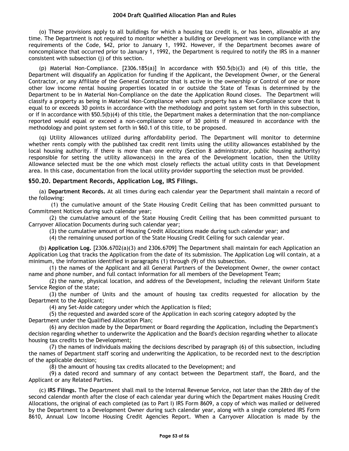(o) These provisions apply to all buildings for which a housing tax credit is, or has been, allowable at any time. The Department is not required to monitor whether a building or Development was in compliance with the requirements of the Code, §42, prior to January 1, 1992. However, if the Department becomes aware of noncompliance that occurred prior to January 1, 1992, the Department is required to notify the IRS in a manner consistent with subsection (j) of this section.

(p) Material Non-Compliance. [2306.185(a)] In accordance with §50.5(b)(3) and (4) of this title, the Department will disqualify an Application for funding if the Applicant, the Development Owner, or the General Contractor, or any Affiliate of the General Contractor that is active in the ownership or Control of one or more other low income rental housing properties located in or outside the State of Texas is determined by the Department to be in Material Non-Compliance on the date the Application Round closes. The Department will classify a property as being in Material Non-Compliance when such property has a Non-Compliance score that is equal to or exceeds 30 points in accordance with the methodology and point system set forth in this subsection, or if in accordance with §50.5(b)(4) of this title, the Department makes a determination that the non-compliance reported would equal or exceed a non-compliance score of 30 points if measured in accordance with the methodology and point system set forth in §60.1 of this title, to be proposed.

(q) Utility Allowances utilized during affordability period. The Department will monitor to determine whether rents comply with the published tax credit rent limits using the utility allowances established by the local housing authority. If there is more than one entity (Section 8 administrator, public housing authority) responsible for setting the utility allowance(s) in the area of the Development location, then the Utility Allowance selected must be the one which most closely reflects the actual utility costs in that Development area. In this case, documentation from the local utility provider supporting the selection must be provided.

# **§50.20. Department Records, Application Log, IRS Filings.**

(a) **Department Records.** At all times during each calendar year the Department shall maintain a record of the following:

(1) the cumulative amount of the State Housing Credit Ceiling that has been committed pursuant to Commitment Notices during such calendar year;

(2) the cumulative amount of the State Housing Credit Ceiling that has been committed pursuant to Carryover Allocation Documents during such calendar year;

(3) the cumulative amount of Housing Credit Allocations made during such calendar year; and

(4) the remaining unused portion of the State Housing Credit Ceiling for such calendar year.

(b) **Application Log.** [2306.6702(a)(3) and 2306.6709] The Department shall maintain for each Application an Application Log that tracks the Application from the date of its submission. The Application Log will contain, at a minimum, the information identified in paragraphs (1) through (9) of this subsection.

(1) the names of the Applicant and all General Partners of the Development Owner, the owner contact name and phone number, and full contact information for all members of the Development Team;

(2) the name, physical location, and address of the Development, including the relevant Uniform State Service Region of the state;

(3) the number of Units and the amount of housing tax credits requested for allocation by the Department to the Applicant;

(4) any Set-Aside category under which the Application is filed;

(5) the requested and awarded score of the Application in each scoring category adopted by the Department under the Qualified Allocation Plan;

(6) any decision made by the Department or Board regarding the Application, including the Department's decision regarding whether to underwrite the Application and the Board's decision regarding whether to allocate housing tax credits to the Development;

(7) the names of individuals making the decisions described by paragraph (6) of this subsection, including the names of Department staff scoring and underwriting the Application, to be recorded next to the description of the applicable decision;

(8) the amount of housing tax credits allocated to the Development; and

(9) a dated record and summary of any contact between the Department staff, the Board, and the Applicant or any Related Parties.

(c) **IRS Filings.** The Department shall mail to the Internal Revenue Service, not later than the 28th day of the second calendar month after the close of each calendar year during which the Department makes Housing Credit Allocations, the original of each completed (as to Part I) IRS Form 8609, a copy of which was mailed or delivered by the Department to a Development Owner during such calendar year, along with a single completed IRS Form 8610, Annual Low Income Housing Credit Agencies Report. When a Carryover Allocation is made by the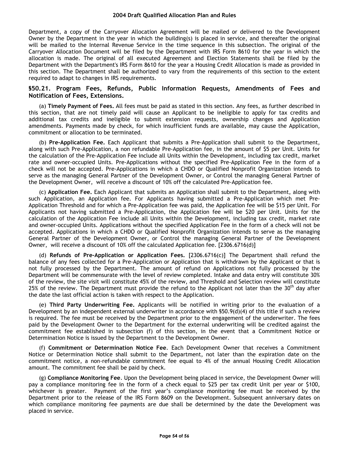Department, a copy of the Carryover Allocation Agreement will be mailed or delivered to the Development Owner by the Department in the year in which the building(s) is placed in service, and thereafter the original will be mailed to the Internal Revenue Service in the time sequence in this subsection. The original of the Carryover Allocation Document will be filed by the Department with IRS Form 8610 for the year in which the allocation is made. The original of all executed Agreement and Election Statements shall be filed by the Department with the Department's IRS Form 8610 for the year a Housing Credit Allocation is made as provided in this section. The Department shall be authorized to vary from the requirements of this section to the extent required to adapt to changes in IRS requirements.

# **§50.21. Program Fees, Refunds, Public Information Requests, Amendments of Fees and Notification of Fees, Extensions.**

(a) **Timely Payment of Fees.** All fees must be paid as stated in this section. Any fees, as further described in this section, that are not timely paid will cause an Applicant to be ineligible to apply for tax credits and additional tax credits and ineligible to submit extension requests, ownership changes and Application amendments. Payments made by check, for which insufficient funds are available, may cause the Application, commitment or allocation to be terminated.

(b) **Pre-Application Fee.** Each Applicant that submits a Pre-Application shall submit to the Department, along with such Pre-Application, a non refundable Pre-Application fee, in the amount of \$5 per Unit. Units for the calculation of the Pre-Application Fee include all Units within the Development, including tax credit, market rate and owner-occupied Units. Pre-Applications without the specified Pre-Application Fee in the form of a check will not be accepted. Pre-Applications in which a CHDO or Qualified Nonprofit Organization intends to serve as the managing General Partner of the Development Owner, or Control the managing General Partner of the Development Owner, will receive a discount of 10% off the calculated Pre-Application fee.

(c) **Application Fee.** Each Applicant that submits an Application shall submit to the Department, along with such Application, an Application fee. For Applicants having submitted a Pre-Application which met Pre-Application Threshold and for which a Pre-Application fee was paid, the Application fee will be \$15 per Unit. For Applicants not having submitted a Pre-Application, the Application fee will be \$20 per Unit. Units for the calculation of the Application Fee include all Units within the Development, including tax credit, market rate and owner-occupied Units. Applications without the specified Application Fee in the form of a check will not be accepted. Applications in which a CHDO or Qualified Nonprofit Organization intends to serve as the managing General Partner of the Development Owner, or Control the managing General Partner of the Development Owner, will receive a discount of 10% off the calculated Application fee. [2306.6716(d)]

(d) **Refunds of Pre-Application or Application Fees.** [2306.6716(c)] The Department shall refund the balance of any fees collected for a Pre-Application or Application that is withdrawn by the Applicant or that is not fully processed by the Department. The amount of refund on Applications not fully processed by the Department will be commensurate with the level of review completed. Intake and data entry will constitute 30% of the review, the site visit will constitute 45% of the review, and Threshold and Selection review will constitute 25% of the review. The Department must provide the refund to the Applicant not later than the 30<sup>th</sup> day after the date the last official action is taken with respect to the Application.

(e) **Third Party Underwriting Fee.** Applicants will be notified in writing prior to the evaluation of a Development by an independent external underwriter in accordance with §50.9(d)(4) of this title if such a review is required. The fee must be received by the Department prior to the engagement of the underwriter. The fees paid by the Development Owner to the Department for the external underwriting will be credited against the commitment fee established in subsection (f) of this section, in the event that a Commitment Notice or Determination Notice is issued by the Department to the Development Owner.

(f) **Commitment or Determination Notice Fee**. Each Development Owner that receives a Commitment Notice or Determination Notice shall submit to the Department, not later than the expiration date on the commitment notice, a non-refundable commitment fee equal to 4% of the annual Housing Credit Allocation amount. The commitment fee shall be paid by check.

(g) **Compliance Monitoring Fee**. Upon the Development being placed in service, the Development Owner will pay a compliance monitoring fee in the form of a check equal to \$25 per tax credit Unit per year or \$100, whichever is greater. Payment of the first year's compliance monitoring fee must be received by the Department prior to the release of the IRS Form 8609 on the Development. Subsequent anniversary dates on which compliance monitoring fee payments are due shall be determined by the date the Development was placed in service.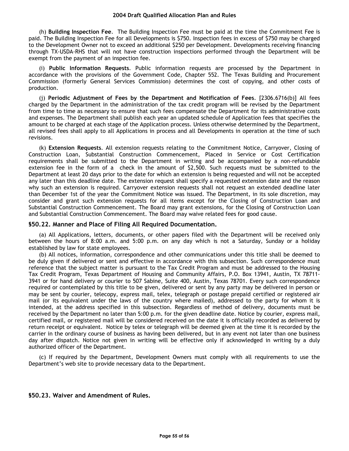(h) **Building Inspection Fee**. The Building Inspection Fee must be paid at the time the Commitment Fee is paid. The Building Inspection Fee for all Developments is \$750. Inspection fees in excess of \$750 may be charged to the Development Owner not to exceed an additional \$250 per Development. Developments receiving financing through TX-USDA-RHS that will not have construction inspections performed through the Department will be exempt from the payment of an inspection fee.

(i) **Public Information Requests**. Public information requests are processed by the Department in accordance with the provisions of the Government Code, Chapter 552. The Texas Building and Procurement Commission (formerly General Services Commission) determines the cost of copying, and other costs of production.

(j) **Periodic Adjustment of Fees by the Department and Notification of Fees**. [2306.6716(b)] All fees charged by the Department in the administration of the tax credit program will be revised by the Department from time to time as necessary to ensure that such fees compensate the Department for its administrative costs and expenses. The Department shall publish each year an updated schedule of Application fees that specifies the amount to be charged at each stage of the Application process. Unless otherwise determined by the Department, all revised fees shall apply to all Applications in process and all Developments in operation at the time of such revisions.

(k) **Extension Requests**. All extension requests relating to the Commitment Notice, Carryover, Closing of Construction Loan, Substantial Construction Commencement, Placed in Service or Cost Certification requirements shall be submitted to the Department in writing and be accompanied by a non-refundable extension fee in the form of a check in the amount of \$2,500. Such requests must be submitted to the Department at least 20 days prior to the date for which an extension is being requested and will not be accepted any later than this deadline date. The extension request shall specify a requested extension date and the reason why such an extension is required. Carryover extension requests shall not request an extended deadline later than December 1st of the year the Commitment Notice was issued. The Department, in its sole discretion, may consider and grant such extension requests for all items except for the Closing of Construction Loan and Substantial Construction Commencement. The Board may grant extensions, for the Closing of Construction Loan and Substantial Construction Commencement. The Board may waive related fees for good cause.

#### **§50.22. Manner and Place of Filing All Required Documentation.**

(a) All Applications, letters, documents, or other papers filed with the Department will be received only between the hours of 8:00 a.m. and 5:00 p.m. on any day which is not a Saturday, Sunday or a holiday established by law for state employees.

(b) All notices, information, correspondence and other communications under this title shall be deemed to be duly given if delivered or sent and effective in accordance with this subsection. Such correspondence must reference that the subject matter is pursuant to the Tax Credit Program and must be addressed to the Housing Tax Credit Program, Texas Department of Housing and Community Affairs, P.O. Box 13941, Austin, TX 78711- 3941 or for hand delivery or courier to 507 Sabine, Suite 400, Austin, Texas 78701. Every such correspondence required or contemplated by this title to be given, delivered or sent by any party may be delivered in person or may be sent by courier, telecopy, express mail, telex, telegraph or postage prepaid certified or registered air mail (or its equivalent under the laws of the country where mailed), addressed to the party for whom it is intended, at the address specified in this subsection. Regardless of method of delivery, documents must be received by the Department no later than 5:00 p.m. for the given deadline date. Notice by courier, express mail, certified mail, or registered mail will be considered received on the date it is officially recorded as delivered by return receipt or equivalent. Notice by telex or telegraph will be deemed given at the time it is recorded by the carrier in the ordinary course of business as having been delivered, but in any event not later than one business day after dispatch. Notice not given in writing will be effective only if acknowledged in writing by a duly authorized officer of the Department.

(c) If required by the Department, Development Owners must comply with all requirements to use the Department's web site to provide necessary data to the Department.

#### **§50.23. Waiver and Amendment of Rules.**